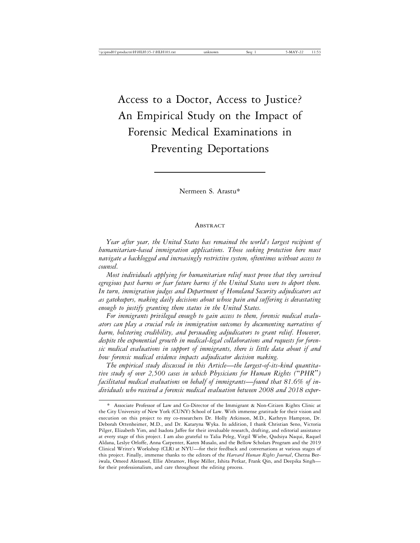# Access to a Doctor, Access to Justice? An Empirical Study on the Impact of Forensic Medical Examinations in Preventing Deportations

Nermeen S. Arastu\*

#### ABSTRACT

*Year after year, the United States has remained the world's largest recipient of humanitarian-based immigration applications. Those seeking protection here must navigate a backlogged and increasingly restrictive system, oftentimes without access to counsel.*

*Most individuals applying for humanitarian relief must prove that they survived egregious past harms or fear future harms if the United States were to deport them. In turn, immigration judges and Department of Homeland Security adjudicators act as gatekeepers, making daily decisions about whose pain and suffering is devastating enough to justify granting them status in the United States.*

*For immigrants privileged enough to gain access to them, forensic medical evaluators can play a crucial role in immigration outcomes by documenting narratives of harm, bolstering credibility, and persuading adjudicators to grant relief. However, despite the exponential growth in medical-legal collaborations and requests for forensic medical evaluations in support of immigrants, there is little data about if and how forensic medical evidence impacts adjudicator decision making.*

*The empirical study discussed in this Article*—*the largest-of-its-kind quantitative study of over 2,500 cases in which Physicians for Human Rights (*"*PHR*"*) facilitated medical evaluations on behalf of immigrants*—*found that 81.6% of individuals who received a forensic medical evaluation between 2008 and 2018 exper-*

<sup>\*</sup> Associate Professor of Law and Co-Director of the Immigrant & Non-Citizen Rights Clinic at the City University of New York (CUNY) School of Law. With immense gratitude for their vision and execution on this project to my co-researchers Dr. Holly Atkinson, M.D., Kathryn Hampton, Dr. Deborah Ottenheimer, M.D., and Dr. Kataryna Wyka. In addition, I thank Christian Seno, Victoria Pilger, Elizabeth Yim, and Isadora Jaffee for their invaluable research, drafting, and editorial assistance at every stage of this project. I am also grateful to Talia Peleg, Virgil Wiebe, Qudsiya Naqui, Raquel Aldana, Leslye Orloffe, Anna Carpenter, Karen Musalo, and the Bellow Scholars Program and the 2019 Clinical Writer's Workshop (CLR) at NYU—for their feedback and conversations at various stages of this project. Finally, immense thanks to the editors of the *Harvard Human Rights Journal*, Chetna Beriwala, Omeed Alerasool, Ellie Abramov, Hope Miller, Ishita Petkar, Frank Qin, and Deepika Singh for their professionalism, and care throughout the editing process.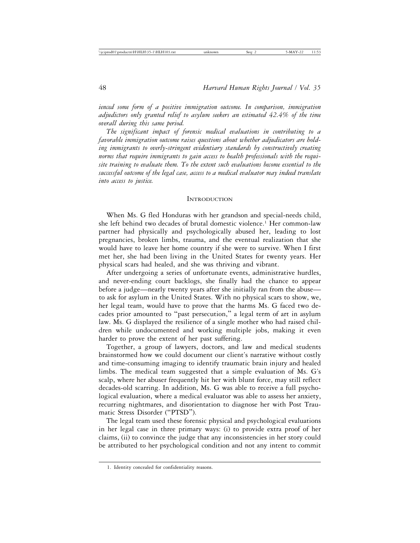*ienced some form of a positive immigration outcome. In comparison, immigration adjudictors only granted relief to asylum seekers an estimated 42.4% of the time overall during this same period.*

*The significant impact of forensic medical evaluations in contributing to a favorable immigration outcome raises questions about whether adjudicators are holding immigrants to overly-stringent evidentiary standards by constructively creating norms that require immigrants to gain access to health professionals with the requisite training to evaluate them. To the extent such evaluations become essential to the successful outcome of the legal case, access to a medical evaluator may indeed translate into access to justice.*

#### **INTRODUCTION**

When Ms. G fled Honduras with her grandson and special-needs child, she left behind two decades of brutal domestic violence.<sup>1</sup> Her common-law partner had physically and psychologically abused her, leading to lost pregnancies, broken limbs, trauma, and the eventual realization that she would have to leave her home country if she were to survive. When I first met her, she had been living in the United States for twenty years. Her physical scars had healed, and she was thriving and vibrant.

After undergoing a series of unfortunate events, administrative hurdles, and never-ending court backlogs, she finally had the chance to appear before a judge—nearly twenty years after she initially ran from the abuse to ask for asylum in the United States. With no physical scars to show, we, her legal team, would have to prove that the harms Ms. G faced two decades prior amounted to "past persecution," a legal term of art in asylum law. Ms. G displayed the resilience of a single mother who had raised children while undocumented and working multiple jobs, making it even harder to prove the extent of her past suffering.

Together, a group of lawyers, doctors, and law and medical students brainstormed how we could document our client's narrative without costly and time-consuming imaging to identify traumatic brain injury and healed limbs. The medical team suggested that a simple evaluation of Ms. G's scalp, where her abuser frequently hit her with blunt force, may still reflect decades-old scarring. In addition, Ms. G was able to receive a full psychological evaluation, where a medical evaluator was able to assess her anxiety, recurring nightmares, and disorientation to diagnose her with Post Traumatic Stress Disorder ("PTSD").

The legal team used these forensic physical and psychological evaluations in her legal case in three primary ways: (i) to provide extra proof of her claims, (ii) to convince the judge that any inconsistencies in her story could be attributed to her psychological condition and not any intent to commit

<sup>1.</sup> Identity concealed for confidentiality reasons.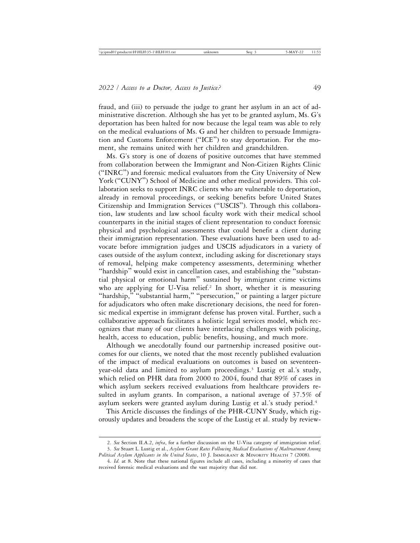fraud, and (iii) to persuade the judge to grant her asylum in an act of administrative discretion. Although she has yet to be granted asylum, Ms. G's deportation has been halted for now because the legal team was able to rely on the medical evaluations of Ms. G and her children to persuade Immigration and Customs Enforcement ("ICE") to stay deportation. For the moment, she remains united with her children and grandchildren.

Ms. G's story is one of dozens of positive outcomes that have stemmed from collaboration between the Immigrant and Non-Citizen Rights Clinic ("INRC") and forensic medical evaluators from the City University of New York ("CUNY") School of Medicine and other medical providers. This collaboration seeks to support INRC clients who are vulnerable to deportation, already in removal proceedings, or seeking benefits before United States Citizenship and Immigration Services ("USCIS"). Through this collaboration, law students and law school faculty work with their medical school counterparts in the initial stages of client representation to conduct forensic physical and psychological assessments that could benefit a client during their immigration representation. These evaluations have been used to advocate before immigration judges and USCIS adjudicators in a variety of cases outside of the asylum context, including asking for discretionary stays of removal, helping make competency assessments, determining whether "hardship" would exist in cancellation cases, and establishing the "substantial physical or emotional harm" sustained by immigrant crime victims who are applying for U-Visa relief.<sup>2</sup> In short, whether it is measuring "hardship," "substantial harm," "persecution," or painting a larger picture for adjudicators who often make discretionary decisions, the need for forensic medical expertise in immigrant defense has proven vital. Further, such a collaborative approach facilitates a holistic legal services model, which recognizes that many of our clients have interlacing challenges with policing, health, access to education, public benefits, housing, and much more.

Although we anecdotally found our partnership increased positive outcomes for our clients, we noted that the most recently published evaluation of the impact of medical evaluations on outcomes is based on seventeenyear-old data and limited to asylum proceedings.3 Lustig et al.'s study, which relied on PHR data from 2000 to 2004, found that 89% of cases in which asylum seekers received evaluations from healthcare providers resulted in asylum grants. In comparison, a national average of 37.5% of asylum seekers were granted asylum during Lustig et al.'s study period.4

This Article discusses the findings of the PHR-CUNY Study, which rigorously updates and broadens the scope of the Lustig et al. study by review-

<sup>2.</sup> *See* Section II.A.2, *infra*, for a further discussion on the U-Visa category of immigration relief.

<sup>3.</sup> *See* Stuart L. Lustig et al., *Asylum Grant Rates Following Medical Evaluations of Maltreatment Among Political Asylum Applicants in the United States*, 10 J. IMMIGRANT & MINORITY HEALTH 7 (2008).

<sup>4.</sup> *Id.* at 8. Note that these national figures include all cases, including a minority of cases that received forensic medical evaluations and the vast majority that did not.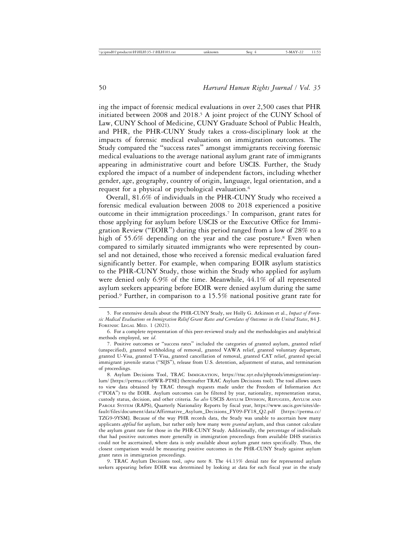ing the impact of forensic medical evaluations in over 2,500 cases that PHR initiated between 2008 and 2018.<sup>5</sup> A joint project of the CUNY School of Law, CUNY School of Medicine, CUNY Graduate School of Public Health, and PHR, the PHR-CUNY Study takes a cross-disciplinary look at the impacts of forensic medical evaluations on immigration outcomes. The Study compared the "success rates" amongst immigrants receiving forensic medical evaluations to the average national asylum grant rate of immigrants appearing in administrative court and before USCIS. Further, the Study explored the impact of a number of independent factors, including whether gender, age, geography, country of origin, language, legal orientation, and a request for a physical or psychological evaluation.6

Overall, 81.6% of individuals in the PHR-CUNY Study who received a forensic medical evaluation between 2008 to 2018 experienced a positive outcome in their immigration proceedings.<sup>7</sup> In comparison, grant rates for those applying for asylum before USCIS or the Executive Office for Immigration Review ("EOIR") during this period ranged from a low of 28% to a high of 55.6% depending on the year and the case posture.<sup>8</sup> Even when compared to similarly situated immigrants who were represented by counsel and not detained, those who received a forensic medical evaluation fared significantly better. For example, when comparing EOIR asylum statistics to the PHR-CUNY Study, those within the Study who applied for asylum were denied only 6.9% of the time. Meanwhile, 44.1% of all represented asylum seekers appearing before EOIR were denied asylum during the same period.9 Further, in comparison to a 15.5% national positive grant rate for

9. TRAC Asylum Decisions tool, *supra* note 8. The 44.13% denial rate for represented asylum seekers appearing before EOIR was determined by looking at data for each fiscal year in the study

<sup>5.</sup> For extensive details about the PHR-CUNY Study, see Holly G. Atkinson et al., *Impact of Forensic Medical Evaluations on Immigration Relief Grant Rates and Correlates of Outcomes in the United States*, 84 J. FORENSIC LEGAL MED. 1 (2021).

<sup>6.</sup> For a complete representation of this peer-reviewed study and the methodologies and analyhtical methods employed, see *id*.

<sup>7.</sup> Positive outcomes or "success rates" included the categories of granted asylum, granted relief (unspecified), granted withholding of removal, granted VAWA relief, granted voluntary departure, granted U-Visa, granted T-Visa, granted cancellation of removal, granted CAT relief, granted special immigrant juvenile status ("SIJS"), release from U.S. detention, adjustment of status, and termination of proceedings.

<sup>8.</sup> Asylum Decisions Tool, TRAC IMMIGRATION, https://trac.syr.edu/phptools/immigration/asylum/ [https://perma.cc/68WR-PT8E] (hereinafter TRAC Asylum Decisions tool). The tool allows users to view data obtained by TRAC through requests made under the Freedom of Information Act ("FOIA") to the EOIR. Asylum outcomes can be filtered by year, nationality, representation status, custody status, decision, and other criteria. *See also* USCIS ASYLUM DIVISION, REFUGEES, ASYLUM AND PAROLE SYSTEM (RAPS), Quarterly Nationality Reports by fiscal year, https://www.uscis.gov/sites/default/files/document/data/Affirmative\_Asylum\_Decisions\_FY09-FY18\_Q2.pdf [https://perma.cc/ TZG9-9YSM]. Because of the way PHR records data, the Study was unable to ascertain how many applicants *applied* for asylum, but rather only how many were *granted* asylum, and thus cannot calculate the asylum grant rate for those in the PHR-CUNY Study. Additionally, the percentage of individuals that had positive outcomes more generally in immigration proceedings from available DHS statistics could not be ascertained, where data is only available about asylum grant rates specifically. Thus, the closest comparison would be measuring positive outcomes in the PHR-CUNY Study against asylum grant rates in immigration proceedings.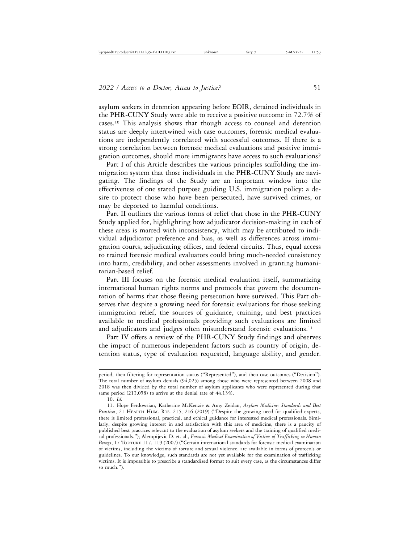asylum seekers in detention appearing before EOIR, detained individuals in the PHR-CUNY Study were able to receive a positive outcome in 72.7% of cases.10 This analysis shows that though access to counsel and detention status are deeply intertwined with case outcomes, forensic medical evaluations are independently correlated with successful outcomes. If there is a strong correlation between forensic medical evaluations and positive immigration outcomes, should more immigrants have access to such evaluations?

Part I of this Article describes the various principles scaffolding the immigration system that those individuals in the PHR-CUNY Study are navigating. The findings of the Study are an important window into the effectiveness of one stated purpose guiding U.S. immigration policy: a desire to protect those who have been persecuted, have survived crimes, or may be deported to harmful conditions.

Part II outlines the various forms of relief that those in the PHR-CUNY Study applied for, highlighting how adjudicator decision-making in each of these areas is marred with inconsistency, which may be attributed to individual adjudicator preference and bias, as well as differences across immigration courts, adjudicating offices, and federal circuits. Thus, equal access to trained forensic medical evaluators could bring much-needed consistency into harm, credibility, and other assessments involved in granting humanitarian-based relief.

Part III focuses on the forensic medical evaluation itself, summarizing international human rights norms and protocols that govern the documentation of harms that those fleeing persecution have survived. This Part observes that despite a growing need for forensic evaluations for those seeking immigration relief, the sources of guidance, training, and best practices available to medical professionals providing such evaluations are limited and adjudicators and judges often misunderstand forensic evaluations.<sup>11</sup>

Part IV offers a review of the PHR-CUNY Study findings and observes the impact of numerous independent factors such as country of origin, detention status, type of evaluation requested, language ability, and gender.

period, then filtering for representation status ("Represented"), and then case outcomes ("Decision"). The total number of asylum denials (94,025) among those who were represented between 2008 and 2018 was then divided by the total number of asylum applicants who were represented during that same period (213,058) to arrive at the denial rate of 44.13%.

<sup>10.</sup> *Id.*

<sup>11.</sup> Hope Ferdowsian, Katherine McKenzie & Amy Zeidan, *Asylum Medicine: Standards and Best* Practices, 21 HEALTH HUM. RTS. 215, 216 (2019) ("Despite the growing need for qualified experts, there is limited professional, practical, and ethical guidance for interested medical professionals. Similarly, despite growing interest in and satisfaction with this area of medicine, there is a paucity of published best practices relevant to the evaluation of asylum seekers and the training of qualified medical professionals."); Alempijevic D. et. al., *Forensic Medical Examination of Victims of Trafficking in Human Beings*, 17 TORTURE 117, 119 (2007) ("Certain international standards for forensic medical examination of victims, including the victims of torture and sexual violence, are available in forms of protocols or guidelines. To our knowledge, such standards are not yet available for the examination of trafficking victims. It is impossible to prescribe a standardized format to suit every case, as the circumstances differ so much.").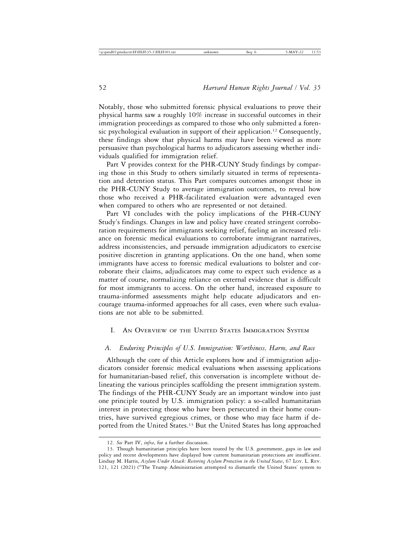Notably, those who submitted forensic physical evaluations to prove their physical harms saw a roughly 10% increase in successful outcomes in their immigration proceedings as compared to those who only submitted a forensic psychological evaluation in support of their application.<sup>12</sup> Consequently, these findings show that physical harms may have been viewed as more persuasive than psychological harms to adjudicators assessing whether individuals qualified for immigration relief.

Part V provides context for the PHR-CUNY Study findings by comparing those in this Study to others similarly situated in terms of representation and detention status. This Part compares outcomes amongst those in the PHR-CUNY Study to average immigration outcomes, to reveal how those who received a PHR-facilitated evaluation were advantaged even when compared to others who are represented or not detained.

Part VI concludes with the policy implications of the PHR-CUNY Study's findings. Changes in law and policy have created stringent corroboration requirements for immigrants seeking relief, fueling an increased reliance on forensic medical evaluations to corroborate immigrant narratives, address inconsistencies, and persuade immigration adjudicators to exercise positive discretion in granting applications. On the one hand, when some immigrants have access to forensic medical evaluations to bolster and corroborate their claims, adjudicators may come to expect such evidence as a matter of course, normalizing reliance on external evidence that is difficult for most immigrants to access. On the other hand, increased exposure to trauma-informed assessments might help educate adjudicators and encourage trauma-informed approaches for all cases, even where such evaluations are not able to be submitted.

# I. AN OVERVIEW OF THE UNITED STATES IMMIGRATION SYSTEM

#### *A. Enduring Principles of U.S. Immigration: Worthiness, Harm, and Race*

Although the core of this Article explores how and if immigration adjudicators consider forensic medical evaluations when assessing applications for humanitarian-based relief, this conversation is incomplete without delineating the various principles scaffolding the present immigration system. The findings of the PHR-CUNY Study are an important window into just one principle touted by U.S. immigration policy: a so-called humanitarian interest in protecting those who have been persecuted in their home countries, have survived egregious crimes, or those who may face harm if deported from the United States.13 But the United States has long approached

<sup>12.</sup> *See* Part IV, *infra*, for a further discussion.

<sup>13.</sup> Though humanitarian principles have been touted by the U.S. government, gaps in law and policy and recent developments have displayed how current humanitarian protections are insufficient. Lindsay M. Harris, *Asylum Under Attack: Restoring Asylum Protection in the United States*, 67 LOY. L. REV. 121, 121 (2021) ("The Trump Administration attempted to dismantle the United States' system to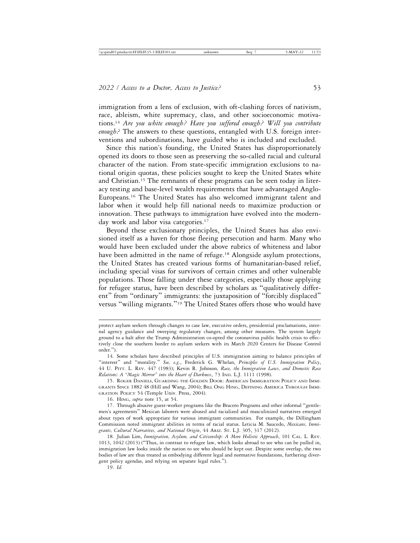immigration from a lens of exclusion, with oft-clashing forces of nativism, race, ableism, white supremacy, class, and other socioeconomic motivations.14 *Are you white enough? Have you suffered enough? Will you contribute enough?* The answers to these questions, entangled with U.S. foreign interventions and subordinations, have guided who is included and excluded.

Since this nation's founding, the United States has disproportionately opened its doors to those seen as preserving the so-called racial and cultural character of the nation. From state-specific immigration exclusions to national origin quotas, these policies sought to keep the United States white and Christian.15 The remnants of these programs can be seen today in literacy testing and base-level wealth requirements that have advantaged Anglo-Europeans.16 The United States has also welcomed immigrant talent and labor when it would help fill national needs to maximize production or innovation. These pathways to immigration have evolved into the modernday work and labor visa categories.<sup>17</sup>

Beyond these exclusionary principles, the United States has also envisioned itself as a haven for those fleeing persecution and harm. Many who would have been excluded under the above rubrics of whiteness and labor have been admitted in the name of refuge.<sup>18</sup> Alongside asylum protections, the United States has created various forms of humanitarian-based relief, including special visas for survivors of certain crimes and other vulnerable populations. Those falling under these categories, especially those applying for refugee status, have been described by scholars as "qualitatively different" from "ordinary" immigrants: the juxtaposition of "forcibly displaced" versus "willing migrants."19 The United States offers those who would have

19. *Id.*

protect asylum seekers through changes to case law, executive orders, presidential proclamations, internal agency guidance and sweeping regulatory changes, among other measures. The system largely ground to a halt after the Trump Administration co-opted the coronavirus public health crisis to effectively close the southern border to asylum seekers with its March 2020 Centers for Disease Control order.").

<sup>14.</sup> Some scholars have described principles of U.S. immigration aiming to balance principles of "interest" and "morality." *See, e.g.*, Frederick G. Whelan, *Principles of U.S. Immigration Policy*, 44 U. PITT. L. REV. 447 (1983); Kevin R. Johnson*, Race, the Immigration Laws, and Domestic Race Relations: A "Magic Mirror" into the Heart of Darkness*, 73 IND. L.J. 1111 (1998).

<sup>15.</sup> ROGER DANIELS, GUARDING THE GOLDEN DOOR: AMERICAN IMMIGRATION POLICY AND IMMI-GRANTS SINCE 1882 48 (Hill and Wang, 2004); BILL ONG HING, DEFINING AMERICA THROUGH IMMI-GRATION POLICY 54 (Temple Univ. Press, 2004).

<sup>16.</sup> HING, *supra* note 15, at 54.

<sup>17.</sup> Through abusive guest-worker programs like the Bracero Programs and other informal "gentlemen's agreements" Mexican laborers were abused and racialized and masculinized narratives emerged about types of work appropriate for various immigrant communities. For example, the Dillingham Commission noted immigrant abilities in terms of racial status. Leticia M. Saucedo, *Mexicans, Immigrants, Cultural Narratives, and National Origin*, 44 ARIZ. ST. L.J. 305, 317 (2012).

<sup>18.</sup> Julian Lim, *Immigration, Asylum, and Citizenship: A More Holistic Approach*, 101 CAL. L. REV. 1013, 1042 (2013) ("Thus, in contrast to refugee law, which looks abroad to see who can be pulled in, immigration law looks inside the nation to see who should be kept out. Despite some overlap, the two bodies of law are thus treated as embodying different legal and normative foundations, furthering divergent policy agendas, and relying on separate legal rules.").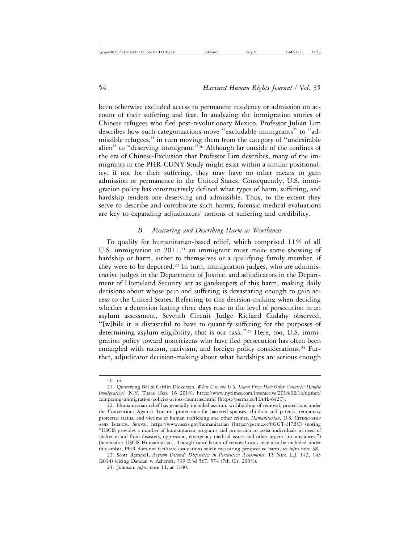been otherwise excluded access to permanent residency or admission on account of their suffering and fear. In analyzing the immigration stories of Chinese refugees who fled post-revolutionary Mexico, Professor Julian Lim describes how such categorizations move "excludable immigrants" to "admissible refugees," in turn moving them from the category of "undesirable alien" to "deserving immigrant."20 Although far outside of the confines of the era of Chinese-Exclusion that Professor Lim describes, many of the immigrants in the PHR-CUNY Study might exist within a similar positionality: if not for their suffering, they may have no other means to gain admission or permanence in the United States. Consequently, U.S. immigration policy has constructively defined what types of harm, suffering, and hardship renders one deserving and admissible. Thus, to the extent they serve to describe and corroborate such harms, forensic medical evaluations are key to expanding adjudicators' notions of suffering and credibility.

# *B. Measuring and Describing Harm as Worthiness*

To qualify for humanitarian-based relief, which comprised 11% of all U.S. immigration in  $2011$ ,<sup>21</sup> an immigrant must make some showing of hardship or harm, either to themselves or a qualifying family member, if they were to be deported.<sup>22</sup> In turn, immigration judges, who are administrative judges in the Department of Justice, and adjudicators in the Department of Homeland Security act as gatekeepers of this harm, making daily decisions about whose pain and suffering is devastating enough to gain access to the United States. Referring to this decision-making when deciding whether a detention lasting three days rose to the level of persecution in an asylum assessment, Seventh Circuit Judge Richard Cudahy observed, "[w]hile it is distasteful to have to quantify suffering for the purposes of determining asylum eligibility, that is our task."23 Here, too, U.S. immigration policy toward noncitizens who have fled persecution has often been entangled with racism, nativism, and foreign policy considerations.24 Further, adjudicator decision-making about what hardships are serious enough

23. Scott Rempell, *Asylum Discord: Disparities in Persecution Assessments*, 15 NEV. L.J. 142, 143 (2014) (citing Dandan v. Ashcroft, 339 F.3d 567, 574 (7th Cir. 2003)).

<sup>20.</sup> *Id.*

<sup>21.</sup> Quoctrung Bai & Caitlin Dickerson, *What Can the U.S. Learn From How Other Countries Handle Immigration?* N.Y. TIMES (Feb. 16 2018), https://www.nytimes.com/interactive/2018/02/16/upshot/ comparing-immigration-policies-across-countries.html [https://perma.cc/HA4L-642T].

<sup>22.</sup> Humanitarian relief has generally included asylum, withholding of removal, protections under the Conventions Against Torture, protections for battered spouses, children and parents, temporary protected status, and victims of human trafficking and other crimes. *Humanitarian*, U.S. CITIZENSHIP AND IMMIGR. SERVS., https://www.uscis.gov/humanitarian [https://perma.cc/8GGT-H7BC] (noting "USCIS provides a number of humanitarian programs and protection to assist individuals in need of shelter or aid from disasters, oppression, emergency medical issues and other urgent circumstances.") [hereinafter USCIS Humanitarian]. Though cancellation of removal cases may also be included under this ambit, PHR does not facilitate evaluations solely measuring prospective harm, *see infra* note 38.

<sup>24.</sup> Johnson, *supra* note 14, at 1140.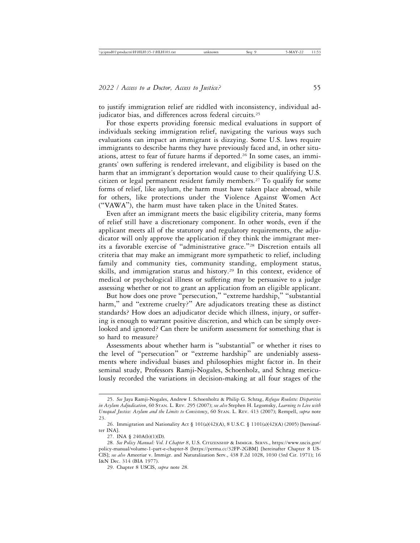to justify immigration relief are riddled with inconsistency, individual adjudicator bias, and differences across federal circuits.<sup>25</sup>

For those experts providing forensic medical evaluations in support of individuals seeking immigration relief, navigating the various ways such evaluations can impact an immigrant is dizzying. Some U.S. laws require immigrants to describe harms they have previously faced and, in other situations, attest to fear of future harms if deported.26 In some cases, an immigrants' own suffering is rendered irrelevant, and eligibility is based on the harm that an immigrant's deportation would cause to their qualifying U.S. citizen or legal permanent resident family members.<sup>27</sup> To qualify for some forms of relief, like asylum, the harm must have taken place abroad, while for others, like protections under the Violence Against Women Act ("VAWA"), the harm must have taken place in the United States.

Even after an immigrant meets the basic eligibility criteria, many forms of relief still have a discretionary component. In other words, even if the applicant meets all of the statutory and regulatory requirements, the adjudicator will only approve the application if they think the immigrant merits a favorable exercise of "administrative grace."28 Discretion entails all criteria that may make an immigrant more sympathetic to relief, including family and community ties, community standing, employment status, skills, and immigration status and history.<sup>29</sup> In this context, evidence of medical or psychological illness or suffering may be persuasive to a judge assessing whether or not to grant an application from an eligible applicant.

But how does one prove "persecution," "extreme hardship," "substantial harm," and "extreme cruelty?" Are adjudicators treating these as distinct standards? How does an adjudicator decide which illness, injury, or suffering is enough to warrant positive discretion, and which can be simply overlooked and ignored? Can there be uniform assessment for something that is so hard to measure?

Assessments about whether harm is "substantial" or whether it rises to the level of "persecution" or "extreme hardship" are undeniably assessments where individual biases and philosophies might factor in. In their seminal study, Professors Ramji-Nogales, Schoenholz, and Schrag meticulously recorded the variations in decision-making at all four stages of the

<sup>25.</sup> *See* Jaya Ramji-Nogales, Andrew I. Schoenholtz & Philip G. Schrag, *Refugee Roulette: Disparities in Asylum Adjudication*, 60 STAN. L. REV. 295 (2007); *see also* Stephen H. Legomsky, *Learning to Live with Unequal Justice: Asylum and the Limits to Consistency*, 60 STAN. L. REV. 413 (2007); Rempell, *supra* note 23.

<sup>26.</sup> Immigration and Nationality Act § 101(a)(42)(A), 8 U.S.C. § 1101(a)(42)(A) (2005) [hereinafter INA].

<sup>27.</sup> INA § 240A(b)(1)(D).

<sup>28.</sup> *See Policy Manual: Vol. I Chapter 8*, U.S. CITIZENSHIP & IMMIGR. SERVS., https://www.uscis.gov/ policy-manual/volume-1-part-e-chapter-8 [https://perma.cc/32FP-2GBM] [hereinafter Chapter 8 US-CIS]; *see also* Ameeriar v. Immigr. and Naturalization Serv., 438 F.2d 1028, 1030 (3rd Cir. 1971); 16 I&N Dec. 314 (BIA 1977).

<sup>29.</sup> Chapter 8 USCIS, *supra* note 28.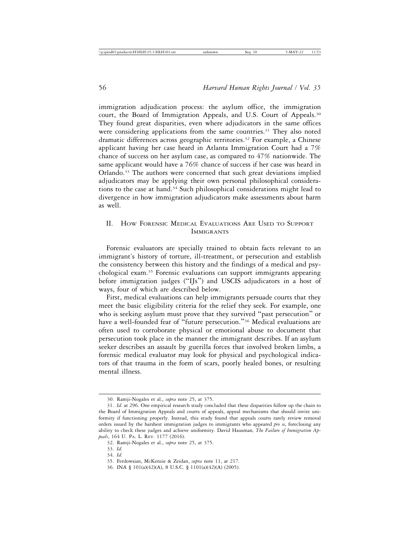immigration adjudication process: the asylum office, the immigration court, the Board of Immigration Appeals, and U.S. Court of Appeals.<sup>30</sup> They found great disparities, even where adjudicators in the same offices were considering applications from the same countries.<sup>31</sup> They also noted dramatic differences across geographic territories.<sup>32</sup> For example, a Chinese applicant having her case heard in Atlanta Immigration Court had a 7% chance of success on her asylum case, as compared to 47% nationwide. The same applicant would have a 76% chance of success if her case was heard in Orlando.33 The authors were concerned that such great deviations implied adjudicators may be applying their own personal philosophical considerations to the case at hand.34 Such philosophical considerations might lead to divergence in how immigration adjudicators make assessments about harm as well.

# II. HOW FORENSIC MEDICAL EVALUATIONS ARE USED TO SUPPORT IMMIGRANTS

Forensic evaluators are specially trained to obtain facts relevant to an immigrant's history of torture, ill-treatment, or persecution and establish the consistency between this history and the findings of a medical and psychological exam.35 Forensic evaluations can support immigrants appearing before immigration judges ("IJs") and USCIS adjudicators in a host of ways, four of which are described below.

First, medical evaluations can help immigrants persuade courts that they meet the basic eligibility criteria for the relief they seek. For example, one who is seeking asylum must prove that they survived "past persecution" or have a well-founded fear of "future persecution."<sup>36</sup> Medical evaluations are often used to corroborate physical or emotional abuse to document that persecution took place in the manner the immigrant describes. If an asylum seeker describes an assault by guerilla forces that involved broken limbs, a forensic medical evaluator may look for physical and psychological indicators of that trauma in the form of scars, poorly healed bones, or resulting mental illness.

<sup>30.</sup> Ramji-Nogales et al., *supra* note 25, at 375.

<sup>31.</sup> *Id.* at 296. One empirical research study concluded that these disparities follow up the chain to the Board of Immigration Appeals and courts of appeals, appeal mechanisms that should invite uniformity if functioning properly. Instead, this study found that appeals courts rarely review removal orders issued by the harshest immigration judges to immigrants who appeared *pro se*, foreclosing any ability to check these judges and achieve uniformity. David Hausman*, The Failure of Immigration Appeals*, 164 U. PA. L. REV. 1177 (2016).

<sup>32.</sup> Ramji-Nogales et al., *supra* note 25, at 375.

<sup>33.</sup> *Id.*

<sup>34.</sup> *Id.*

<sup>35.</sup> Ferdowsian, McKenzie & Zeidan, *supra* note 11, at 217.

<sup>36.</sup> INA § 101(a)(42)(A), 8 U.S.C. § 1101(a)(42)(A) (2005).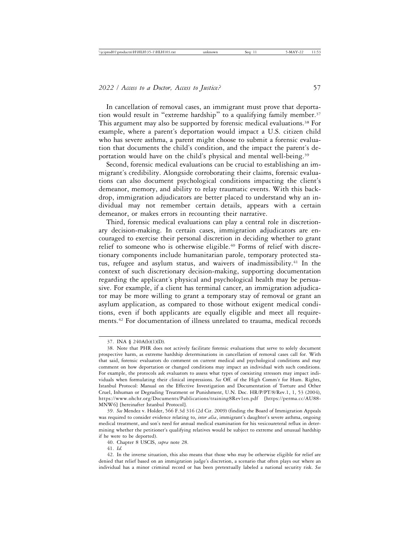In cancellation of removal cases, an immigrant must prove that deportation would result in "extreme hardship" to a qualifying family member.<sup>37</sup> This argument may also be supported by forensic medical evaluations.38 For example, where a parent's deportation would impact a U.S. citizen child who has severe asthma, a parent might choose to submit a forensic evaluation that documents the child's condition, and the impact the parent's deportation would have on the child's physical and mental well-being.<sup>39</sup>

Second, forensic medical evaluations can be crucial to establishing an immigrant's credibility. Alongside corroborating their claims, forensic evaluations can also document psychological conditions impacting the client's demeanor, memory, and ability to relay traumatic events. With this backdrop, immigration adjudicators are better placed to understand why an individual may not remember certain details, appears with a certain demeanor, or makes errors in recounting their narrative.

Third, forensic medical evaluations can play a central role in discretionary decision-making. In certain cases, immigration adjudicators are encouraged to exercise their personal discretion in deciding whether to grant relief to someone who is otherwise eligible.<sup>40</sup> Forms of relief with discretionary components include humanitarian parole, temporary protected status, refugee and asylum status, and waivers of inadmissibility.<sup>41</sup> In the context of such discretionary decision-making, supporting documentation regarding the applicant's physical and psychological health may be persuasive. For example, if a client has terminal cancer, an immigration adjudicator may be more willing to grant a temporary stay of removal or grant an asylum application, as compared to those without exigent medical conditions, even if both applicants are equally eligible and meet all requirements.42 For documentation of illness unrelated to trauma, medical records

39. *See* Mendez v. Holder, 566 F.3d 316 (2d Cir. 2009) (finding the Board of Immigration Appeals was required to consider evidence relating to, *inter alia*, immigrant's daughter's severe asthma, ongoing medical treatment, and son's need for annual medical examination for his vesicoureteral reflux in determining whether the petitioner's qualifying relatives would be subject to extreme and unusual hardship if he were to be deported).

40. Chapter 8 USCIS, *supra* note 28.

41. *Id.*

42. In the inverse situation, this also means that those who may be otherwise eligible for relief are denied that relief based on an immigration judge's discretion, a scenario that often plays out where an individual has a minor criminal record or has been pretextually labeled a national security risk. *See*

<sup>37.</sup> INA § 240A(b)(1)(D).

<sup>38.</sup> Note that PHR does not actively facilitate forensic evaluations that serve to solely document prospective harm, as extreme hardship determinations in cancellation of removal cases call for. With that said, forensic evaluators do comment on current medical and psychological conditions and may comment on how deportation or changed conditions may impact an individual with such conditions. For example, the protocols ask evaluators to assess what types of coexisting stressors may impact individuals when formulating their clinical impressions. *See* Off. of the High Comm'r for Hum. Rights, Istanbul Protocol: Manual on the Effective Investigation and Documentation of Torture and Other Cruel, Inhuman or Degrading Treatment or Punishment, U.N. Doc. HR/P/PT/8/Rev.1, 1, 53 (2004), https://www.ohchr.org/Documents/Publications/training8Rev1en.pdf [https://perma.cc/AU88- MNW6] [hereinafter Istanbul Protocol].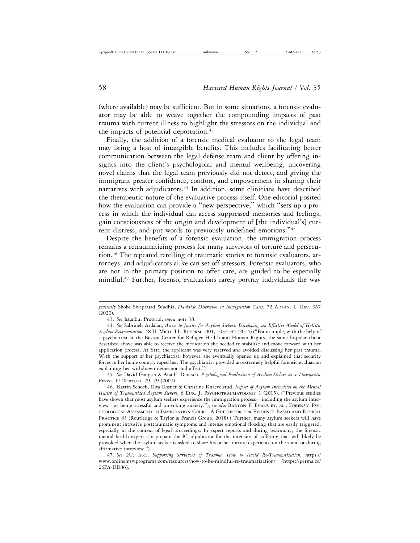(where available) may be sufficient. But in some situations, a forensic evaluator may be able to weave together the compounding impacts of past trauma with current illness to highlight the stressors on the individual and the impacts of potential deportation.<sup>43</sup>

Finally, the addition of a forensic medical evaluator to the legal team may bring a host of intangible benefits. This includes facilitating better communication between the legal defense team and client by offering insights into the client's psychological and mental wellbeing, uncovering novel claims that the legal team previously did not detect, and giving the immigrant greater confidence, comfort, and empowerment in sharing their narratives with adjudicators.<sup>44</sup> In addition, some clinicians have described the therapeutic nature of the evaluative process itself. One editorial posited how the evaluation can provide a "new perspective," which "sets up a process in which the individual can access suppressed memories and feelings, gain consciousness of the origin and development of [the individual's] current distress, and put words to previously undefined emotions."<sup>45</sup>

Despite the benefits of a forensic evaluation, the immigration process remains a retraumatizing process for many survivors of torture and persecution.46 The repeated retelling of traumatic stories to forensic evaluators, attorneys, and adjudicators alike can set off stressors. Forensic evaluators, who are not in the primary position to offer care, are guided to be especially mindful.47 Further, forensic evaluations rarely portray individuals the way

*generally* Shoba Sivaprasad Wadhia, *Darkside Discretion in Immigration Cases*, 72 ADMIN. L. REV. 367 (2020).

<sup>43.</sup> *See* Istanbul Protocol, *supra* note 38.

<sup>44.</sup> *See* Sabrineh Ardalan, *Access to Justice for Asylum Seekers: Developing an Effective Model of Holistic Asylum Representation,* 48 U. MICH. J.L. REFORM 1001, 1034–35 (2015) ("For example, with the help of a psychiatrist at the Boston Center for Refugee Health and Human Rights, the same bi-polar client described above was able to receive the medication she needed to stabilize and move forward with her application process. At first, the applicant was very reserved and avoided discussing her past trauma. With the support of her psychiatrist, however, she eventually opened up and explained that security forces in her home country raped her. The psychiatrist provided an extremely helpful forensic evaluation explaining her withdrawn demeanor and affect.").

<sup>45.</sup> *See* David Gangsei & Ana C. Deutsch, *Psychological Evaluation of Asylum Seekers as a Therapeutic Process,* 17 TORTURE 79, 79 (2007).

<sup>46.</sup> Katrin Schock, Rita Rosner & Christine Knaevelsrud, *Impact of Asylum Interviews on the Mental Health of Traumatized Asylum Seekers*, 6 EUR. J. PSYCHOTRAUMATOLOGY 1 (2015). ("Previous studies have shown that most asylum seekers experience the immigration process—including the asylum interview—as being stressful and provoking anxiety."); *see also* BARTON F. EVANS ET. AL., FORENSIC PSY-CHOLOGICAL ASSESSMENT IN IMMIGRATION COURT: A GUIDEBOOK FOR EVIDENCE-BASED AND ETHICAL PRACTICE 83 (Routledge & Taylor & Francis Group, 2018) ("Further, many asylum seekers will have prominent intrusive posttraumatic symptoms and intense emotional flooding that are easily triggered, especially in the context of legal proceedings. In expert reports and during testimony, the forensic mental health expert can prepare the IC adjudicator for the intensity of suffering that will likely be provoked when the asylum seeker is asked to share his or her torture experience on the stand or during affirmative interview.").

<sup>47.</sup> *See* 2U, INC., *Supporting Survivors of Trauma, How to Avoid Re-Traumatization*, https:// www.onlinemswprograms.com/resources/how-to-be-mindful-re-traumatization/ [https://perma.cc/ 26FA-UD86].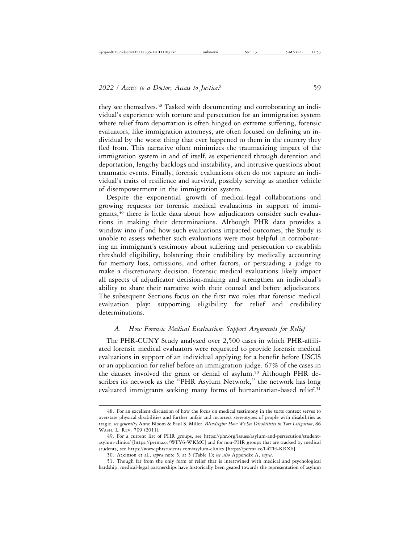they see themselves.48 Tasked with documenting and corroborating an individual's experience with torture and persecution for an immigration system where relief from deportation is often hinged on extreme suffering, forensic evaluators, like immigration attorneys, are often focused on defining an individual by the worst thing that ever happened to them in the country they fled from. This narrative often minimizes the traumatizing impact of the immigration system in and of itself, as experienced through detention and deportation, lengthy backlogs and instability, and intrusive questions about traumatic events. Finally, forensic evaluations often do not capture an individual's traits of resilience and survival, possibly serving as another vehicle of disempowerment in the immigration system.

Despite the exponential growth of medical-legal collaborations and growing requests for forensic medical evaluations in support of immigrants,<sup>49</sup> there is little data about how adjudicators consider such evaluations in making their determinations. Although PHR data provides a window into if and how such evaluations impacted outcomes, the Study is unable to assess whether such evaluations were most helpful in corroborating an immigrant's testimony about suffering and persecution to establish threshold eligibility, bolstering their credibility by medically accounting for memory loss, omissions, and other factors, or persuading a judge to make a discretionary decision. Forensic medical evaluations likely impact all aspects of adjudicator decision-making and strengthen an individual's ability to share their narrative with their counsel and before adjudicators. The subsequent Sections focus on the first two roles that forensic medical evaluation play: supporting eligibility for relief and credibility determinations.

## *A. How Forensic Medical Evaluations Support Arguments for Relief*

The PHR-CUNY Study analyzed over 2,500 cases in which PHR-affiliated forensic medical evaluators were requested to provide forensic medical evaluations in support of an individual applying for a benefit before USCIS or an application for relief before an immigration judge. 67% of the cases in the dataset involved the grant or denial of asylum.<sup>50</sup> Although PHR describes its network as the "PHR Asylum Network," the network has long evaluated immigrants seeking many forms of humanitarian-based relief.<sup>51</sup>

<sup>48.</sup> For an excellent discussion of how the focus on medical testimony in the torts context serves to overstate physical disabilities and further unfair and incorrect stereotypes of people with disabilities as tragic, *see generally* Anne Bloom & Paul S. Miller, *Blindsight: How We See Disabilities in Tort Litigation*, 86 WASH. L. REV. 709 (2011).

<sup>49.</sup> For a current list of PHR groups, see https://phr.org/issues/asylum-and-persecution/studentasylum-clinics/ [https://perma.cc/WFY6-WKMC] and for non-PHR groups that are tracked by medical students, see https://www.phrstudents.com/asylum-clinics [https://perma.cc/L4TH-KRX6].

<sup>50.</sup> Atkinson et al., *supra* note 5, at 5 (Table 1); *see also* Appendix A, *infra*.

<sup>51.</sup> Though far from the only form of relief that is intertwined with medical and psychological hardship, medical-legal partnerships have historically been geared towards the representation of asylum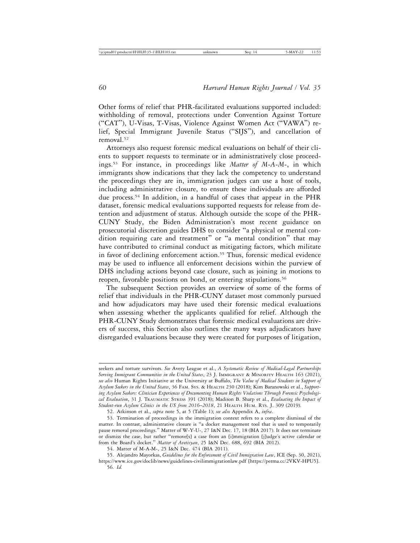Other forms of relief that PHR-facilitated evaluations supported included: withholding of removal, protections under Convention Against Torture ("CAT"), U-Visas, T-Visas, Violence Against Women Act ("VAWA") relief, Special Immigrant Juvenile Status ("SIJS"), and cancellation of removal.<sup>52</sup>

Attorneys also request forensic medical evaluations on behalf of their clients to support requests to terminate or in administratively close proceedings.53 For instance, in proceedings like *Matter of M-A-M-*, in which immigrants show indications that they lack the competency to understand the proceedings they are in, immigration judges can use a host of tools, including administrative closure, to ensure these individuals are afforded due process.54 In addition, in a handful of cases that appear in the PHR dataset, forensic medical evaluations supported requests for release from detention and adjustment of status. Although outside the scope of the PHR-CUNY Study, the Biden Administration's most recent guidance on prosecutorial discretion guides DHS to consider "a physical or mental condition requiring care and treatment" or "a mental condition" that may have contributed to criminal conduct as mitigating factors, which militate in favor of declining enforcement action.<sup>55</sup> Thus, forensic medical evidence may be used to influence all enforcement decisions within the purview of DHS including actions beyond case closure, such as joining in motions to reopen, favorable positions on bond, or entering stipulations.<sup>56</sup>

The subsequent Section provides an overview of some of the forms of relief that individuals in the PHR-CUNY dataset most commonly pursued and how adjudicators may have used their forensic medical evaluations when assessing whether the applicants qualified for relief. Although the PHR-CUNY Study demonstrates that forensic medical evaluations are drivers of success, this Section also outlines the many ways adjudicators have disregarded evaluations because they were created for purposes of litigation,

seekers and torture survivors. *See* Avery League et al., *A Systematic Review of Medical-Legal Partnerships Serving Immigrant Communities in the United States*, 23 J. IMMIGRANT & MINORITY HEALTH 163 (2021), *see also* Human Rights Initiative at the University at Buffalo, *The Value of Medical Students in Support of Asylum Seekers in the United States*, 36 FAM. SYS. & HEALTH 230 (2018); Kim Baranowski et al., *Supporting Asylum Seekers: Clinician Experiences of Documenting Human Rights Violations Through Forensic Psychological Evaluation*, 31 J. TRAUMATIC STRESS 391 (2018); Madison B. Sharp et al., *Evaluating the Impact of Student-run Asylum Clinics in the US from 2016*–*2018*, 21 HEALTH HUM. RTS. J. 309 (2019).

<sup>52.</sup> Atkinson et al., *supra* note 5, at 5 (Table 1); *see also* Appendix A, *infra*.

<sup>53.</sup> Termination of proceedings in the immigration context refers to a complete dismissal of the matter. In contrast, administrative closure is "a docket management tool that is used to temporarily pause removal proceedings." Matter of W-Y-U-, 27 I&N Dec. 17, 18 (BIA 2017). It does not terminate or dismiss the case, but rather "remove[s] a case from an [i]mmigration [j]udge's active calendar or from the Board's docket." *Matter of Avetisyan*, 25 I&N Dec. 688, 692 (BIA 2012).

<sup>54.</sup> Matter of M-A-M-, 25 I&N Dec. 474 (BIA 2011).

<sup>55.</sup> Alejandro Mayorkas, *Guidelines for the Enforcement of Civil Immigration Law*, ICE (Sep. 30, 2021), https://www.ice.gov/doclib/news/guidelines-civilimmigrationlaw.pdf [https://perma.cc/2VKV-HPU5]. 56. *Id.*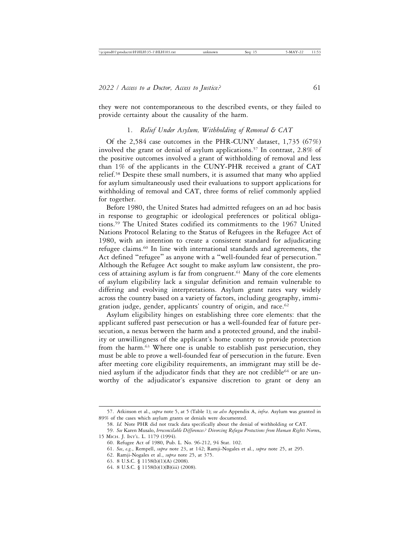they were not contemporaneous to the described events, or they failed to provide certainty about the causality of the harm.

## 1. *Relief Under Asylum, Withholding of Removal & CAT*

Of the 2,584 case outcomes in the PHR-CUNY dataset, 1,735 (67%) involved the grant or denial of asylum applications.57 In contrast, 2.8% of the positive outcomes involved a grant of withholding of removal and less than 1% of the applicants in the CUNY-PHR received a grant of CAT relief.58 Despite these small numbers, it is assumed that many who applied for asylum simultaneously used their evaluations to support applications for withholding of removal and CAT, three forms of relief commonly applied for together.

Before 1980, the United States had admitted refugees on an ad hoc basis in response to geographic or ideological preferences or political obligations.59 The United States codified its commitments to the 1967 United Nations Protocol Relating to the Status of Refugees in the Refugee Act of 1980, with an intention to create a consistent standard for adjudicating refugee claims.60 In line with international standards and agreements, the Act defined "refugee" as anyone with a "well-founded fear of persecution." Although the Refugee Act sought to make asylum law consistent, the process of attaining asylum is far from congruent.61 Many of the core elements of asylum eligibility lack a singular definition and remain vulnerable to differing and evolving interpretations. Asylum grant rates vary widely across the country based on a variety of factors, including geography, immigration judge, gender, applicants' country of origin, and race.<sup>62</sup>

Asylum eligibility hinges on establishing three core elements: that the applicant suffered past persecution or has a well-founded fear of future persecution, a nexus between the harm and a protected ground, and the inability or unwillingness of the applicant's home country to provide protection from the harm.<sup>63</sup> Where one is unable to establish past persecution, they must be able to prove a well-founded fear of persecution in the future. Even after meeting core eligibility requirements, an immigrant may still be denied asylum if the adjudicator finds that they are not credible<sup>64</sup> or are unworthy of the adjudicator's expansive discretion to grant or deny an

<sup>57.</sup> Atkinson et al., *supra* note 5, at 5 (Table 1); *see also* Appendix A, *infra*. Asylum was granted in 89% of the cases which asylum grants or denials were documented.

<sup>58.</sup> *Id.* Note PHR did not track data specifically about the denial of withholding or CAT.

<sup>59.</sup> *See* Karen Musalo, *Irreconcilable Differences? Divorcing Refugee Protections from Human Rights Norm*s, 15 MICH. J. INT'L. L. 1179 (1994).

<sup>60.</sup> Refugee Act of 1980, Pub. L. No. 96-212, 94 Stat. 102.

<sup>61.</sup> *See*, *e.g.*, Rempell, *supra* note 23, at 142; Ramji-Nogales et al., *supra* note 25, at 295.

<sup>62.</sup> Ramji-Nogales et al., *supra* note 25, at 375.

<sup>63. 8</sup> U.S.C. § 1158(b)(1)(A) (2008).

<sup>64. 8</sup> U.S.C. § 1158(b)(1)(B)(iii) (2008).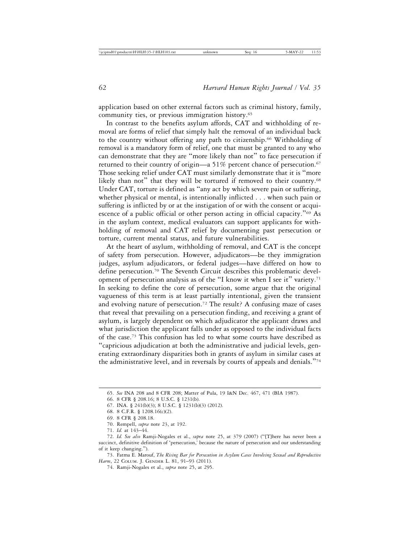application based on other external factors such as criminal history, family, community ties, or previous immigration history.<sup>65</sup>

In contrast to the benefits asylum affords, CAT and withholding of removal are forms of relief that simply halt the removal of an individual back to the country without offering any path to citizenship.<sup>66</sup> Withholding of removal is a mandatory form of relief, one that must be granted to any who can demonstrate that they are "more likely than not" to face persecution if returned to their country of origin—a 51% percent chance of persecution.<sup>67</sup> Those seeking relief under CAT must similarly demonstrate that it is "more likely than not" that they will be tortured if removed to their country.<sup>68</sup> Under CAT, torture is defined as "any act by which severe pain or suffering, whether physical or mental, is intentionally inflicted . . . when such pain or suffering is inflicted by or at the instigation of or with the consent or acquiescence of a public official or other person acting in official capacity."69 As in the asylum context, medical evaluators can support applicants for withholding of removal and CAT relief by documenting past persecution or torture, current mental status, and future vulnerabilities.

At the heart of asylum, withholding of removal, and CAT is the concept of safety from persecution. However, adjudicators—be they immigration judges, asylum adjudicators, or federal judges—have differed on how to define persecution.70 The Seventh Circuit describes this problematic development of persecution analysis as of the "I know it when I see it" variety.71 In seeking to define the core of persecution, some argue that the original vagueness of this term is at least partially intentional, given the transient and evolving nature of persecution.<sup>72</sup> The result? A confusing maze of cases that reveal that prevailing on a persecution finding, and receiving a grant of asylum, is largely dependent on which adjudicator the applicant draws and what jurisdiction the applicant falls under as opposed to the individual facts of the case.73 This confusion has led to what some courts have described as "capricious adjudication at both the administrative and judicial levels, generating extraordinary disparities both in grants of asylum in similar cases at the administrative level, and in reversals by courts of appeals and denials."<sup>74</sup>

73. Fatma E. Marouf, *The Rising Bar for Persecution in Asylum Cases Involving Sexual and Reproductive Harm*, 22 COLUM. J. GENDER L. 81, 91–93 (2011).

<sup>65.</sup> *See* INA 208 and 8 CFR 208; Matter of Pula, 19 I&N Dec. 467, 471 (BIA 1987).

<sup>66. 8</sup> CFR § 208.16; 8 U.S.C. § 1231(b).

<sup>67.</sup> INA. § 241(b)(3); 8 U.S.C. § 1231(b)(3) (2012).

<sup>68. 8</sup> C.F.R. § 1208.16(c)(2).

<sup>69. 8</sup> CFR § 208.18.

<sup>70.</sup> Rempell, *supra* note 23, at 192.

<sup>71.</sup> *Id.* at 143–44.

<sup>72.</sup> *Id. See also* Ramji-Nogales et al., *supra* note 25, at 379 (2007) ("[T]here has never been a succinct, definitive definition of 'persecution,' because the nature of persecution and our understanding of it keep changing.").

<sup>74.</sup> Ramji-Nogales et al., *supra* note 25, at 295.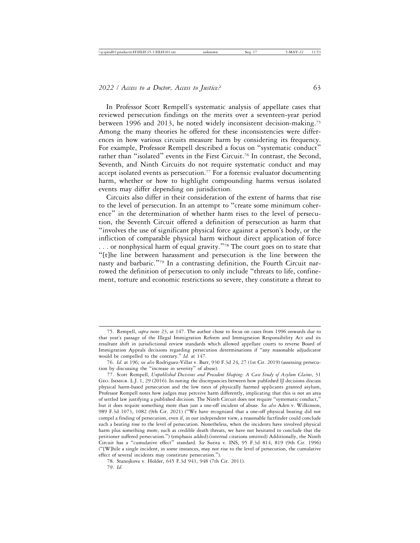In Professor Scott Rempell's systematic analysis of appellate cases that reviewed persecution findings on the merits over a seventeen-year period between 1996 and 2013, he noted widely inconsistent decision-making.75 Among the many theories he offered for these inconsistencies were differences in how various circuits measure harm by considering its frequency. For example, Professor Rempell described a focus on "systematic conduct" rather than "isolated" events in the First Circuit.<sup>76</sup> In contrast, the Second, Seventh, and Ninth Circuits do not require systematic conduct and may accept isolated events as persecution.77 For a forensic evaluator documenting harm, whether or how to highlight compounding harms versus isolated events may differ depending on jurisdiction.

Circuits also differ in their consideration of the extent of harms that rise to the level of persecution. In an attempt to "create some minimum coherence" in the determination of whether harm rises to the level of persecution, the Seventh Circuit offered a definition of persecution as harm that "involves the use of significant physical force against a person's body, or the infliction of comparable physical harm without direct application of force ... or nonphysical harm of equal gravity."<sup>78</sup> The court goes on to state that "[t]he line between harassment and persecution is the line between the nasty and barbaric."79 In a contrasting definition, the Fourth Circuit narrowed the definition of persecution to only include "threats to life, confinement, torture and economic restrictions so severe, they constitute a threat to

<sup>75.</sup> Rempell, *supra* note 23, at 147. The author chose to focus on cases from 1996 onwards due to that year's passage of the Illegal Immigration Reform and Immigration Responsibility Act and its resultant shift in jurisdictional review standards which allowed appellate courts to reverse Board of Immigration Appeals decisions regarding persecution determinations if "any reasonable adjudicator would be compelled to the contrary." *Id.* at 147.

<sup>76.</sup> *Id.* at 196; *see also* Rodriguez-Villar v. Barr, 930 F.3d 24, 27 (1st Cir. 2019) (assessing persecution by discussing the "increase in severity" of abuse).

<sup>77.</sup> Scott Rempell, *Unpublished Decisions and Precedent Shaping: A Case Study of Asylum Claims*, 31 GEO. IMMIGR. L.J. 1, 29 (2016). In noting the discrepancies between how published IJ decisions discuss physical harm-based persecution and the low rates of physically harmed applicants granted asylum, Professor Rempell notes how judges may perceive harm differently, implicating that this is not an area of settled law justifying a published decision. The Ninth Circuit does not require "systematic conduct," but it does require something more than just a one-off incident of abuse. *See also* Aden v. Wilkinson, 989 F.3d 1073, 1082 (9th Cir. 2021) ("We have recognized that a one-off physical beating did not compel a finding of persecution, even if, in our independent view, a reasonable factfinder could conclude such a beating rose to the level of persecution. Nonetheless, when the incidents have involved physical harm plus something more, such as credible death threats, we have not hesitated to conclude that the petitioner suffered persecution.") (emphasis added).(internal citations omitted) Additionally, the Ninth Circuit has a "cumulative effect" standard. *See* Surita v. INS, 95 F.3d 814, 819 (9th Cir. 1996) ("[W]hile a single incident, in some instances, may not rise to the level of persecution, the cumulative effect of several incidents may constitute persecution.").

<sup>78.</sup> Stanojkova v. Holder, 645 F.3d 943, 948 (7th Cir. 2011). 79. *Id*.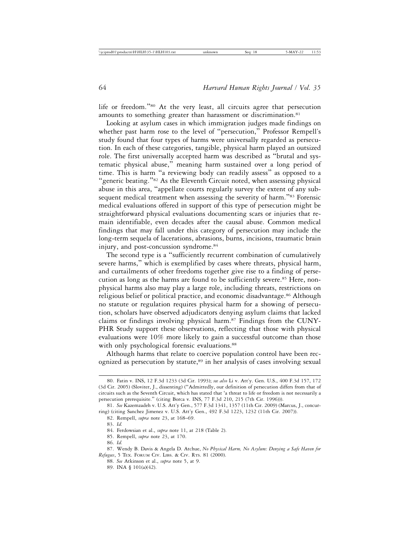life or freedom."80 At the very least, all circuits agree that persecution amounts to something greater than harassment or discrimination.<sup>81</sup>

Looking at asylum cases in which immigration judges made findings on whether past harm rose to the level of "persecution," Professor Rempell's study found that four types of harms were universally regarded as persecution. In each of these categories, tangible, physical harm played an outsized role. The first universally accepted harm was described as "brutal and systematic physical abuse," meaning harm sustained over a long period of time. This is harm "a reviewing body can readily assess" as opposed to a "generic beating."82 As the Eleventh Circuit noted, when assessing physical abuse in this area, "appellate courts regularly survey the extent of any subsequent medical treatment when assessing the severity of harm."<sup>83</sup> Forensic medical evaluations offered in support of this type of persecution might be straightforward physical evaluations documenting scars or injuries that remain identifiable, even decades after the causal abuse. Common medical findings that may fall under this category of persecution may include the long-term sequela of lacerations, abrasions, burns, incisions, traumatic brain injury, and post-concussion syndrome.<sup>84</sup>

The second type is a "sufficiently recurrent combination of cumulatively severe harms," which is exemplified by cases where threats, physical harm, and curtailments of other freedoms together give rise to a finding of persecution as long as the harms are found to be sufficiently severe.<sup>85</sup> Here, nonphysical harms also may play a large role, including threats, restrictions on religious belief or political practice, and economic disadvantage.86 Although no statute or regulation requires physical harm for a showing of persecution, scholars have observed adjudicators denying asylum claims that lacked claims or findings involving physical harm.<sup>87</sup> Findings from the CUNY-PHR Study support these observations, reflecting that those with physical evaluations were 10% more likely to gain a successful outcome than those with only psychological forensic evaluations.<sup>88</sup>

Although harms that relate to coercive population control have been recognized as persecution by statute,<sup>89</sup> in her analysis of cases involving sexual

<sup>80.</sup> Fatin v. INS, 12 F.3d 1233 (3d Cir. 1993); *see also* Li v. Att'y. Gen. U.S., 400 F.3d 157, 172 (3d Cir. 2005) (Sloviter, J., dissenting) ("Admittedly, our definition of persecution differs from that of circuits such as the Seventh Circuit, which has stated that 'a threat to life or freedom is not necessarily a persecution prerequisite." (citing Borca v. INS, 77 F.3d 210, 215 (7th Cir. 1996))).

<sup>81.</sup> *See* Kazemzadeh v. U.S. Att'y Gen., 577 F.3d 1341, 1357 (11th Cir. 2009) (Marcus, J., concurring) (citing Sanchez Jimenez v. U.S. Att'y Gen., 492 F.3d 1223, 1232 (11th Cir. 2007)).

<sup>82.</sup> Rempell, *supra* note 23, at 168–69.

<sup>83.</sup> *Id.*

<sup>84.</sup> Ferdowsian et al., *supra* note 11, at 218 (Table 2).

<sup>85.</sup> Rempell, *supra* note 23, at 170.

<sup>86.</sup> *Id.*

<sup>87.</sup> Wendy B. Davis & Angela D. Atchue, *No Physical Harm, No Asylum: Denying a Safe Haven for Refugees*, 5 TEX. FORUM CIV. LIBS. & CIV. RTS. 81 (2000).

<sup>88.</sup> *See* Atkinson et al., *supra* note 5, at 9.

<sup>89.</sup> INA § 101(a)(42).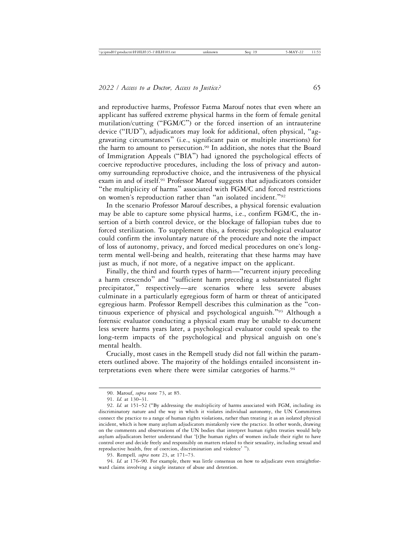and reproductive harms, Professor Fatma Marouf notes that even where an applicant has suffered extreme physical harms in the form of female genital mutilation/cutting ("FGM/C") or the forced insertion of an intrauterine device ("IUD"), adjudicators may look for additional, often physical, "aggravating circumstances" (i.e., significant pain or multiple insertions) for the harm to amount to persecution.<sup>90</sup> In addition, she notes that the Board of Immigration Appeals ("BIA") had ignored the psychological effects of coercive reproductive procedures, including the loss of privacy and autonomy surrounding reproductive choice, and the intrusiveness of the physical exam in and of itself.91 Professor Marouf suggests that adjudicators consider "the multiplicity of harms" associated with FGM/C and forced restrictions on women's reproduction rather than "an isolated incident."<sup>92</sup>

In the scenario Professor Marouf describes, a physical forensic evaluation may be able to capture some physical harms, i.e., confirm FGM/C, the insertion of a birth control device, or the blockage of fallopian tubes due to forced sterilization. To supplement this, a forensic psychological evaluator could confirm the involuntary nature of the procedure and note the impact of loss of autonomy, privacy, and forced medical procedures on one's longterm mental well-being and health, reiterating that these harms may have just as much, if not more, of a negative impact on the applicant.

Finally, the third and fourth types of harm—"recurrent injury preceding a harm crescendo" and "sufficient harm preceding a substantiated flight precipitator," respectively—are scenarios where less severe abuses culminate in a particularly egregious form of harm or threat of anticipated egregious harm. Professor Rempell describes this culmination as the "continuous experience of physical and psychological anguish."93 Although a forensic evaluator conducting a physical exam may be unable to document less severe harms years later, a psychological evaluator could speak to the long-term impacts of the psychological and physical anguish on one's mental health.

Crucially, most cases in the Rempell study did not fall within the parameters outlined above. The majority of the holdings entailed inconsistent interpretations even where there were similar categories of harms.<sup>94</sup>

93. Rempell*, supra* note 23, at 171–73.

94. *Id.* at 176–90. For example, there was little consensus on how to adjudicate even straightforward claims involving a single instance of abuse and detention.

<sup>90.</sup> Marouf, *supra* note 73, at 85.

<sup>91.</sup> *Id.* at 130–31.

<sup>92.</sup> *Id.* at 151–52 ("By addressing the multiplicity of harms associated with FGM, including its discriminatory nature and the way in which it violates individual autonomy, the UN Committees connect the practice to a range of human rights violations, rather than treating it as an isolated physical incident, which is how many asylum adjudicators mistakenly view the practice. In other words, drawing on the comments and observations of the UN bodies that interpret human rights treaties would help asylum adjudicators better understand that '[t]he human rights of women include their right to have control over and decide freely and responsibly on matters related to their sexuality, including sexual and reproductive health, free of coercion, discrimination and violence' ").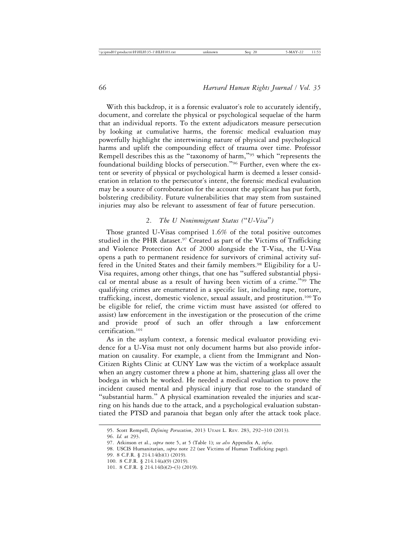With this backdrop, it is a forensic evaluator's role to accurately identify, document, and correlate the physical or psychological sequelae of the harm that an individual reports. To the extent adjudicators measure persecution by looking at cumulative harms, the forensic medical evaluation may powerfully highlight the intertwining nature of physical and psychological harms and uplift the compounding effect of trauma over time. Professor Rempell describes this as the "taxonomy of harm,"95 which "represents the foundational building blocks of persecution."96 Further, even where the extent or severity of physical or psychological harm is deemed a lesser consideration in relation to the persecutor's intent, the forensic medical evaluation may be a source of corroboration for the account the applicant has put forth, bolstering credibility. Future vulnerabilities that may stem from sustained injuries may also be relevant to assessment of fear of future persecution.

# 2. *The U Nonimmigrant Status (*"*U-Visa*"*)*

Those granted U-Visas comprised 1.6% of the total positive outcomes studied in the PHR dataset.<sup>97</sup> Created as part of the Victims of Trafficking and Violence Protection Act of 2000 alongside the T-Visa, the U-Visa opens a path to permanent residence for survivors of criminal activity suffered in the United States and their family members.<sup>98</sup> Eligibility for a U-Visa requires, among other things, that one has "suffered substantial physical or mental abuse as a result of having been victim of a crime."99 The qualifying crimes are enumerated in a specific list, including rape, torture, trafficking, incest, domestic violence, sexual assault, and prostitution.100 To be eligible for relief, the crime victim must have assisted (or offered to assist) law enforcement in the investigation or the prosecution of the crime and provide proof of such an offer through a law enforcement certification.101

As in the asylum context, a forensic medical evaluator providing evidence for a U-Visa must not only document harms but also provide information on causality. For example, a client from the Immigrant and Non-Citizen Rights Clinic at CUNY Law was the victim of a workplace assault when an angry customer threw a phone at him, shattering glass all over the bodega in which he worked. He needed a medical evaluation to prove the incident caused mental and physical injury that rose to the standard of "substantial harm." A physical examination revealed the injuries and scarring on his hands due to the attack, and a psychological evaluation substantiated the PTSD and paranoia that began only after the attack took place.

<sup>95.</sup> Scott Rempell, *Defining Persecution*, 2013 UTAH L. REV. 283, 292–310 (2013).

<sup>96.</sup> *Id.* at 293.

<sup>97.</sup> Atkinson et al., *supra* note 5, at 5 (Table 1); *see also* Appendix A, *infra*.

<sup>98.</sup> USCIS Humanitarian, *supra* note 22 (see Victims of Human Trafficking page).

<sup>99. 8</sup> C.F.R. § 214.14(b)(1) (2019).

<sup>100. 8</sup> C.F.R. § 214.14(a)(9) (2019).

<sup>101. 8</sup> C.F.R. § 214.14(b)(2)–(3) (2019).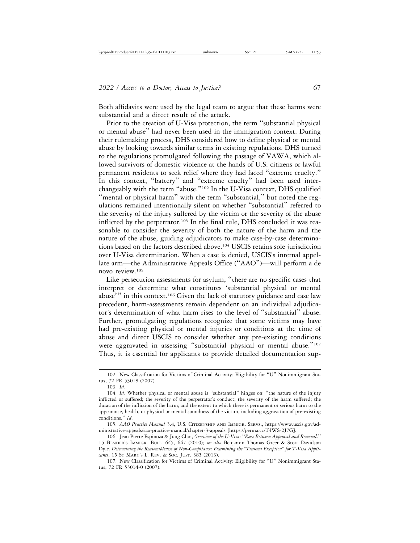Both affidavits were used by the legal team to argue that these harms were substantial and a direct result of the attack.

Prior to the creation of U-Visa protection, the term "substantial physical or mental abuse" had never been used in the immigration context. During their rulemaking process, DHS considered how to define physical or mental abuse by looking towards similar terms in existing regulations. DHS turned to the regulations promulgated following the passage of VAWA, which allowed survivors of domestic violence at the hands of U.S. citizens or lawful permanent residents to seek relief where they had faced "extreme cruelty." In this context, "battery" and "extreme cruelty" had been used interchangeably with the term "abuse."102 In the U-Visa context, DHS qualified "mental or physical harm" with the term "substantial," but noted the regulations remained intentionally silent on whether "substantial" referred to the severity of the injury suffered by the victim or the severity of the abuse inflicted by the perpetrator.<sup>103</sup> In the final rule, DHS concluded it was reasonable to consider the severity of both the nature of the harm and the nature of the abuse, guiding adjudicators to make case-by-case determinations based on the factors described above.104 USCIS retains sole jurisdiction over U-Visa determination. When a case is denied, USCIS's internal appellate arm—the Administrative Appeals Office ("AAO")—will perform a de novo review.105

Like persecution assessments for asylum, "there are no specific cases that interpret or determine what constitutes 'substantial physical or mental abuse'" in this context.<sup>106</sup> Given the lack of statutory guidance and case law precedent, harm-assessments remain dependent on an individual adjudicator's determination of what harm rises to the level of "substantial" abuse. Further, promulgating regulations recognize that some victims may have had pre-existing physical or mental injuries or conditions at the time of abuse and direct USCIS to consider whether any pre-existing conditions were aggravated in assessing "substantial physical or mental abuse."<sup>107</sup> Thus, it is essential for applicants to provide detailed documentation sup-

<sup>102.</sup> New Classification for Victims of Criminal Activity; Eligibility for "U" Nonimmigrant Status, 72 FR 53018 (2007).

<sup>103.</sup> *Id.*

<sup>104.</sup> *Id.* Whether physical or mental abuse is "substantial" hinges on: "the nature of the injury inflicted or suffered; the severity of the perpetrator's conduct; the severity of the harm suffered; the duration of the infliction of the harm; and the extent to which there is permanent or serious harm to the appearance, health, or physical or mental soundness of the victim, including aggravation of pre-existing conditions." *Id*.

<sup>105.</sup> *AAO Practice Manual* 3.4, U.S. CITIZENSHIP AND IMMIGR. SERVS., https://www.uscis.gov/administrative-appeals/aao-practice-manual/chapter-3-appeals [https://perma.cc/T4WS-2J7G].

<sup>106.</sup> Jean Pierre Espinoza & Jung Choi, *Overview of the U-Visa:* "*Race Between Approval and Removal,*" 15 BENDER'S IMMIGR. BULL. 645, 647 (2010); *see also* Benjamin Thomas Greer & Scott Davidson Dyle, *Determining the Reasonableness of Non-Compliance: Examining the "Trauma Exception" for T-Visa Applicants*, 15 ST MARY'S L. REV. & SOC. JUST. 385 (2013).

<sup>107.</sup> New Classification for Victims of Criminal Activity: Eligibility for "U" Nonimmigrant Status, 72 FR 53014-0 (2007).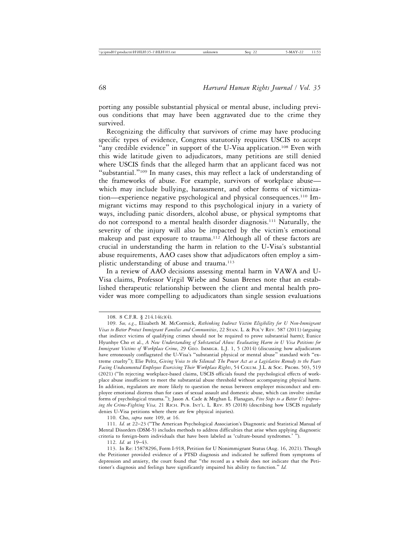porting any possible substantial physical or mental abuse, including previous conditions that may have been aggravated due to the crime they survived.

Recognizing the difficulty that survivors of crime may have producing specific types of evidence, Congress statutorily requires USCIS to accept "any credible evidence" in support of the U-Visa application.<sup>108</sup> Even with this wide latitude given to adjudicators, many petitions are still denied where USCIS finds that the alleged harm that an applicant faced was not "substantial."109 In many cases, this may reflect a lack of understanding of the frameworks of abuse. For example, survivors of workplace abuse which may include bullying, harassment, and other forms of victimization—experience negative psychological and physical consequences.110 Immigrant victims may respond to this psychological injury in a variety of ways, including panic disorders, alcohol abuse, or physical symptoms that do not correspond to a mental health disorder diagnosis.111 Naturally, the severity of the injury will also be impacted by the victim's emotional makeup and past exposure to trauma.112 Although all of these factors are crucial in understanding the harm in relation to the U-Visa's substantial abuse requirements, AAO cases show that adjudicators often employ a simplistic understanding of abuse and trauma.<sup>113</sup>

In a review of AAO decisions assessing mental harm in VAWA and U-Visa claims, Professor Virgil Wiebe and Susan Brenes note that an established therapeutic relationship between the client and mental health provider was more compelling to adjudicators than single session evaluations

110. Cho, *supra* note 109, at 16.

111. *Id.* at 22–23 ("The American Psychological Association's Diagnostic and Statistical Manual of Mental Disorders (DSM-5) includes methods to address difficulties that arise when applying diagnostic criteria to foreign-born individuals that have been labeled as 'culture-bound syndromes.' ").

112. *Id.* at 19–43.

<sup>108. 8</sup> C.F.R. § 214.14(c)(4).

<sup>109.</sup> *See, e.g*., Elizabeth M. McCormick, *Rethinking Indirect Victim Eligibility for U Non-Immigrant Visas to Better Protect Immigrant Families and Communities*, 22 STAN. L. & POL'Y REV. 587 (2011) (arguing that indirect victims of qualifying crimes should not be required to prove substantial harm); Eunice Hyunhye Cho et al., *A New Understanding of Substantial Abuse: Evaluating Harm in U Visa Petitions for Immigrant Victims of Workplace Crime*, 29 GEO. IMMIGR. L.J. 1, 5 (2014) (discussing how adjudicators have erroneously conflagrated the U-Visa's "substantial physical or mental abuse" standard with "extreme cruelty"); Elie Peltz, *Giving Voice to the Silenced: The Power Act as a Legislative Remedy to the Fears Facing Undocumented Employees Exercising Their Workplace Rights*, 54 COLUM. J.L. & SOC. PROBS. 503, 519 (2021) ("In rejecting workplace-based claims, USCIS officials found the psychological effects of workplace abuse insufficient to meet the substantial abuse threshold without accompanying physical harm. In addition, regulators are more likely to question the nexus between employer misconduct and employee emotional distress than for cases of sexual assault and domestic abuse, which can involve similar forms of psychological trauma."); Jason A. Cade & Meghan L. Flanagan, *Five Steps to a Better U: Improving the Crime-Fighting Visa,* 21 RICH. PUB. INT'L. L. REV. 85 (2018) (describing how USCIS regularly denies U-Visa petitions where there are few physical injuries).

<sup>113.</sup> In Re: 15878296, Form I-918, Petition for U Nonimmigrant Status (Aug. 16, 2021). Though the Petitioner provided evidence of a PTSD diagnosis and indicated he suffered from symptoms of depression and anxiety, the court found that "the record as a whole does not indicate that the Petitioner's diagnosis and feelings have significantly impaired his ability to function." *Id.*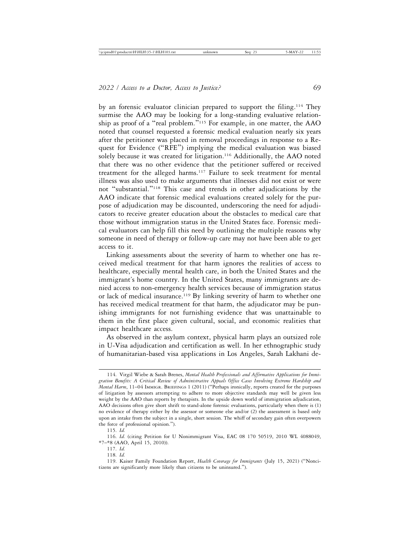by an forensic evaluator clinician prepared to support the filing.114 They surmise the AAO may be looking for a long-standing evaluative relationship as proof of a "real problem."115 For example, in one matter, the AAO noted that counsel requested a forensic medical evaluation nearly six years after the petitioner was placed in removal proceedings in response to a Request for Evidence ("RFE") implying the medical evaluation was biased solely because it was created for litigation.<sup>116</sup> Additionally, the AAO noted that there was no other evidence that the petitioner suffered or received treatment for the alleged harms.117 Failure to seek treatment for mental illness was also used to make arguments that illnesses did not exist or were not "substantial."118 This case and trends in other adjudications by the AAO indicate that forensic medical evaluations created solely for the purpose of adjudication may be discounted, underscoring the need for adjudicators to receive greater education about the obstacles to medical care that those without immigration status in the United States face. Forensic medical evaluators can help fill this need by outlining the multiple reasons why someone in need of therapy or follow-up care may not have been able to get access to it.

Linking assessments about the severity of harm to whether one has received medical treatment for that harm ignores the realities of access to healthcare, especially mental health care, in both the United States and the immigrant's home country. In the United States, many immigrants are denied access to non-emergency health services because of immigration status or lack of medical insurance.<sup>119</sup> By linking severity of harm to whether one has received medical treatment for that harm, the adjudicator may be punishing immigrants for not furnishing evidence that was unattainable to them in the first place given cultural, social, and economic realities that impact healthcare access.

As observed in the asylum context, physical harm plays an outsized role in U-Visa adjudication and certification as well. In her ethnographic study of humanitarian-based visa applications in Los Angeles, Sarah Lakhani de-

<sup>114.</sup> Virgil Wiebe & Sarah Brenes, *Mental Health Professionals and Affirmative Applications for Immigration Benefits: A Critical Review of Administrative Appeals Office Cases Involving Extreme Hardship and Mental Harm*, 11–04 IMMIGR. BRIEFINGS 1 (2011) ("Perhaps ironically, reports created for the purposes of litigation by assessors attempting to adhere to more objective standards may well be given less weight by the AAO than reports by therapists. In the upside down world of immigration adjudication, AAO decisions often give short shrift to stand-alone forensic evaluations, particularly when there is (1) no evidence of therapy either by the assessor or someone else and/or (2) the assessment is based only upon an intake from the subject in a single, short session. The whiff of secondary gain often overpowers the force of professional opinion.").

<sup>115.</sup> *Id.*

<sup>116.</sup> *Id.* (citing Petition for U Nonimmigrant Visa, EAC 08 170 50519, 2010 WL 4088049, \*7–\*8 (AAO, April 15, 2010)).

<sup>117.</sup> *Id.*

<sup>118.</sup> *Id.*

<sup>119.</sup> Kaiser Family Foundation Report, *Health Coverage for Immigrants* (July 15, 2021) ("Noncitizens are significantly more likely than citizens to be uninsured.").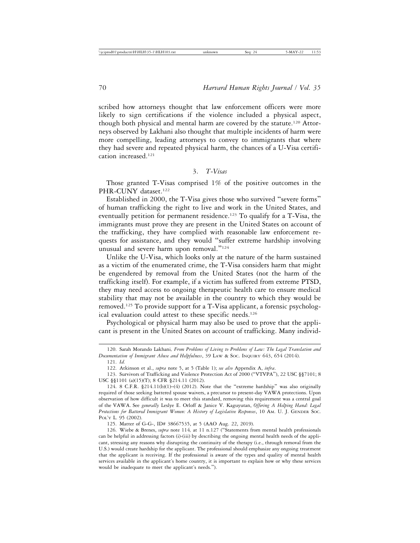scribed how attorneys thought that law enforcement officers were more likely to sign certifications if the violence included a physical aspect, though both physical and mental harm are covered by the statute.120 Attorneys observed by Lakhani also thought that multiple incidents of harm were more compelling, leading attorneys to convey to immigrants that where they had severe and repeated physical harm, the chances of a U-Visa certification increased.121

3. *T-Visas*

Those granted T-Visas comprised 1% of the positive outcomes in the PHR-CUNY dataset.<sup>122</sup>

Established in 2000, the T-Visa gives those who survived "severe forms" of human trafficking the right to live and work in the United States, and eventually petition for permanent residence.123 To qualify for a T-Visa, the immigrants must prove they are present in the United States on account of the trafficking, they have complied with reasonable law enforcement requests for assistance, and they would "suffer extreme hardship involving unusual and severe harm upon removal."<sup>124</sup>

Unlike the U-Visa, which looks only at the nature of the harm sustained as a victim of the enumerated crime, the T-Visa considers harm that might be engendered by removal from the United States (not the harm of the trafficking itself). For example, if a victim has suffered from extreme PTSD, they may need access to ongoing therapeutic health care to ensure medical stability that may not be available in the country to which they would be removed.125 To provide support for a T-Visa applicant, a forensic psychological evaluation could attest to these specific needs.126

Psychological or physical harm may also be used to prove that the applicant is present in the United States on account of trafficking. Many individ-

<sup>120.</sup> Sarah Morando Lakhani*, From Problems of Living to Problems of Law: The Legal Translation and Documentation of Immigrant Abuse and Helpfulness*, 39 LAW & SOC. INQUIRY 643, 654 (2014).

<sup>121.</sup> *Id.*

<sup>122.</sup> Atkinson et al., *supra* note 5, at 5 (Table 1); *see also* Appendix A, *infra*.

<sup>123.</sup> Survivors of Trafficking and Violence Protection Act of 2000 ("VTVPA"), 22 USC §§7101; 8 USC §§1101 (a)(15)(T); 8 CFR §214.11 (2012).

<sup>124. 8</sup> C.F.R. §214.11(b)(1)–(4) (2012). Note that the "extreme hardship" was also originally required of those seeking battered spouse waivers, a precursor to present-day VAWA protections. Upon observation of how difficult it was to meet this standard, removing this requirement was a central goal of the VAWA. See *generally* Leslye E. Orloff & Janice V. Kaguyutan, *Offering A Helping Hand: Legal Protections for Battered Immigrant Women: A History of Legislative Responses*, 10 AM. U. J. GENDER SOC. POL'Y L. 95 (2002).

<sup>125.</sup> Matter of G-G-, ID# 38667535, at 5 (AAO Aug. 22, 2019).

<sup>126.</sup> Wiebe & Brenes, *supra* note 114*,* at 11 n.127 ("Statements from mental health professionals can be helpful in addressing factors (i)-(iii) by describing the ongoing mental health needs of the applicant, stressing any reasons why disrupting the continuity of the therapy (i.e., through removal from the U.S.) would create hardship for the applicant. The professional should emphasize any ongoing treatment that the applicant is receiving. If the professional is aware of the types and quality of mental health services available in the applicant's home country, it is important to explain how or why these services would be inadequate to meet the applicant's needs.").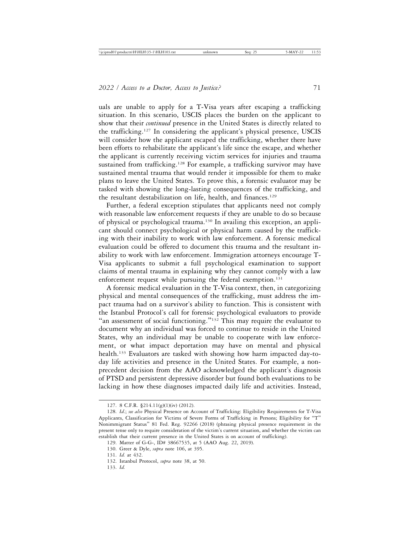uals are unable to apply for a T-Visa years after escaping a trafficking situation. In this scenario, USCIS places the burden on the applicant to show that their *continued* presence in the United States is directly related to the trafficking.127 In considering the applicant's physical presence, USCIS will consider how the applicant escaped the trafficking, whether there have been efforts to rehabilitate the applicant's life since the escape, and whether the applicant is currently receiving victim services for injuries and trauma sustained from trafficking.<sup>128</sup> For example, a trafficking survivor may have sustained mental trauma that would render it impossible for them to make plans to leave the United States. To prove this, a forensic evaluator may be tasked with showing the long-lasting consequences of the trafficking, and the resultant destabilization on life, health, and finances.<sup>129</sup>

Further, a federal exception stipulates that applicants need not comply with reasonable law enforcement requests if they are unable to do so because of physical or psychological trauma.130 In availing this exception, an applicant should connect psychological or physical harm caused by the trafficking with their inability to work with law enforcement. A forensic medical evaluation could be offered to document this trauma and the resultant inability to work with law enforcement. Immigration attorneys encourage T-Visa applicants to submit a full psychological examination to support claims of mental trauma in explaining why they cannot comply with a law enforcement request while pursuing the federal exemption.<sup>131</sup>

A forensic medical evaluation in the T-Visa context, then, in categorizing physical and mental consequences of the trafficking, must address the impact trauma had on a survivor's ability to function. This is consistent with the Istanbul Protocol's call for forensic psychological evaluators to provide "an assessment of social functioning." $132$  This may require the evaluator to document why an individual was forced to continue to reside in the United States, why an individual may be unable to cooperate with law enforcement, or what impact deportation may have on mental and physical health.133 Evaluators are tasked with showing how harm impacted day-today life activities and presence in the United States. For example, a nonprecedent decision from the AAO acknowledged the applicant's diagnosis of PTSD and persistent depressive disorder but found both evaluations to be lacking in how these diagnoses impacted daily life and activities. Instead,

133. *Id.*

<sup>127. 8</sup> C.F.R. §214.11(g)(1)(iv) (2012).

<sup>128.</sup> *Id*.; *see also* Physical Presence on Account of Trafficking: Eligibility Requirements for T-Visa Applicants, Classification for Victims of Severe Forms of Trafficking in Persons; Eligibility for "T" Nonimmigrant Status" 81 Fed. Reg. 92266 (2018) (phrasing physical presence requirement in the present tense only to require consideration of the victim's current situation, and whether the victim can establish that their current presence in the United States is on account of trafficking).

<sup>129.</sup> Matter of G-G-, ID# 38667535, at 5 (AAO Aug. 22, 2019).

<sup>130.</sup> Greer & Dyle, *supra* note 106, at 395.

<sup>131.</sup> *Id.* at 432.

<sup>132.</sup> Istanbul Protocol, *supra* note 38, at 50.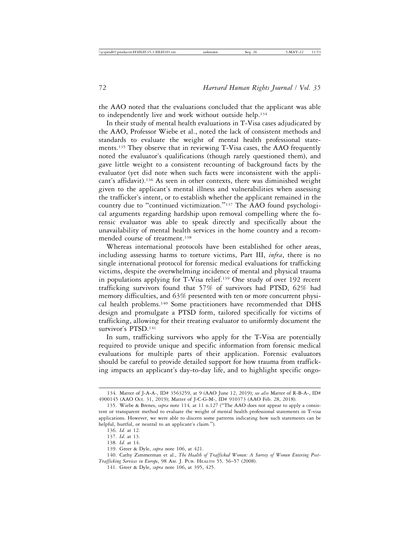the AAO noted that the evaluations concluded that the applicant was able to independently live and work without outside help.<sup>134</sup>

In their study of mental health evaluations in T-Visa cases adjudicated by the AAO, Professor Wiebe et al., noted the lack of consistent methods and standards to evaluate the weight of mental health professional statements.135 They observe that in reviewing T-Visa cases, the AAO frequently noted the evaluator's qualifications (though rarely questioned them), and gave little weight to a consistent recounting of background facts by the evaluator (yet did note when such facts were inconsistent with the applicant's affidavit).<sup>136</sup> As seen in other contexts, there was diminished weight given to the applicant's mental illness and vulnerabilities when assessing the trafficker's intent, or to establish whether the applicant remained in the country due to "continued victimization."137 The AAO found psychological arguments regarding hardship upon removal compelling where the forensic evaluator was able to speak directly and specifically about the unavailability of mental health services in the home country and a recommended course of treatment.<sup>138</sup>

Whereas international protocols have been established for other areas, including assessing harms to torture victims, Part III, *infra*, there is no single international protocol for forensic medical evaluations for trafficking victims, despite the overwhelming incidence of mental and physical trauma in populations applying for T-Visa relief.139 One study of over 192 recent trafficking survivors found that 57% of survivors had PTSD, 62% had memory difficulties, and 63% presented with ten or more concurrent physical health problems.140 Some practitioners have recommended that DHS design and promulgate a PTSD form, tailored specifically for victims of trafficking, allowing for their treating evaluator to uniformly document the survivor's PTSD.<sup>141</sup>

In sum, trafficking survivors who apply for the T-Visa are potentially required to provide unique and specific information from forensic medical evaluations for multiple parts of their application. Forensic evaluators should be careful to provide detailed support for how trauma from trafficking impacts an applicant's day-to-day life, and to highlight specific ongo-

<sup>134.</sup> Matter of J-A-A-, ID# 3563259, at 9 (AAO June 12, 2019); *see also* Matter of R-B-A-, ID# 4900145 (AAO Oct. 31, 2019); Matter of J-C-G-M-, ID# 910373 (AAO Feb. 28, 2018).

<sup>135.</sup> Wiebe & Brenes, *supra* note 114*,* at 11 n.127 ("The AAO does not appear to apply a consistent or transparent method to evaluate the weight of mental health professional statements in T-visa applications. However, we were able to discern some patterns indicating how such statements can be helpful, hurtful, or neutral to an applicant's claim.").

<sup>136.</sup> *Id.* at 12.

<sup>137.</sup> *Id*. at 13.

<sup>138.</sup> *Id.* at 14.

<sup>139.</sup> Greer & Dyle, *supra* note 106, at 421.

<sup>140.</sup> Cathy Zimmerman et al., *The Health of Trafficked Women: A Survey of Women Entering Post-Trafficking Services in Europe*, 98 AM. J. PUB. HEALTH 55*,* 56–57 (2008).

<sup>141.</sup> Greer & Dyle, *supra* note 106, at 395, 425.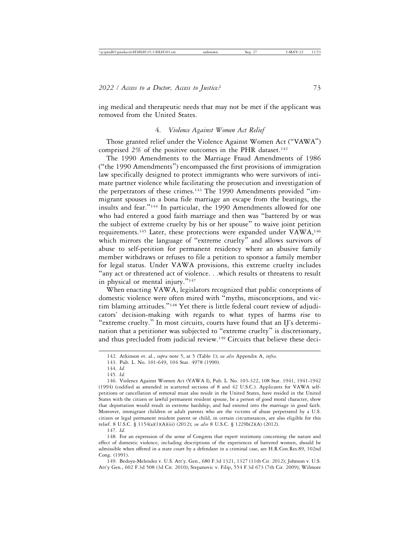ing medical and therapeutic needs that may not be met if the applicant was removed from the United States.

# 4. *Violence Against Women Act Relief*

Those granted relief under the Violence Against Women Act ("VAWA") comprised  $2\%$  of the positive outcomes in the PHR dataset.<sup>142</sup>

The 1990 Amendments to the Marriage Fraud Amendments of 1986 ("the 1990 Amendments") encompassed the first provisions of immigration law specifically designed to protect immigrants who were survivors of intimate partner violence while facilitating the prosecution and investigation of the perpetrators of these crimes.<sup>143</sup> The 1990 Amendments provided "immigrant spouses in a bona fide marriage an escape from the beatings, the insults and fear."144 In particular, the 1990 Amendments allowed for one who had entered a good faith marriage and then was "battered by or was the subject of extreme cruelty by his or her spouse" to waive joint petition requirements.<sup>145</sup> Later, these protections were expanded under VAWA,<sup>146</sup> which mirrors the language of "extreme cruelty" and allows survivors of abuse to self-petition for permanent residency where an abusive family member withdraws or refuses to file a petition to sponsor a family member for legal status. Under VAWA provisions, this extreme cruelty includes "any act or threatened act of violence. . .which results or threatens to result in physical or mental injury."<sup>147</sup>

When enacting VAWA, legislators recognized that public conceptions of domestic violence were often mired with "myths, misconceptions, and victim blaming attitudes."148 Yet there is little federal court review of adjudicators' decision-making with regards to what types of harms rise to "extreme cruelty." In most circuits, courts have found that an IJ's determination that a petitioner was subjected to "extreme cruelty" is discretionary, and thus precluded from judicial review.149 Circuits that believe these deci-

147. *Id.*

148. For an expression of the sense of Congress that expert testimony concerning the nature and effect of domestic violence, including descriptions of the experiences of battered women, should be admissible when offered in a state court by a defendant in a criminal case, see H.R.Con.Res.89, 102nd Cong. (1991).

149. Bedoya-Melendez v. U.S. Att'y. Gen., 680 F.3d 1321, 1327 (11th Cir. 2012); Johnson v. U.S. Att'y Gen., 602 F.3d 508 (3d Cir. 2010); Stepanovic v. Filip, 554 F.3d 673 (7th Cir. 2009); Wilmore

<sup>142.</sup> Atkinson et. al., *supra* note 5, at 5 (Table 1); *see also* Appendix A, *infra*.

<sup>143.</sup> Pub. L. No. 101-649, 104 Stat. 4978 (1990).

<sup>144.</sup> *Id.*

<sup>145.</sup> *Id.*

<sup>146.</sup> Violence Against Women Act (VAWA I), Pub. L. No. 103-322, 108 Stat. 1941, 1941-1942 (1994) (codified as amended in scattered sections of 8 and 42 U.S.C.). Applicants for VAWA selfpetitions or cancellation of removal must also reside in the United States, have resided in the United States with the citizen or lawful permanent resident spouse, be a person of good moral character, show that deportation would result in extreme hardship, and had entered into the marriage in good faith. Moreover, immigrant children or adult parents who are the victims of abuse perpetrated by a U.S. citizen or legal permanent resident parent or child, in certain circumstances, are also eligible for this relief. 8 U.S.C. § 1154(a)(1)(A)(iii) (2012); *see also* 8 U.S.C. § 1229b(2)(A) (2012).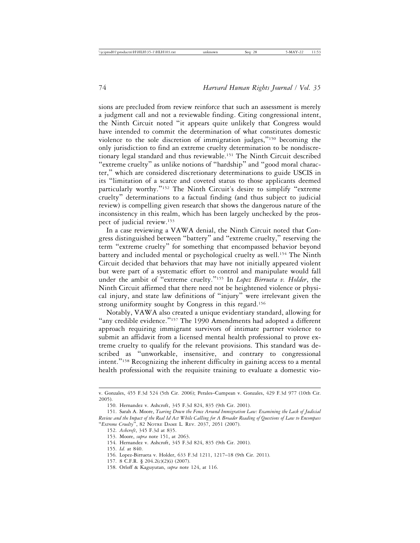sions are precluded from review reinforce that such an assessment is merely a judgment call and not a reviewable finding. Citing congressional intent, the Ninth Circuit noted "it appears quite unlikely that Congress would have intended to commit the determination of what constitutes domestic violence to the sole discretion of immigration judges,"150 becoming the only jurisdiction to find an extreme cruelty determination to be nondiscretionary legal standard and thus reviewable.151 The Ninth Circuit described "extreme cruelty" as unlike notions of "hardship" and "good moral character," which are considered discretionary determinations to guide USCIS in its "limitation of a scarce and coveted status to those applicants deemed particularly worthy."<sup>152</sup> The Ninth Circuit's desire to simplify "extreme cruelty" determinations to a factual finding (and thus subject to judicial review) is compelling given research that shows the dangerous nature of the inconsistency in this realm, which has been largely unchecked by the prospect of judicial review.153

In a case reviewing a VAWA denial, the Ninth Circuit noted that Congress distinguished between "battery" and "extreme cruelty," reserving the term "extreme cruelty" for something that encompassed behavior beyond battery and included mental or psychological cruelty as well.<sup>154</sup> The Ninth Circuit decided that behaviors that may have not initially appeared violent but were part of a systematic effort to control and manipulate would fall under the ambit of "extreme cruelty."155 In *Lopez Birrueta v. Holder*, the Ninth Circuit affirmed that there need not be heightened violence or physical injury, and state law definitions of "injury" were irrelevant given the strong uniformity sought by Congress in this regard.<sup>156</sup>

Notably, VAWA also created a unique evidentiary standard, allowing for "any credible evidence."<sup>157</sup> The 1990 Amendments had adopted a different approach requiring immigrant survivors of intimate partner violence to submit an affidavit from a licensed mental health professional to prove extreme cruelty to qualify for the relevant provisions. This standard was described as "unworkable, insensitive, and contrary to congressional intent."158 Recognizing the inherent difficulty in gaining access to a mental health professional with the requisite training to evaluate a domestic vio-

154. Hernandez v. Ashcroft, 345 F.3d 824, 835 (9th Cir. 2001).

156. Lopez-Birrueta v. Holder, 633 F.3d 1211, 1217–18 (9th Cir. 2011).

158. Orloff & Kaguyutan, *supra* note 124, at 116.

v. Gonzales, 455 F.3d 524 (5th Cir. 2006); Perales–Cumpean v. Gonzales, 429 F.3d 977 (10th Cir. 2005).

<sup>150.</sup> Hernandez v. Ashcroft, 345 F.3d 824, 835 (9th Cir. 2001).

<sup>151.</sup> Sarah A. Moore, *Tearing Down the Fence Around Immigration Law: Examining the Lack of Judicial Review and the Impact of the Real Id Act While Calling for A Broader Reading of Questions of Law to Encompass* "*Extreme Cruelty*", 82 NOTRE DAME L. REV. 2037, 2051 (2007).

<sup>152.</sup> *Ashcroft*, 345 F.3d at 835.

<sup>153.</sup> Moore, *supra* note 151, at 2063.

<sup>155.</sup> *Id.* at 840.

<sup>157. 8</sup> C.F.R. § 204.2(c)(2)(i) (2007).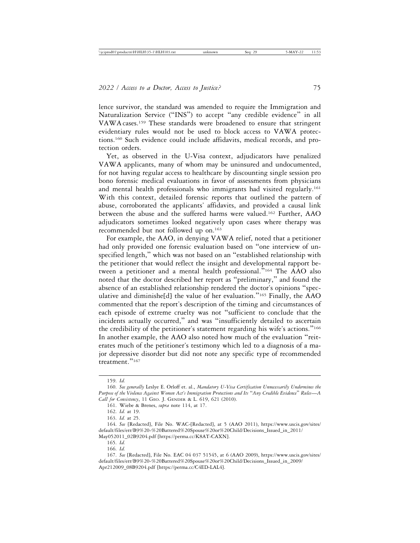lence survivor, the standard was amended to require the Immigration and Naturalization Service ("INS") to accept "any credible evidence" in all VAWA cases.159 These standards were broadened to ensure that stringent evidentiary rules would not be used to block access to VAWA protections.160 Such evidence could include affidavits, medical records, and protection orders.

Yet, as observed in the U-Visa context, adjudicators have penalized VAWA applicants, many of whom may be uninsured and undocumented, for not having regular access to healthcare by discounting single session pro bono forensic medical evaluations in favor of assessments from physicians and mental health professionals who immigrants had visited regularly.161 With this context, detailed forensic reports that outlined the pattern of abuse, corroborated the applicants' affidavits, and provided a causal link between the abuse and the suffered harms were valued.162 Further, AAO adjudicators sometimes looked negatively upon cases where therapy was recommended but not followed up on.<sup>163</sup>

For example, the AAO, in denying VAWA relief, noted that a petitioner had only provided one forensic evaluation based on "one interview of unspecified length," which was not based on an "established relationship with the petitioner that would reflect the insight and developmental rapport between a petitioner and a mental health professional."164 The AAO also noted that the doctor described her report as "preliminary," and found the absence of an established relationship rendered the doctor's opinions "speculative and diminishe[d] the value of her evaluation."165 Finally, the AAO commented that the report's description of the timing and circumstances of each episode of extreme cruelty was not "sufficient to conclude that the incidents actually occurred," and was "insufficiently detailed to ascertain the credibility of the petitioner's statement regarding his wife's actions."<sup>166</sup> In another example, the AAO also noted how much of the evaluation "reiterates much of the petitioner's testimony which led to a diagnosis of a major depressive disorder but did not note any specific type of recommended treatment."<sup>167</sup>

165. *Id.*

166. *Id.*

<sup>159.</sup> *Id.*

<sup>160.</sup> *See generally* Leslye E. Orloff et. al., *Mandatory U-Visa Certification Unnecessarily Undermines the Purpose of the Violence Against Women Act's Immigration Protections and Its* "*Any Credible Evidence*" *Rules*—*A Call for Consistency*, 11 GEO. J. GENDER & L. 619, 621 (2010).

<sup>161.</sup> Wiebe & Brenes, *supra* note 114, at 17.

<sup>162.</sup> *Id.* at 19.

<sup>163.</sup> *Id.* at 25.

<sup>164.</sup> *See* [Redacted], File No. WAC-[Redacted], at 5 (AAO 2011), https://www.uscis.gov/sites/ default/files/err/B9%20-%20Battered%20Spouse%20or%20Child/Decisions\_Issued\_in\_2011/ May052011\_02B9204.pdf [https://perma.cc/K8AT-CAXN].

<sup>167.</sup> *See* [Redacted], File No. EAC 04 037 51545, at 6 (AAO 2009), https://www.uscis.gov/sites/ default/files/err/B9%20-%20Battered%20Spouse%20or%20Child/Decisions\_Issued\_in\_2009/ Apr212009\_08B9204.pdf [https://perma.cc/C4ED-LAL4].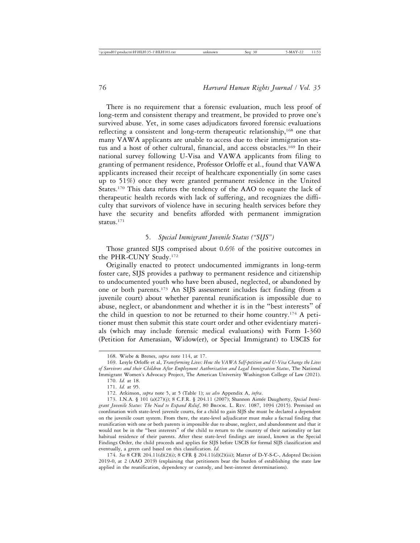There is no requirement that a forensic evaluation, much less proof of long-term and consistent therapy and treatment, be provided to prove one's survived abuse. Yet, in some cases adjudicators favored forensic evaluations reflecting a consistent and long-term therapeutic relationship,<sup>168</sup> one that many VAWA applicants are unable to access due to their immigration status and a host of other cultural, financial, and access obstacles.<sup>169</sup> In their national survey following U-Visa and VAWA applicants from filing to granting of permanent residence, Professor Orloffe et al., found that VAWA applicants increased their receipt of healthcare exponentially (in some cases up to 51%) once they were granted permanent residence in the United States.170 This data refutes the tendency of the AAO to equate the lack of therapeutic health records with lack of suffering, and recognizes the difficulty that survivors of violence have in securing health services before they have the security and benefits afforded with permanent immigration status.171

# 5. *Special Immigrant Juvenile Status ("SIJS")*

Those granted SIJS comprised about 0.6% of the positive outcomes in the PHR-CUNY Study.172

Originally enacted to protect undocumented immigrants in long-term foster care, SIJS provides a pathway to permanent residence and citizenship to undocumented youth who have been abused, neglected, or abandoned by one or both parents.173 An SIJS assessment includes fact finding (from a juvenile court) about whether parental reunification is impossible due to abuse, neglect, or abandonment and whether it is in the "best interests" of the child in question to not be returned to their home country.<sup>174</sup> A petitioner must then submit this state court order and other evidentiary materials (which may include forensic medical evaluations) with Form I-360 (Petition for Amerasian, Widow(er), or Special Immigrant) to USCIS for

174. *See* 8 CFR 204.11(d)(2)(i); 8 CFR § 204.11(d)(2)(iii); Matter of D-Y-S-C-, Adopted Decision 2019-0, at 2 (AAO 2019) (explaining that petitioners bear the burden of establishing the state law applied in the reunification, dependency or custody, and best-interest determinations).

<sup>168.</sup> Wiebe & Brenes, *supra* note 114, at 17.

<sup>169.</sup> Lesyle Orloffe et al, *Transforming Lives: How the VAWA Self-petition and U-Visa Change the Lives of Survivors and their Children After Employment Authorization and Legal Immigration Status*, The National Immigrant Women's Advocacy Project, The American University Washington College of Law (2021). 170. *Id.* at 18.

<sup>171.</sup> *Id.* at 95.

<sup>172.</sup> Atkinson, *supra* note 5, at 5 (Table 1); *see also* Appendix A, *infra*.

<sup>173.</sup> I.N.A. § 101 (a)(27)(j); 8 C.F.R. § 204.11 (2007); Shannon Aimée Daugherty, Special Immi*grant Juvenile Status: The Need to Expand Relief*, 80 BROOK. L. REV. 1087, 1094 (2015). Premised on coordination with state-level juvenile courts, for a child to gain SIJS she must be declared a dependent on the juvenile court system. From there, the state-level adjudicator must make a factual finding that reunification with one or both parents is impossible due to abuse, neglect, and abandonment and that it would not be in the "best interests" of the child to return to the country of their nationality or last habitual residence of their parents. After these state-level findings are issued, known as the Special Findings Order, the child proceeds and applies for SIJS before USCIS for formal SIJS classification and eventually, a green card based on this classification. *Id.*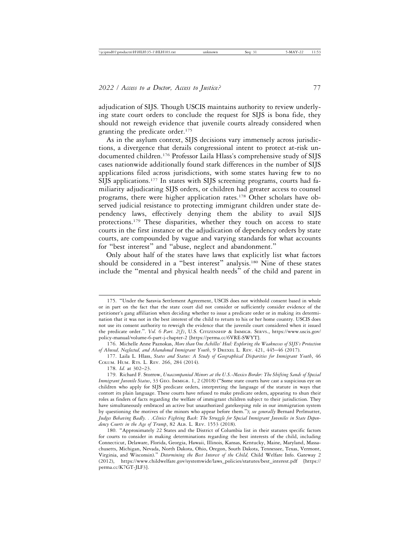adjudication of SIJS. Though USCIS maintains authority to review underlying state court orders to conclude the request for SIJS is bona fide, they should not reweigh evidence that juvenile courts already considered when granting the predicate order.175

As in the asylum context, SIJS decisions vary immensely across jurisdictions, a divergence that derails congressional intent to protect at-risk undocumented children.176 Professor Laila Hlass's comprehensive study of SIJS cases nationwide additionally found stark differences in the number of SIJS applications filed across jurisdictions, with some states having few to no SIJS applications.177 In states with SIJS screening programs, courts had familiarity adjudicating SIJS orders, or children had greater access to counsel programs, there were higher application rates.178 Other scholars have observed judicial resistance to protecting immigrant children under state dependency laws, effectively denying them the ability to avail SIJS protections.179 These disparities, whether they touch on access to state courts in the first instance or the adjudication of dependency orders by state courts, are compounded by vague and varying standards for what accounts for "best interest" and "abuse, neglect and abandonment."

Only about half of the states have laws that explicitly list what factors should be considered in a "best interest" analysis.180 Nine of these states include the "mental and physical health needs" of the child and parent in

<sup>175.</sup> "Under the Saravia Settlement Agreement, USCIS does not withhold consent based in whole or in part on the fact that the state court did not consider or sufficiently consider evidence of the petitioner's gang affiliation when deciding whether to issue a predicate order or in making its determination that it was not in the best interest of the child to return to his or her home country. USCIS does not use its consent authority to reweigh the evidence that the juvenile court considered when it issued the predicate order.". *Vol. 6 Part. 2(J)*, U.S. CITIZENSHIP & IMMIGR. SERVS., https://www.uscis.gov/ policy-manual/volume-6-part-j-chapter-2 [https://perma.cc/6VRE-SWYT].

<sup>176.</sup> Michelle Anne Paznokas, *More than One Achilles' Heel: Exploring the Weaknesses of SIJS's Protection of Abused, Neglected, and Abandoned Immigrant Youth*, 9 DREXEL L. REV. 421, 445–46 (2017).

<sup>177.</sup> Laila L. Hlass, *States and Status: A Study of Geographical Disparities for Immigrant Youth*, 46 COLUM. HUM. RTS. L. REV. 266, 284 (2014).

<sup>178.</sup> *Id.* at 302–23.

<sup>179.</sup> Richard F. Storrow, *Unaccompanied Minors at the U.S.-Mexico Border: The Shifting Sands of Special Immigrant Juvenile Status*, 33 GEO. IMMIGR. 1, 2 (2018) ("Some state courts have cast a suspicious eye on children who apply for SIJS predicate orders, interpreting the language of the statute in ways that contort its plain language. These courts have refused to make predicate orders, appearing to shun their roles as finders of facts regarding the welfare of immigrant children subject to their jurisdiction. They have simultaneously embraced an active but unauthorized gatekeeping role in our immigration system by questioning the motives of the minors who appear before them."); *see generally* Bernard Perlmutter, *Judges Behaving Badly. . .Clinics Fighting Back: The Struggle for Special Immigrant Juveniles in State Dependency Courts in the Age of Trump*, 82 ALB. L. REV. 1553 (2018).

<sup>180.</sup> "Approximately 22 States and the District of Columbia list in their statutes specific factors for courts to consider in making determinations regarding the best interests of the child, including Connecticut, Delaware, Florida, Georgia, Hawaii, Illinois, Kansas, Kentucky, Maine, Maryland, Massachusetts, Michigan, Nevada, North Dakota, Ohio, Oregon, South Dakota, Tennessee, Texas, Vermont, Virginia, and Wisconsin)." *Determining the Best Interest of the Child,* Child Welfare Info. Gateway 2 (2012), https://www.childwelfare.gov/systemwide/laws\_policies/statutes/best\_interest.pdf [https:// perma.cc/K7GT-JLF3].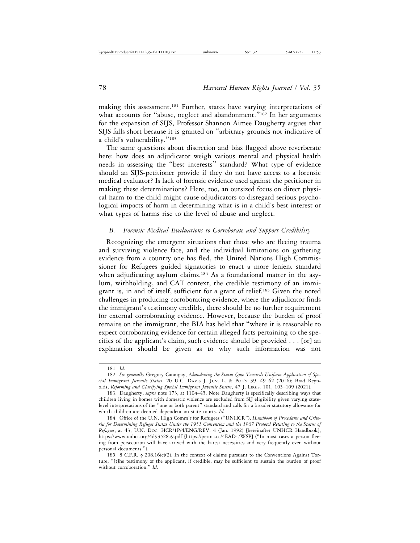making this assessment.181 Further, states have varying interpretations of what accounts for "abuse, neglect and abandonment."<sup>182</sup> In her arguments for the expansion of SIJS, Professor Shannon Aimee Daugherty argues that SIJS falls short because it is granted on "arbitrary grounds not indicative of a child's vulnerability."<sup>183</sup>

The same questions about discretion and bias flagged above reverberate here: how does an adjudicator weigh various mental and physical health needs in assessing the "best interests" standard? What type of evidence should an SIJS-petitioner provide if they do not have access to a forensic medical evaluator? Is lack of forensic evidence used against the petitioner in making these determinations? Here, too, an outsized focus on direct physical harm to the child might cause adjudicators to disregard serious psychological impacts of harm in determining what is in a child's best interest or what types of harms rise to the level of abuse and neglect.

# *B. Forensic Medical Evaluations to Corroborate and Support Credibility*

Recognizing the emergent situations that those who are fleeing trauma and surviving violence face, and the individual limitations on gathering evidence from a country one has fled, the United Nations High Commissioner for Refugees guided signatories to enact a more lenient standard when adjudicating asylum claims.<sup>184</sup> As a foundational matter in the asylum, withholding, and CAT context, the credible testimony of an immigrant is, in and of itself, sufficient for a grant of relief.185 Given the noted challenges in producing corroborating evidence, where the adjudicator finds the immigrant's testimony credible, there should be no further requirement for external corroborating evidence. However, because the burden of proof remains on the immigrant, the BIA has held that "where it is reasonable to expect corroborating evidence for certain alleged facts pertaining to the specifics of the applicant's claim, such evidence should be provided . . . [or] an explanation should be given as to why such information was not

<sup>181.</sup> *Id.*

<sup>182.</sup> *See generally* Gregory Catangay, *Abandoning the Status Quo: Towards Uniform Application of Special Immigrant Juvenile Status*, 20 U.C. DAVIS J. JUV. L. & POL'Y 39, 49–62 (2016); Brad Reynolds, *Reforming and Clarifying Special Immigrant Juvenile Status*, 47 J. LEGIS. 101, 105–109 (2021).

<sup>183.</sup> Daugherty, *supra* note 173, at 1104–45. Note Daugherty is specifically describing ways that children living in homes with domestic violence are excluded from SIJ eligibility given varying statelevel interpretations of the "one or both parent" standard and calls for a broader statutory allowance for which children are deemed dependent on state courts. *Id.*

<sup>184.</sup> Office of the U.N. High Comm'r for Refugees ("UNHCR"), *Handbook of Procedures and Criteria for Determining Refugee Status Under the 1951 Convention and the 1967 Protocol Relating to the Status of Refugees*, at 43, U.N. DOC. HCR/1P/4/ENG/REV. 4 (Jan. 1992) [hereinafter UNHCR Handbook], https://www.unhcr.org/4d93528a9.pdf [https://perma.cc/4EAD-7WSP] ("In most cases a person fleeing from persecution will have arrived with the barest necessities and very frequently even without personal documents.").

<sup>185. 8</sup> C.F.R. § 208.16(c)(2). In the context of claims pursuant to the Conventions Against Torture, "[t]he testimony of the applicant, if credible, may be sufficient to sustain the burden of proof without corroboration." *Id*.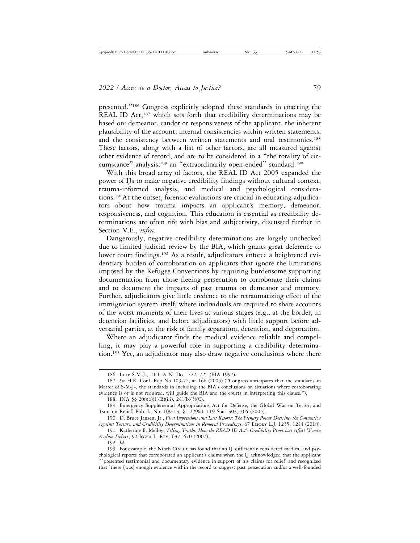presented."186 Congress explicitly adopted these standards in enacting the REAL ID Act,<sup>187</sup> which sets forth that credibility determinations may be based on: demeanor, candor or responsiveness of the applicant, the inherent plausibility of the account, internal consistencies within written statements, and the consistency between written statements and oral testimonies.<sup>188</sup> These factors, along with a list of other factors, are all measured against other evidence of record, and are to be considered in a "the totality of circumstance" analysis,<sup>189</sup> an "extraordinarily open-ended" standard.<sup>190</sup>

With this broad array of factors, the REAL ID Act 2005 expanded the power of IJs to make negative credibility findings without cultural context, trauma-informed analysis, and medical and psychological considerations.191At the outset, forensic evaluations are crucial in educating adjudicators about how trauma impacts an applicant's memory, demeanor, responsiveness, and cognition. This education is essential as credibility determinations are often rife with bias and subjectivity, discussed further in Section V.E., *infra*.

Dangerously, negative credibility determinations are largely unchecked due to limited judicial review by the BIA, which grants great deference to lower court findings.<sup>192</sup> As a result, adjudicators enforce a heightened evidentiary burden of corroboration on applicants that ignore the limitations imposed by the Refugee Conventions by requiring burdensome supporting documentation from those fleeing persecution to corroborate their claims and to document the impacts of past trauma on demeanor and memory. Further, adjudicators give little credence to the retraumatizing effect of the immigration system itself, where individuals are required to share accounts of the worst moments of their lives at various stages (e.g., at the border, in detention facilities, and before adjudicators) with little support before adversarial parties, at the risk of family separation, detention, and deportation.

Where an adjudicator finds the medical evidence reliable and compelling, it may play a powerful role in supporting a credibility determination.193 Yet, an adjudicator may also draw negative conclusions where there

188. INA §§ 208(b)(1)(B)(iii), 241(b)(3)(C).

192. *Id.*

<sup>186.</sup> In re S-M-J-, 21 I. & N. Dec. 722, 725 (BIA 1997).

<sup>187.</sup> *See* H.R. Conf. Rep No 109-72, at 166 (2005) ("Congress anticipates that the standards in Matter of S-M-J-, the standards in including the BIA's conclusions on situations where corroborating evidence is or is not required, will guide the BIA and the courts in interpreting this clause.").

<sup>189.</sup> Emergency Supplemental Appropriations Act for Defense, the Global War on Terror, and Tsunami Relief, Pub. L. No. 109-13, § 1229(a), 119 Stat. 303, 305 (2005).

<sup>190.</sup> D. Bruce Janzen, Jr., *First Impressions and Last Resorts: The Plenary Power Doctrine, the Convention Against Torture, and Credibility Determinations in Removal Proceedings*, 67 EMORY L.J. 1235, 1244 (2018).

<sup>191.</sup> Katherine E. Melloy, *Telling Truths: How the READ ID Act's Credibility Provisions Affect Women Asylum Seekers*, 92 IOWA L. REV. 637, 670 (2007).

<sup>193.</sup> For example, the Ninth Circuit has found that an IJ sufficiently considered medical and psychological reports that corroborated an applicant's claims when the IJ acknowledged that the applicant "'presented testimonial and documentary evidence in support of his claims for relief' and recognized that 'there [was] enough evidence within the record to suggest past persecution and/or a well-founded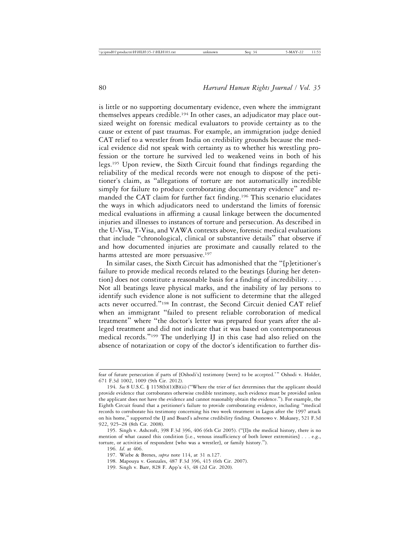is little or no supporting documentary evidence, even where the immigrant themselves appears credible.194 In other cases, an adjudicator may place outsized weight on forensic medical evaluators to provide certainty as to the cause or extent of past traumas. For example, an immigration judge denied CAT relief to a wrestler from India on credibility grounds because the medical evidence did not speak with certainty as to whether his wrestling profession or the torture he survived led to weakened veins in both of his legs.195 Upon review, the Sixth Circuit found that findings regarding the reliability of the medical records were not enough to dispose of the petitioner's claim, as "allegations of torture are not automatically incredible simply for failure to produce corroborating documentary evidence" and remanded the CAT claim for further fact finding.196 This scenario elucidates the ways in which adjudicators need to understand the limits of forensic medical evaluations in affirming a causal linkage between the documented injuries and illnesses to instances of torture and persecution. As described in the U-Visa, T-Visa, and VAWA contexts above, forensic medical evaluations that include "chronological, clinical or substantive details" that observe if and how documented injuries are proximate and causally related to the harms attested are more persuasive.<sup>197</sup>

In similar cases, the Sixth Circuit has admonished that the "[p]etitioner's failure to provide medical records related to the beatings [during her detention] does not constitute a reasonable basis for a finding of incredibility. . . . Not all beatings leave physical marks, and the inability of lay persons to identify such evidence alone is not sufficient to determine that the alleged acts never occurred."198 In contrast, the Second Circuit denied CAT relief when an immigrant "failed to present reliable corroboration of medical treatment" where "the doctor's letter was prepared four years after the alleged treatment and did not indicate that it was based on contemporaneous medical records."199 The underlying IJ in this case had also relied on the absence of notarization or copy of the doctor's identification to further dis-

196. *Id*. at 406.

- 198. Mapouya v. Gonzales, 487 F.3d 396, 415 (6th Cir. 2007).
- 199. Singh v. Barr, 828 F. App'x 43, 48 (2d Cir. 2020).

fear of future persecution if parts of [Oshodi's] testimony [were] to be accepted.'" Oshodi v. Holder, 671 F.3d 1002, 1009 (9th Cir. 2012).

<sup>194.</sup> *See* 8 U.S.C. § 1158(b)(1)(B)(ii) ("Where the trier of fact determines that the applicant should provide evidence that corroborates otherwise credible testimony, such evidence must be provided unless the applicant does not have the evidence and cannot reasonably obtain the evidence."). For example, the Eighth Circuit found that a petitioner's failure to provide corroborating evidence, including "medical records to corroborate his testimony concerning his two week treatment in Lagos after the 1997 attack on his home," supported the IJ and Board's adverse credibility finding. Osonowo v. Mukasey, 521 F.3d 922, 925–28 (8th Cir. 2008).

<sup>195.</sup> Singh v. Ashcroft, 398 F.3d 396, 406 (6th Cir 2005). ("[I]n the medical history, there is no mention of what caused this condition [i.e., venous insufficiency of both lower extremities] . . . e.g., torture, or activities of respondent [who was a wrestler], or family history.").

<sup>197.</sup> Wiebe & Brenes, *supra* note 114, at 31 n.127.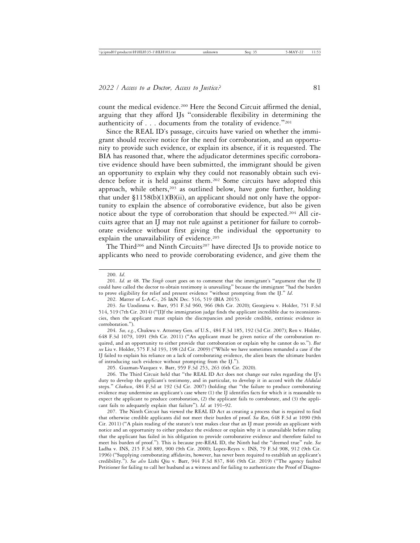count the medical evidence.<sup>200</sup> Here the Second Circuit affirmed the denial, arguing that they afford IJs "considerable flexibility in determining the authenticity of  $\dots$  documents from the totality of evidence."<sup>201</sup>

Since the REAL ID's passage, circuits have varied on whether the immigrant should receive notice for the need for corroboration, and an opportunity to provide such evidence, or explain its absence, if it is requested. The BIA has reasoned that, where the adjudicator determines specific corroborative evidence should have been submitted, the immigrant should be given an opportunity to explain why they could not reasonably obtain such evidence before it is held against them.202 Some circuits have adopted this approach, while others, $203$  as outlined below, have gone further, holding that under  $$1158(b)(1)(B)(ii)$ , an applicant should not only have the opportunity to explain the absence of corroborative evidence, but also be given notice about the type of corroboration that should be expected.204 All circuits agree that an IJ may not rule against a petitioner for failure to corroborate evidence without first giving the individual the opportunity to explain the unavailability of evidence.<sup>205</sup>

The Third<sup>206</sup> and Ninth Circuits<sup>207</sup> have directed IJs to provide notice to applicants who need to provide corroborating evidence, and give them the

200. *Id*.

202. Matter of L-A-C-, 26 I&N Dec. 516, 519 (BIA 2015).

204. *See, e.g.*, Chukwu v. Attorney Gen. of U.S., 484 F.3d 185, 192 (3d Cir. 2007); Ren v. Holder, 648 F.3d 1079, 1091 (9th Cir. 2011) ("An applicant must be given notice of the corroboration required, and an opportunity to either provide that corroboration or explain why he cannot do so."). *But see* Liu v. Holder, 575 F.3d 193, 198 (2d Cir. 2009) ("While we have sometimes remanded a case if the IJ failed to explain his reliance on a lack of corroborating evidence, the alien bears the ultimate burden of introducing such evidence without prompting from the IJ.").

205. Guzman-Vazquez v. Barr, 959 F.3d 253, 263 (6th Cir. 2020).

206. The Third Circuit held that "the REAL ID Act does not change our rules regarding the IJ's duty to develop the applicant's testimony, and in particular, to develop it in accord with the *Abdulai* steps." *Chukwu*, 484 F.3d at 192 (3d Cir. 2007) (holding that "the failure to produce corroborating evidence may undermine an applicant's case where (1) the IJ identifies facts for which it is reasonable to expect the applicant to produce corroboration, (2) the applicant fails to corroborate, and (3) the applicant fails to adequately explain that failure"). *Id.* at 191–92.

207. The Ninth Circuit has viewed the REAL ID Act as creating a process that is required to find that otherwise credible applicants did not meet their burden of proof. *See Ren*, 648 F.3d at 1090 (9th Cir. 2011) ("A plain reading of the statute's text makes clear that an IJ must provide an applicant with notice and an opportunity to either produce the evidence or explain why it is unavailable before ruling that the applicant has failed in his obligation to provide corroborative evidence and therefore failed to meet his burden of proof."). This is because pre-REAL ID, the Ninth had the "deemed true" rule. *See* Ladha v. INS, 215 F.3d 889, 900 (9th Cir. 2000); Lopez-Reyes v. INS, 79 F.3d 908, 912 (9th Cir. 1996) ("Supplying corroborating affidavits, however, has never been required to establish an applicant's credibility."). *See also* Lizhi Qiu v. Barr, 944 F.3d 837, 846 (9th Cir. 2019) ("The agency faulted Petitioner for failing to call her husband as a witness and for failing to authenticate the Proof of Diagno-

<sup>201.</sup> *Id.* at 48. The *Singh* court goes on to comment that the immigrant's "argument that the IJ could have called the doctor to obtain testimony is unavailing" because the immigrant "had the burden to prove eligibility for relief and present evidence "without prompting from the IJ." *Id*.

<sup>203.</sup> *See* Uzodinma v. Barr, 951 F.3d 960, 966 (8th Cir. 2020); Georgieva v. Holder, 751 F.3d 514, 519 (7th Cir. 2014) ("[I]f the immigration judge finds the applicant incredible due to inconsistencies, then the applicant must explain the discrepancies and provide credible, extrinsic evidence in corroboration.").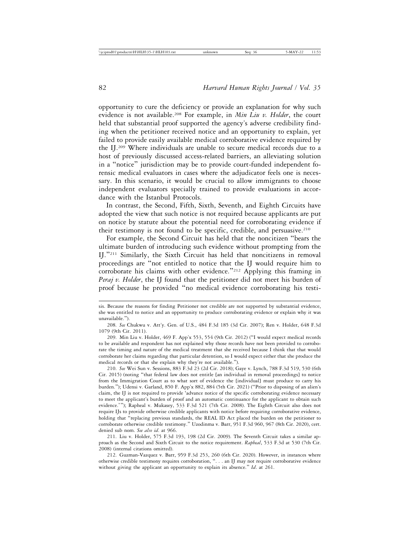opportunity to cure the deficiency or provide an explanation for why such evidence is not available.208 For example, in *Min Liu v. Holder*, the court held that substantial proof supported the agency's adverse credibility finding when the petitioner received notice and an opportunity to explain, yet failed to provide easily available medical corroborative evidence required by the IJ.209 Where individuals are unable to secure medical records due to a host of previously discussed access-related barriers, an alleviating solution in a "notice" jurisdiction may be to provide court-funded independent forensic medical evaluators in cases where the adjudicator feels one is necessary. In this scenario, it would be crucial to allow immigrants to choose independent evaluators specially trained to provide evaluations in accordance with the Istanbul Protocols.

In contrast, the Second, Fifth, Sixth, Seventh, and Eighth Circuits have adopted the view that such notice is not required because applicants are put on notice by statute about the potential need for corroborating evidence if their testimony is not found to be specific, credible, and persuasive. $210$ 

For example, the Second Circuit has held that the noncitizen "bears the ultimate burden of introducing such evidence without prompting from the IJ."211 Similarly, the Sixth Circuit has held that noncitizens in removal proceedings are "not entitled to notice that the IJ would require him to corroborate his claims with other evidence."212 Applying this framing in *Peraj v. Holder*, the IJ found that the petitioner did not meet his burden of proof because he provided "no medical evidence corroborating his testi-

212. Guzman-Vazquez v. Barr, 959 F.3d 253, 260 (6th Cir. 2020). However, in instances where otherwise credible testimony requires corroboration, ". . . an IJ may not require corroborative evidence without giving the applicant an opportunity to explain its absence." *Id*. at 261.

sis. Because the reasons for finding Petitioner not credible are not supported by substantial evidence, she was entitled to notice and an opportunity to produce corroborating evidence or explain why it was unavailable.").

<sup>208.</sup> *See* Chukwu v. Att'y. Gen. of U.S., 484 F.3d 185 (3d Cir. 2007); Ren v. Holder, 648 F.3d 1079 (9th Cir. 2011).

<sup>209.</sup> Min Liu v. Holder, 469 F. App'x 553, 554 (9th Cir. 2012) ("I would expect medical records to be available and respondent has not explained why those records have not been provided to corroborate the timing and nature of the medical treatment that she received because I think that that would corroborate her claims regarding that particular detention, so I would expect either that she produce the medical records or that she explain why they're not available.").

<sup>210.</sup> *See* Wei Sun v. Sessions, 883 F.3d 23 (2d Cir. 2018); Gaye v. Lynch, 788 F.3d 519, 530 (6th Cir. 2015) (noting "that federal law does not entitle [an individual in removal proceedings] to notice from the Immigration Court as to what sort of evidence the [individual] must produce to carry his burden."); Udensi v. Garland, 850 F. App'x 882, 884 (5th Cir. 2021) ("Prior to disposing of an alien's claim, the IJ is not required to provide 'advance notice of the specific corroborating evidence necessary to meet the applicant's burden of proof and an automatic continuance for the applicant to obtain such evidence.'"); Rapheal v. Mukasey, 533 F.3d 521 (7th Cir. 2008). The Eighth Circuit also does not require IJs to provide otherwise credible applicants with notice before requiring corroborative evidence, holding that "replacing previous standards, the REAL ID Act placed the burden on the petitioner to corroborate otherwise credible testimony." Uzodinma v. Barr, 951 F.3d 960, 967 (8th Cir. 2020), cert. denied sub nom. *See also id*. at 966.

<sup>211.</sup> Liu v. Holder, 575 F.3d 193, 198 (2d Cir. 2009). The Seventh Circuit takes a similar approach as the Second and Sixth Circuit to the notice requirement. *Rapheal*, 533 F.3d at 530 (7th Cir. 2008) (internal citations omitted).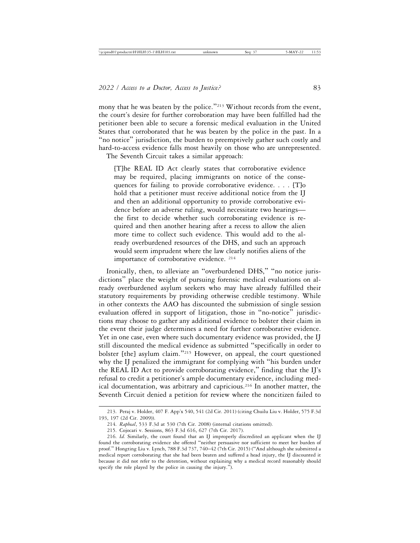mony that he was beaten by the police."<sup>213</sup> Without records from the event, the court's desire for further corroboration may have been fulfilled had the petitioner been able to secure a forensic medical evaluation in the United States that corroborated that he was beaten by the police in the past. In a "no notice" jurisdiction, the burden to preemptively gather such costly and hard-to-access evidence falls most heavily on those who are unrepresented. The Seventh Circuit takes a similar approach:

[T]he REAL ID Act clearly states that corroborative evidence may be required, placing immigrants on notice of the consequences for failing to provide corroborative evidence. . . . [T]o hold that a petitioner must receive additional notice from the IJ and then an additional opportunity to provide corroborative evidence before an adverse ruling, would necessitate two hearings the first to decide whether such corroborating evidence is required and then another hearing after a recess to allow the alien more time to collect such evidence. This would add to the already overburdened resources of the DHS, and such an approach would seem imprudent where the law clearly notifies aliens of the importance of corroborative evidence. 214

Ironically, then, to alleviate an "overburdened DHS," "no notice jurisdictions" place the weight of pursuing forensic medical evaluations on already overburdened asylum seekers who may have already fulfilled their statutory requirements by providing otherwise credible testimony. While in other contexts the AAO has discounted the submission of single session evaluation offered in support of litigation, those in "no-notice" jurisdictions may choose to gather any additional evidence to bolster their claim in the event their judge determines a need for further corroborative evidence. Yet in one case, even where such documentary evidence was provided, the IJ still discounted the medical evidence as submitted "specifically in order to bolster [the] asylum claim."215 However, on appeal, the court questioned why the IJ penalized the immigrant for complying with "his burden under the REAL ID Act to provide corroborating evidence," finding that the IJ's refusal to credit a petitioner's ample documentary evidence, including medical documentation, was arbitrary and capricious.<sup>216</sup> In another matter, the Seventh Circuit denied a petition for review where the noncitizen failed to

<sup>213.</sup> Peraj v. Holder, 407 F. App'x 540, 541 (2d Cir. 2011) (citing Chuilu Liu v. Holder, 575 F.3d 193, 197 (2d Cir. 2009)).

<sup>214.</sup> *Rapheal*, 533 F.3d at 530 (7th Cir. 2008) (internal citations omitted).

<sup>215.</sup> Cojocari v. Sessions, 863 F.3d 616, 627 (7th Cir. 2017).

<sup>216.</sup> *Id.* Similarly, the court found that an IJ improperly discredited an applicant when the IJ found the corroborating evidence she offered "neither persuasive nor sufficient to meet her burden of proof." Hongting Liu v. Lynch, 788 F.3d 737, 740–42 (7th Cir. 2015) ("And although she submitted a medical report corroborating that she had been beaten and suffered a head injury, the IJ discounted it because it did not refer to the detention, without explaining why a medical record reasonably should specify the role played by the police in causing the injury.").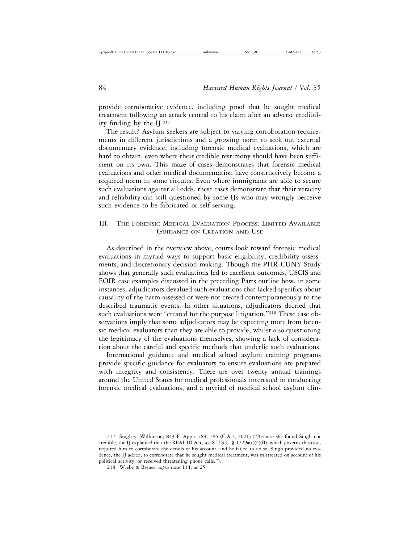provide corroborative evidence, including proof that he sought medical treatment following an attack central to his claim after an adverse credibility finding by the  $II^{217}$ 

The result? Asylum seekers are subject to varying corroboration requirements in different jurisdictions and a growing norm to seek out external documentary evidence, including forensic medical evaluations, which are hard to obtain, even where their credible testimony should have been sufficient on its own. This maze of cases demonstrates that forensic medical evaluations and other medical documentation have constructively become a required norm in some circuits. Even where immigrants are able to secure such evaluations against all odds, these cases demonstrate that their veracity and reliability can still questioned by some IJs who may wrongly perceive such evidence to be fabricated or self-serving.

# III. THE FORENSIC MEDICAL EVALUATION PROCESS: LIMITED AVAILABLE GUIDANCE ON CREATION AND USE

As described in the overview above, courts look toward forensic medical evaluations in myriad ways to support basic eligibility, credibility assessments, and discretionary decision-making. Though the PHR-CUNY Study shows that generally such evaluations led to excellent outcomes, USCIS and EOIR case examples discussed in the preceding Parts outline how, in some instances, adjudicators devalued such evaluations that lacked specifics about causality of the harm assessed or were not created contemporaneously to the described traumatic events. In other situations, adjudicators decried that such evaluations were "created for the purpose litigation."<sup>218</sup> These case observations imply that some adjudicators may be expecting more from forensic medical evaluators than they are able to provide, whilst also questioning the legitimacy of the evaluations themselves, showing a lack of consideration about the careful and specific methods that underlie such evaluations.

International guidance and medical school asylum training programs provide specific guidance for evaluators to ensure evaluations are prepared with integrity and consistency. There are over twenty annual trainings around the United States for medical professionals interested in conducting forensic medical evaluations, and a myriad of medical school asylum clin-

<sup>217.</sup> Singh v. Wilkinson, 843 F. App'x 783, 785 (C.A.7, 2021) ("Because she found Singh not credible, the IJ explained that the REAL ID Act, see 8 U.S.C. § 1229a(c)(4)(B), which governs this case, required him to corroborate the details of his account, and he failed to do so. Singh provided no evidence, the IJ added, to corroborate that he sought medical treatment, was mistreated on account of his political activity, or received threatening phone calls.").

<sup>218.</sup> Wiebe & Brenes, *supra* note 114, at 25.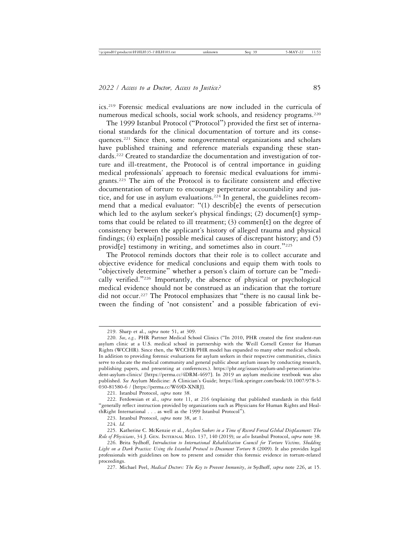ics.219 Forensic medical evaluations are now included in the curricula of numerous medical schools, social work schools, and residency programs.220

The 1999 Istanbul Protocol ("Protocol") provided the first set of international standards for the clinical documentation of torture and its consequences.221 Since then, some nongovernmental organizations and scholars have published training and reference materials expanding these standards.222 Created to standardize the documentation and investigation of torture and ill-treatment, the Protocol is of central importance in guiding medical professionals' approach to forensic medical evaluations for immigrants.223 The aim of the Protocol is to facilitate consistent and effective documentation of torture to encourage perpetrator accountability and justice, and for use in asylum evaluations.224 In general, the guidelines recommend that a medical evaluator: "(1) describ[e] the events of persecution which led to the asylum seeker's physical findings; (2) documen[t] symptoms that could be related to ill treatment; (3) commen[t] on the degree of consistency between the applicant's history of alleged trauma and physical findings; (4) explai[n] possible medical causes of discrepant history; and (5) provid[e] testimony in writing, and sometimes also in court."<sup>225</sup>

The Protocol reminds doctors that their role is to collect accurate and objective evidence for medical conclusions and equip them with tools to "objectively determine" whether a person's claim of torture can be "medically verified."226 Importantly, the absence of physical or psychological medical evidence should not be construed as an indication that the torture did not occur.227 The Protocol emphasizes that "there is no causal link between the finding of 'not consistent' and a possible fabrication of evi-

221. Istanbul Protocol, *supra* note 38.

<sup>219.</sup> Sharp et al., *supra* note 51, at 309.

<sup>220.</sup> *See*, *e.g.,* PHR Partner Medical School Clinics ("In 2010, PHR created the first student-run asylum clinic at a U.S. medical school in partnership with the Weill Cornell Center for Human Rights (WCCHR). Since then, the WCCHR/PHR model has expanded to many other medical schools. In addition to providing forensic evaluations for asylum seekers in their respective communities, clinics serve to educate the medical community and general public about asylum issues by conducting research, publishing papers, and presenting at conferences.). https://phr.org/issues/asylum-and-persecution/student-asylum-clinics/ [https://perma.cc/4DRM-4697]. In 2019 an asylum medicine textbook was also published. *See* Asylum Medicine: A Clinician's Guide; https://link.springer.com/book/10.1007/978-3- 030-81580-6 / [https://perma.cc/W69D-XNRJ].

<sup>222.</sup> Ferdowsian et al., *supra* note 11, at 216 (explaining that published standards in this field "generally reflect instruction provided by organizations such as Physicians for Human Rights and HealthRight International . . . as well as the 1999 Istanbul Protocol").

<sup>223.</sup> Istanbul Protocol, *supra* note 38, at 1.

<sup>224.</sup> *Id.*

<sup>225.</sup> Katherine C. McKenzie et al., *Asylum Seekers in a Time of Record Forced Global Displacement: The Role of Physicians*, 34 J. GEN. INTERNAL MED. 137, 140 (2019); *see also* Istanbul Protocol, *supra* note 38.

<sup>226.</sup> Brita Sydhoff, *Introduction to International Rehabilitation Council for Torture Victims, Shedding Light on a Dark Practice: Using the Istanbul Protocol to Document Torture* 8 (2009). It also provides legal professionals with guidelines on how to present and consider this forensic evidence in torture-related proceedings.

<sup>227.</sup> Michael Peel, *Medical Doctors: The Key to Prevent Immunity*, *in* Sydhoff, *supra* note 226, at 15.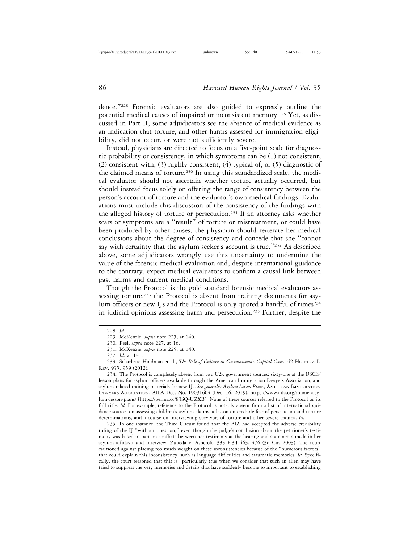dence."228 Forensic evaluators are also guided to expressly outline the potential medical causes of impaired or inconsistent memory.<sup>229</sup> Yet, as discussed in Part II, some adjudicators see the absence of medical evidence as an indication that torture, and other harms assessed for immigration eligibility, did not occur, or were not sufficiently severe.

Instead, physicians are directed to focus on a five-point scale for diagnostic probability or consistency, in which symptoms can be (1) not consistent, (2) consistent with, (3) highly consistent, (4) typical of, or (5) diagnostic of the claimed means of torture.<sup>230</sup> In using this standardized scale, the medical evaluator should not ascertain whether torture actually occurred, but should instead focus solely on offering the range of consistency between the person's account of torture and the evaluator's own medical findings. Evaluations must include this discussion of the consistency of the findings with the alleged history of torture or persecution.231 If an attorney asks whether scars or symptoms are a "result" of torture or mistreatment, or could have been produced by other causes, the physician should reiterate her medical conclusions about the degree of consistency and concede that she "cannot say with certainty that the asylum seeker's account is true."<sup>232</sup> As described above, some adjudicators wrongly use this uncertainty to undermine the value of the forensic medical evaluation and, despite international guidance to the contrary, expect medical evaluators to confirm a causal link between past harms and current medical conditions.

Though the Protocol is the gold standard forensic medical evaluators assessing torture, $233$  the Protocol is absent from training documents for asylum officers or new IJs and the Protocol is only quoted a handful of times<sup>234</sup> in judicial opinions assessing harm and persecution.<sup>235</sup> Further, despite the

233. Scharlette Holdman et al., *The Role of Culture in Guantanamo's Capital Cases*, 42 HOFSTRA L. REV. 935, 959 (2012).

234. The Protocol is completely absent from two U.S. government sources: sixty-one of the USCIS' lesson plans for asylum officers available through the American Immigration Lawyers Association, and asylum-related training materials for new IJs. *See generally Asylum Lesson Plans*, AMERICAN IMMIGRATION LAWYERS ASSOCIATION, AILA Doc. No. 19091604 (Dec. 16, 2019), https://www.aila.org/infonet/asylum-lesson-plans/ [https://perma.cc/83SQ-UZXB]. None of these sources referred to the Protocol or its full title. *Id.* For example, reference to the Protocol is notably absent from a list of international guidance sources on assessing children's asylum claims, a lesson on credible fear of persecution and torture determinations, and a course on interviewing survivors of torture and other severe trauma. *Id.*

235. In one instance, the Third Circuit found that the BIA had accepted the adverse credibility ruling of the IJ "without question," even though the judge's conclusion about the petitioner's testimony was based in part on conflicts between her testimony at the hearing and statements made in her asylum affidavit and interview. Zubeda v. Ashcroft, 333 F.3d 463, 476 (3d Cir. 2003). The court cautioned against placing too much weight on these inconsistencies because of the "numerous factors" that could explain this inconsistency, such as language difficulties and traumatic memories. *Id.* Specifically, the court reasoned that this is "particularly true when we consider that such an alien may have tried to suppress the very memories and details that have suddenly become so important to establishing

<sup>228.</sup> *Id.*

<sup>229.</sup> McKenzie, *supra* note 225, at 140.

<sup>230.</sup> Peel, *supra* note 227, at 16.

<sup>231.</sup> McKenzie, *supra* note 225, at 140.

<sup>232.</sup> *Id.* at 141.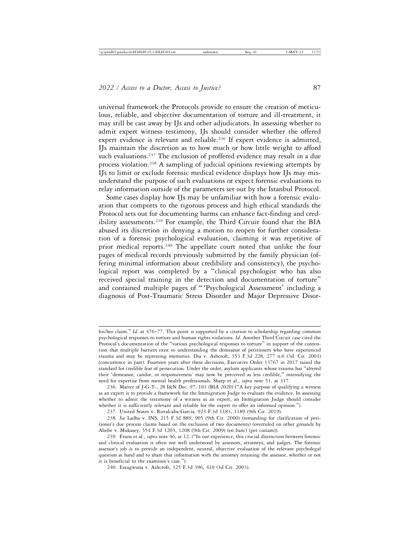universal framework the Protocols provide to ensure the creation of meticulous, reliable, and objective documentation of torture and ill-treatment, it may still be cast away by IJs and other adjudicators. In assessing whether to admit expert witness testimony, IJs should consider whether the offered expert evidence is relevant and reliable.<sup>236</sup> If expert evidence is admitted, IJs maintain the discretion as to how much or how little weight to afford such evaluations.<sup>237</sup> The exclusion of proffered evidence may result in a due process violation.238 A sampling of judicial opinions reviewing attempts by IJs to limit or exclude forensic medical evidence displays how IJs may misunderstand the purpose of such evaluations or expect forensic evaluations to relay information outside of the parameters set out by the Istanbul Protocol.

Some cases display how IJs may be unfamiliar with how a forensic evaluation that comports to the rigorous process and high ethical standards the Protocol sets out for documenting harms can enhance fact-finding and credibility assessments.239 For example, the Third Circuit found that the BIA abused its discretion in denying a motion to reopen for further consideration of a forensic psychological evaluation, claiming it was repetitive of prior medical reports.<sup>240</sup> The appellate court noted that unlike the four pages of medical records previously submitted by the family physician (offering minimal information about credibility and consistency), the psychological report was completed by a "clinical psychologist who has also received special training in the detection and documentation of torture" and contained multiple pages of "'Psychological Assessment' including a diagnosis of Post-Traumatic Stress Disorder and Major Depressive Disor-

237. United States v. Ruvalcaba-Garcia*,* 923 F.3d 1183, 1189 (9th Cir. 2019)*.*

his/her claim." *Id.* at 476–77. This point is supported by a citation to scholarship regarding common psychological responses to torture and human rights violations. *Id.* Another Third Circuit case cited the Protocol's documentation of the "various psychological responses to torture" in support of the contention that multiple barriers exist to understanding the demeanor of petitioners who have experienced trauma and may be repressing memories. Dia v. Ashcroft, 353 F.3d 228, 277 n.6 (3d. Cir. 2003) (concurrence in part). Fourteen years after these decisions, Executive Order 13767 in 2017 raised the standard for credible fear of persecution. Under the order, asylum applicants whose trauma has "altered their 'demeanor, candor, or responsiveness' may now be perceived as less credible," intensifying the need for expertise from mental health professionals. Sharp et al., *supra* note 51, at 317.

<sup>236.</sup> Matter of J-G-T-, 28 I&N Dec. 97, 101 (BIA 2020) ("A key purpose of qualifying a witness as an expert is to provide a framework for the Immigration Judge to evaluate the evidence. In assessing whether to admit the testimony of a witness as an expert, an Immigration Judge should consider whether it is sufficiently relevant and reliable for the expert to offer an informed opinion.").

<sup>238.</sup> *See* Ladha v. INS, 215 F.3d 889, 905 (9th Cir. 2000) (remanding for clarification of petitioner's due process claims based on the exclusion of two documents) (overruled on other grounds by Abebe v. Mukasey, 554 F.3d 1203, 1208 (9th Cir. 2009) (en banc) (per curiam)).

<sup>239.</sup> Evans et al., *supra* note 46, at 12. ("In our experience, this crucial distinction between forensic and clinical evaluation is often not well understood by assessors, attorneys, and judges. The forensic assessor's job is to provide an independent, neutral, objective evaluation of the relevant psycholegal question at hand and to share that information with the attorney retaining the assessor, whether or not it is beneficial to the examinee's case.").

<sup>240.</sup> Ezeagwuna v. Ashcroft, 325 F.3d 396, 410 (3d Cir. 2003).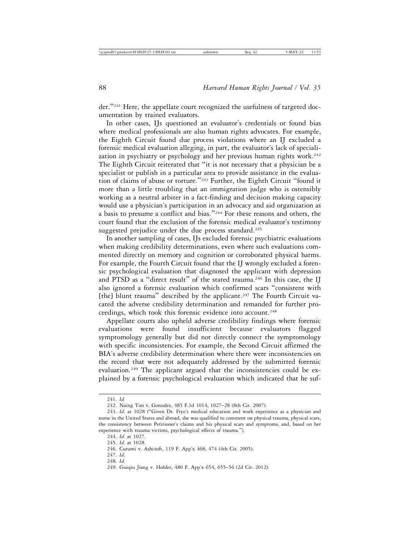der."241 Here, the appellate court recognized the usefulness of targeted documentation by trained evaluators.

In other cases, IJs questioned an evaluator's credentials or found bias where medical professionals are also human rights advocates. For example, the Eighth Circuit found due process violations where an IJ excluded a forensic medical evaluation alleging, in part, the evaluator's lack of specialization in psychiatry or psychology and her previous human rights work.<sup>242</sup> The Eighth Circuit reiterated that "it is not necessary that a physician be a specialist or publish in a particular area to provide assistance in the evaluation of claims of abuse or torture."243 Further, the Eighth Circuit "found it more than a little troubling that an immigration judge who is ostensibly working as a neutral arbiter in a fact-finding and decision making capacity would use a physician's participation in an advocacy and aid organization as a basis to presume a conflict and bias."244 For these reasons and others, the court found that the exclusion of the forensic medical evaluator's testimony suggested prejudice under the due process standard.<sup>245</sup>

In another sampling of cases, IJs excluded forensic psychiatric evaluations when making credibility determinations, even where such evaluations commented directly on memory and cognition or corroborated physical harms. For example, the Fourth Circuit found that the IJ wrongly excluded a forensic psychological evaluation that diagnosed the applicant with depression and PTSD as a "direct result" of the stated trauma.<sup>246</sup> In this case, the IJ also ignored a forensic evaluation which confirmed scars "consistent with [the] blunt trauma" described by the applicant.<sup>247</sup> The Fourth Circuit vacated the adverse credibility determination and remanded for further proceedings, which took this forensic evidence into account.<sup>248</sup>

Appellate courts also upheld adverse credibility findings where forensic evaluations were found insufficient because evaluators flagged symptomology generally but did not directly connect the symptomology with specific inconsistencies. For example, the Second Circuit affirmed the BIA's adverse credibility determination where there were inconsistencies on the record that were not adequately addressed by the submitted forensic evaluation.249 The applicant argued that the inconsistencies could be explained by a forensic psychological evaluation which indicated that he suf-

<sup>241.</sup> *Id.*

<sup>242.</sup> Naing Tun v. Gonzalez, 485 F.3d 1014, 1027–28 (8th Cir. 2007).

<sup>243.</sup> *Id*. at 1028 ("Given Dr. Frye's medical education and work experience as a physician and nurse in the United States and abroad, she was qualified to comment on physical trauma, physical scars, the consistency between Petitioner's claims and his physical scars and symptoms, and, based on her experience with trauma victims, psychological effects of trauma.").

<sup>244.</sup> *Id*. at 1027.

<sup>245.</sup> *Id*. at 1028.

<sup>246.</sup> Curumi v. Ashcroft, 119 F. App'x 468, 474 (4th Cir. 2005).

<sup>247.</sup> *Id*.

<sup>248.</sup> *Id*.

<sup>249.</sup> Guiqiu Jiang v. Holder, 480 F. App'x 654, 655–56 (2d Cir. 2012).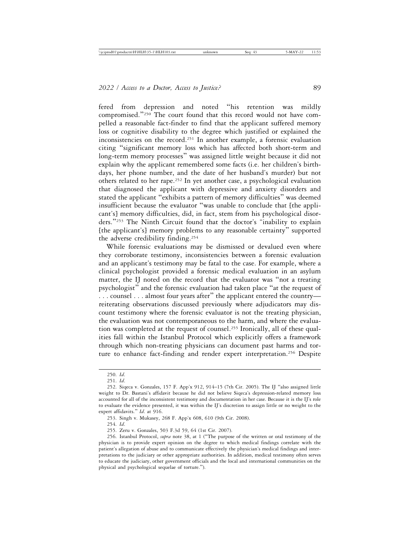fered from depression and noted "his retention was mildly compromised."<sup>250</sup> The court found that this record would not have compelled a reasonable fact-finder to find that the applicant suffered memory loss or cognitive disability to the degree which justified or explained the inconsistencies on the record.251 In another example, a forensic evaluation citing "significant memory loss which has affected both short-term and long-term memory processes" was assigned little weight because it did not explain why the applicant remembered some facts (i.e. her children's birthdays, her phone number, and the date of her husband's murder) but not others related to her rape.252 In yet another case, a psychological evaluation that diagnosed the applicant with depressive and anxiety disorders and stated the applicant "exhibits a pattern of memory difficulties" was deemed insufficient because the evaluator "was unable to conclude that [the applicant's] memory difficulties, did, in fact, stem from his psychological disorders."253 The Ninth Circuit found that the doctor's "inability to explain [the applicant's] memory problems to any reasonable certainty" supported the adverse credibility finding.254

While forensic evaluations may be dismissed or devalued even where they corroborate testimony, inconsistencies between a forensic evaluation and an applicant's testimony may be fatal to the case. For example, where a clinical psychologist provided a forensic medical evaluation in an asylum matter, the IJ noted on the record that the evaluator was "not a treating psychologist" and the forensic evaluation had taken place "at the request of . . . counsel . . . almost four years after" the applicant entered the country reiterating observations discussed previously where adjudicators may discount testimony where the forensic evaluator is not the treating physician, the evaluation was not contemporaneous to the harm, and where the evaluation was completed at the request of counsel.255 Ironically, all of these qualities fall within the Istanbul Protocol which explicitly offers a framework through which non-treating physicians can document past harms and torture to enhance fact-finding and render expert interpretation.<sup>256</sup> Despite

254. *Id*.

<sup>250.</sup> *Id*.

<sup>251.</sup> *Id*.

<sup>252.</sup> Siqeca v. Gonzales, 157 F. App'x 912, 914–15 (7th Cir. 2005). The IJ "also assigned little weight to Dr. Bastani's affidavit because he did not believe Siqeca's depression-related memory loss accounted for all of the inconsistent testimony and documentation in her case. Because it is the IJ's role to evaluate the evidence presented, it was within the IJ's discretion to assign little or no weight to the expert affidavits." *Id*. at 916.

<sup>253.</sup> Singh v. Mukasey, 268 F. App'x 608, 610 (9th Cir. 2008).

<sup>255.</sup> Zeru v. Gonzales, 503 F.3d 59, 64 (1st Cir. 2007).

<sup>256.</sup> Istanbul Protocol, *supra* note 38, at 1 ("The purpose of the written or oral testimony of the physician is to provide expert opinion on the degree to which medical findings correlate with the patient's allegation of abuse and to communicate effectively the physician's medical findings and interpretations to the judiciary or other appropriate authorities. In addition, medical testimony often serves to educate the judiciary, other government officials and the local and international communities on the physical and psychological sequelae of torture.").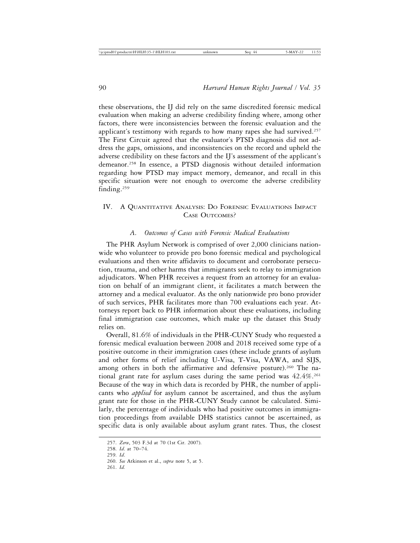these observations, the IJ did rely on the same discredited forensic medical evaluation when making an adverse credibility finding where, among other factors, there were inconsistencies between the forensic evaluation and the applicant's testimony with regards to how many rapes she had survived.<sup>257</sup> The First Circuit agreed that the evaluator's PTSD diagnosis did not address the gaps, omissions, and inconsistencies on the record and upheld the adverse credibility on these factors and the IJ's assessment of the applicant's demeanor.258 In essence, a PTSD diagnosis without detailed information regarding how PTSD may impact memory, demeanor, and recall in this specific situation were not enough to overcome the adverse credibility finding.259

# IV. A QUANTITATIVE ANALYSIS: DO FORENSIC EVALUATIONS IMPACT CASE OUTCOMES?

# *A. Outcomes of Cases with Forensic Medical Evaluations*

The PHR Asylum Network is comprised of over 2,000 clinicians nationwide who volunteer to provide pro bono forensic medical and psychological evaluations and then write affidavits to document and corroborate persecution, trauma, and other harms that immigrants seek to relay to immigration adjudicators. When PHR receives a request from an attorney for an evaluation on behalf of an immigrant client, it facilitates a match between the attorney and a medical evaluator. As the only nationwide pro bono provider of such services, PHR facilitates more than 700 evaluations each year. Attorneys report back to PHR information about these evaluations, including final immigration case outcomes, which make up the dataset this Study relies on.

Overall, 81.6% of individuals in the PHR-CUNY Study who requested a forensic medical evaluation between 2008 and 2018 received some type of a positive outcome in their immigration cases (these include grants of asylum and other forms of relief including U-Visa, T-Visa, VAWA, and SIJS, among others in both the affirmative and defensive posture).<sup>260</sup> The national grant rate for asylum cases during the same period was  $42.4\%$ .<sup>261</sup> Because of the way in which data is recorded by PHR, the number of applicants who *applied* for asylum cannot be ascertained, and thus the asylum grant rate for those in the PHR-CUNY Study cannot be calculated. Similarly, the percentage of individuals who had positive outcomes in immigration proceedings from available DHS statistics cannot be ascertained, as specific data is only available about asylum grant rates. Thus, the closest

261. *Id.*

<sup>257.</sup> *Zeru*, 503 F.3d at 70 (1st Cir. 2007).

<sup>258.</sup> *Id*. at 70–74.

<sup>259.</sup> *Id*.

<sup>260.</sup> *See* Atkinson et al., *supra* note 5, at 5.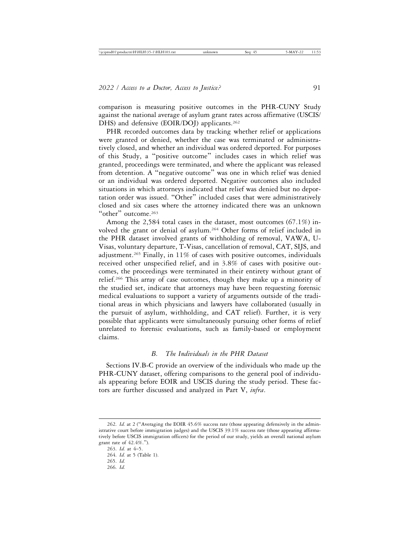comparison is measuring positive outcomes in the PHR-CUNY Study against the national average of asylum grant rates across affirmative (USCIS/ DHS) and defensive (EOIR/DOJ) applicants.<sup>262</sup>

PHR recorded outcomes data by tracking whether relief or applications were granted or denied, whether the case was terminated or administratively closed, and whether an individual was ordered deported. For purposes of this Study, a "positive outcome" includes cases in which relief was granted, proceedings were terminated, and where the applicant was released from detention. A "negative outcome" was one in which relief was denied or an individual was ordered deported. Negative outcomes also included situations in which attorneys indicated that relief was denied but no deportation order was issued. "Other" included cases that were administratively closed and six cases where the attorney indicated there was an unknown "other" outcome.<sup>263</sup>

Among the 2,584 total cases in the dataset, most outcomes (67.1%) involved the grant or denial of asylum.264 Other forms of relief included in the PHR dataset involved grants of withholding of removal, VAWA, U-Visas, voluntary departure, T-Visas, cancellation of removal, CAT, SIJS, and adjustment.265 Finally, in 11% of cases with positive outcomes, individuals received other unspecified relief, and in 3.8% of cases with positive outcomes, the proceedings were terminated in their entirety without grant of relief.266 This array of case outcomes, though they make up a minority of the studied set, indicate that attorneys may have been requesting forensic medical evaluations to support a variety of arguments outside of the traditional areas in which physicians and lawyers have collaborated (usually in the pursuit of asylum, withholding, and CAT relief). Further, it is very possible that applicants were simultaneously pursuing other forms of relief unrelated to forensic evaluations, such as family-based or employment claims.

# *B. The Individuals in the PHR Dataset*

Sections IV.B-C provide an overview of the individuals who made up the PHR-CUNY dataset, offering comparisons to the general pool of individuals appearing before EOIR and USCIS during the study period. These factors are further discussed and analyzed in Part V, *infra*.

<sup>262.</sup> *Id.* at 2 ("Averaging the EOIR 45.6% success rate (those appearing defensively in the administrative court before immigration judges) and the USCIS 39.1% success rate (those appearing affirmatively before USCIS immigration officers) for the period of our study, yields an overall national asylum grant rate of 42.4%.").

<sup>263.</sup> *Id.* at 4–5. 264. *Id.* at 5 (Table 1). 265. *Id.* 266. *Id.*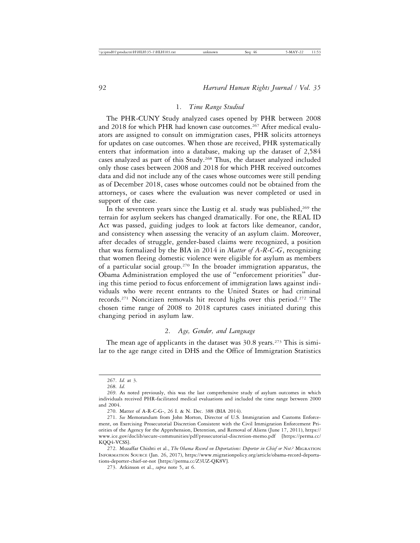## 1. *Time Range Studied*

The PHR-CUNY Study analyzed cases opened by PHR between 2008 and 2018 for which PHR had known case outcomes.267 After medical evaluators are assigned to consult on immigration cases, PHR solicits attorneys for updates on case outcomes. When those are received, PHR systematically enters that information into a database, making up the dataset of 2,584 cases analyzed as part of this Study.268 Thus, the dataset analyzed included only those cases between 2008 and 2018 for which PHR received outcomes data and did not include any of the cases whose outcomes were still pending as of December 2018, cases whose outcomes could not be obtained from the attorneys, or cases where the evaluation was never completed or used in support of the case.

In the seventeen years since the Lustig et al. study was published, $269$  the terrain for asylum seekers has changed dramatically. For one, the REAL ID Act was passed, guiding judges to look at factors like demeanor, candor, and consistency when assessing the veracity of an asylum claim. Moreover, after decades of struggle, gender-based claims were recognized, a position that was formalized by the BIA in 2014 in *Matter of A-R-C-G*, recognizing that women fleeing domestic violence were eligible for asylum as members of a particular social group.270 In the broader immigration apparatus, the Obama Administration employed the use of "enforcement priorities" during this time period to focus enforcement of immigration laws against individuals who were recent entrants to the United States or had criminal records.271 Noncitizen removals hit record highs over this period.272 The chosen time range of 2008 to 2018 captures cases initiated during this changing period in asylum law.

# 2. *Age, Gender, and Language*

The mean age of applicants in the dataset was  $30.8$  years.<sup>273</sup> This is similar to the age range cited in DHS and the Office of Immigration Statistics

<sup>267.</sup> *Id.* at 3.

<sup>268.</sup> *Id.*

<sup>269.</sup> As noted previously, this was the last comprehensive study of asylum outcomes in which individuals received PHR-facilitated medical evaluations and included the time range between 2000 and 2004.

<sup>270.</sup> Matter of A-R-C-G-, 26 I. & N. Dec. 388 (BIA 2014).

<sup>271.</sup> *See* Memorandum from John Morton, Director of U.S. Immigration and Customs Enforcement, on Exercising Prosecutorial Discretion Consistent with the Civil Immigration Enforcement Priorities of the Agency for the Apprehension, Detention, and Removal of Aliens (June 17, 2011), https:// www.ice.gov/doclib/secure-communities/pdf/prosecutorial-discretion-memo.pdf [https://perma.cc/ KQQ4-VCSS].

<sup>272.</sup> Muzaffar Chishti et al., *The Obama Record on Deportations: Deporter in Chief or Not?* MIGRATION INFORMATION SOURCE (Jan. 26, 2017), https://www.migrationpolicy.org/article/obama-record-deportations-deporter-chief-or-not [https://perma.cc/Z3UZ-QK8V].

<sup>273.</sup> Atkinson et al., *supra* note 5, at 6.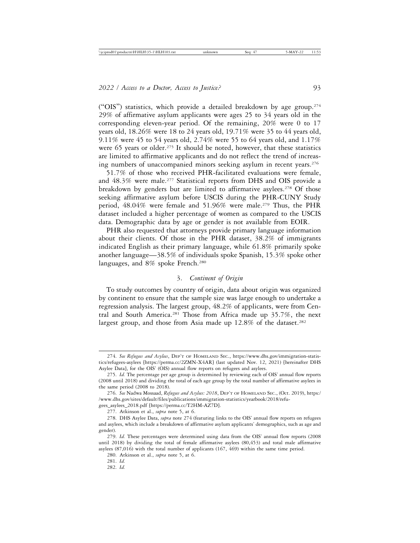("OIS") statistics, which provide a detailed breakdown by age group.<sup>274</sup> 29% of affirmative asylum applicants were ages 25 to 34 years old in the corresponding eleven-year period. Of the remaining, 20% were 0 to 17 years old, 18.26% were 18 to 24 years old, 19.71% were 35 to 44 years old, 9.11% were 45 to 54 years old, 2.74% were 55 to 64 years old, and 1.17% were 65 years or older.<sup>275</sup> It should be noted, however, that these statistics are limited to affirmative applicants and do not reflect the trend of increasing numbers of unaccompanied minors seeking asylum in recent years.<sup>276</sup>

51.7% of those who received PHR-facilitated evaluations were female, and 48.3% were male.277 Statistical reports from DHS and OIS provide a breakdown by genders but are limited to affirmative asylees.278 Of those seeking affirmative asylum before USCIS during the PHR-CUNY Study period,  $48.04\%$  were female and  $51.96\%$  were male.<sup>279</sup> Thus, the PHR dataset included a higher percentage of women as compared to the USCIS data. Demographic data by age or gender is not available from EOIR.

PHR also requested that attorneys provide primary language information about their clients. Of those in the PHR dataset, 38.2% of immigrants indicated English as their primary language, while 61.8% primarily spoke another language—38.5% of individuals spoke Spanish, 15.3% spoke other languages, and 8% spoke French.<sup>280</sup>

# 3. *Continent of Origin*

To study outcomes by country of origin, data about origin was organized by continent to ensure that the sample size was large enough to undertake a regression analysis. The largest group, 48.2% of applicants, were from Central and South America.<sup>281</sup> Those from Africa made up 35.7%, the next largest group, and those from Asia made up  $12.8\%$  of the dataset.<sup>282</sup>

<sup>274.</sup> *See Refugees and Asylees*, DEP'T OF HOMELAND SEC., https://www.dhs.gov/immigration-statistics/refugees-asylees [https://perma.cc/2ZMN-X4AR] (last updated Nov. 12, 2021) [hereinafter DHS Asylee Data], for the OIS' (OIS) annual flow reports on refugees and asylees.

<sup>275.</sup> *Id.* The percentage per age group is determined by reviewing each of OIS' annual flow reports (2008 until 2018) and dividing the total of each age group by the total number of affirmative asylees in the same period (2008 to 2018).

<sup>276.</sup> *See* Nadwa Mossaad, *Refugees and Asylees: 2018*, DEP'T OF HOMELAND SEC., (Oct. 2019), https:/ /www.dhs.gov/sites/default/files/publications/immigration-statistics/yearbook/2018/refugees\_asylees\_2018.pdf [https://perma.cc/T2HM-AZ7D].

<sup>277.</sup> Atkinson et al., *supra* note 5, at 6.

<sup>278.</sup> DHS Asylee Data, *supra* note 274 (featuring links to the OIS' annual flow reports on refugees and asylees, which include a breakdown of affirmative asylum applicants' demographics, such as age and gender).

<sup>279.</sup> *Id.* These percentages were determined using data from the OIS' annual flow reports (2008 until 2018) by dividing the total of female affirmative asylees (80,453) and total male affirmative asylees (87,016) with the total number of applicants (167, 469) within the same time period.

<sup>280.</sup> Atkinson et al., *supra* note 5, at 6.

<sup>281.</sup> *Id.*

<sup>282.</sup> *Id.*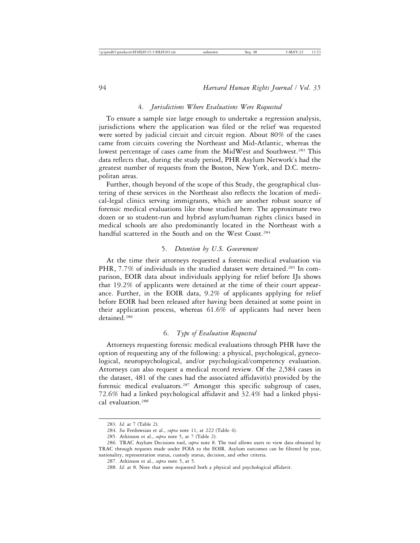#### 4. *Jurisdictions Where Evaluations Were Requested*

To ensure a sample size large enough to undertake a regression analysis, jurisdictions where the application was filed or the relief was requested were sorted by judicial circuit and circuit region. About 80% of the cases came from circuits covering the Northeast and Mid-Atlantic, whereas the lowest percentage of cases came from the MidWest and Southwest.283 This data reflects that, during the study period, PHR Asylum Network's had the greatest number of requests from the Boston, New York, and D.C. metropolitan areas.

Further, though beyond of the scope of this Study, the geographical clustering of these services in the Northeast also reflects the location of medical-legal clinics serving immigrants, which are another robust source of forensic medical evaluations like those studied here. The approximate two dozen or so student-run and hybrid asylum/human rights clinics based in medical schools are also predominantly located in the Northeast with a handful scattered in the South and on the West Coast.<sup>284</sup>

## 5. *Detention by U.S. Government*

At the time their attorneys requested a forensic medical evaluation via PHR, 7.7% of individuals in the studied dataset were detained.<sup>285</sup> In comparison, EOIR data about individuals applying for relief before IJs shows that 19.2% of applicants were detained at the time of their court appearance. Further, in the EOIR data, 9.2% of applicants applying for relief before EOIR had been released after having been detained at some point in their application process, whereas 61.6% of applicants had never been detained.286

#### 6. *Type of Evaluation Requested*

Attorneys requesting forensic medical evaluations through PHR have the option of requesting any of the following: a physical, psychological, gynecological, neuropsychological, and/or psychological/competency evaluation. Attorneys can also request a medical record review. Of the 2,584 cases in the dataset, 481 of the cases had the associated affidavit(s) provided by the forensic medical evaluators.<sup>287</sup> Amongst this specific subgroup of cases, 72.6% had a linked psychological affidavit and 32.4% had a linked physical evaluation.288

<sup>283.</sup> *Id.* at 7 (Table 2).

<sup>284.</sup> *See* Ferdowsian et al., *supra* note 11, at 222 (Table 4).

<sup>285.</sup> Atkinson et al., *supra* note 5, at 7 (Table 2).

<sup>286.</sup> TRAC Asylum Decisions tool, *supra* note 8. The tool allows users to view data obtained by TRAC through requests made under FOIA to the EOIR. Asylum outcomes can be filtered by year, nationality, representation status, custody status, decision, and other criteria.

<sup>287.</sup> Atkinson et al., *supra* note 5, at 5.

<sup>288.</sup> *Id.* at 8. Note that some requested both a physical and psychological affidavit.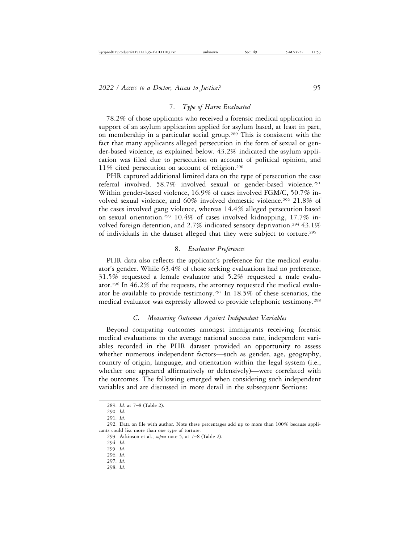## 7. *Type of Harm Evaluated*

78.2% of those applicants who received a forensic medical application in support of an asylum application applied for asylum based, at least in part, on membership in a particular social group.289 This is consistent with the fact that many applicants alleged persecution in the form of sexual or gender-based violence, as explained below. 43.2% indicated the asylum application was filed due to persecution on account of political opinion, and 11% cited persecution on account of religion.290

PHR captured additional limited data on the type of persecution the case referral involved. 58.7% involved sexual or gender-based violence.291 Within gender-based violence, 16.9% of cases involved FGM/C, 50.7% involved sexual violence, and 60% involved domestic violence.<sup>292</sup> 21.8% of the cases involved gang violence, whereas 14.4% alleged persecution based on sexual orientation.293 10.4% of cases involved kidnapping, 17.7% involved foreign detention, and 2.7% indicated sensory deprivation.<sup>294</sup> 43.1% of individuals in the dataset alleged that they were subject to torture.295

## 8. *Evaluator Preferences*

PHR data also reflects the applicant's preference for the medical evaluator's gender. While 63.4% of those seeking evaluations had no preference, 31.5% requested a female evaluator and 5.2% requested a male evaluator.296 In 46.2% of the requests, the attorney requested the medical evaluator be available to provide testimony.297 In 18.5% of these scenarios, the medical evaluator was expressly allowed to provide telephonic testimony.298

#### *C. Measuring Outcomes Against Independent Variables*

Beyond comparing outcomes amongst immigrants receiving forensic medical evaluations to the average national success rate, independent variables recorded in the PHR dataset provided an opportunity to assess whether numerous independent factors—such as gender, age, geography, country of origin, language, and orientation within the legal system (i.e., whether one appeared affirmatively or defensively)—were correlated with the outcomes. The following emerged when considering such independent variables and are discussed in more detail in the subsequent Sections:

296. *Id.*

- 297. *Id.*
- 298. *Id.*

<sup>289.</sup> *Id.* at 7–8 (Table 2).

<sup>290.</sup> *Id.*

<sup>291.</sup> *Id.*

<sup>292.</sup> Data on file with author. Note these percentages add up to more than 100% because applicants could list more than one type of torture.

<sup>293.</sup> Atkinson et al., *supra* note 5, at 7–8 (Table 2).

<sup>294.</sup> *Id.*

<sup>295.</sup> *Id.*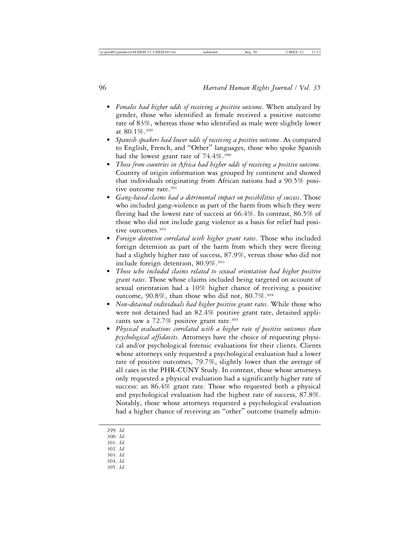- *Females had higher odds of receiving a positive outcome*. When analyzed by gender, those who identified as female received a positive outcome rate of 83%, whereas those who identified as male were slightly lower at 80.1%.299
- *Spanish speakers had lower odds of receiving a positive outcome*. As compared to English, French, and "Other" languages, those who spoke Spanish had the lowest grant rate of 74.4%.<sup>300</sup>
- *Those from countries in Africa had higher odds of receiving a positive outcome*. Country of origin information was grouped by continent and showed that individuals originating from African nations had a 90.5% positive outcome rate.<sup>301</sup>
- *Gang-based claims had a detrimental impact on possibilities of success*. Those who included gang-violence as part of the harm from which they were fleeing had the lowest rate of success at 66.4%. In contrast, 86.5% of those who did not include gang violence as a basis for relief had positive outcomes.302
- *Foreign detention correlated with higher grant rates*. Those who included foreign detention as part of the harm from which they were fleeing had a slightly higher rate of success, 87.9%, versus those who did not include foreign detention, 80.9%.303
- *Those who included claims related to sexual orientation had higher positive grant rates*. Those whose claims included being targeted on account of sexual orientation had a 10% higher chance of receiving a positive outcome, 90.8%, than those who did not, 80.7%.<sup>304</sup>
- *Non-detained individuals had higher positive grant rates*. While those who were not detained had an 82.4% positive grant rate, detained applicants saw a 72.7% positive grant rate.<sup>305</sup>
- *Physical evaluations correlated with a higher rate of positive outcomes than psychological affidavits*. Attorneys have the choice of requesting physical and/or psychological forensic evaluations for their clients. Clients whose attorneys only requested a psychological evaluation had a lower rate of positive outcomes, 79.7%, slightly lower than the average of all cases in the PHR-CUNY Study. In contrast, those whose attorneys only requested a physical evaluation had a significantly higher rate of success: an 86.4% grant rate. Those who requested both a physical and psychological evaluation had the highest rate of success, 87.8%. Notably, those whose attorneys requested a psychological evaluation had a higher chance of receiving an "other" outcome (namely admin-
- 299. *Id.*
- 300. *Id.*
- 301. *Id.*
- 302. *Id.* 303. *Id.*
- 304. *Id.*
- 305. *Id.*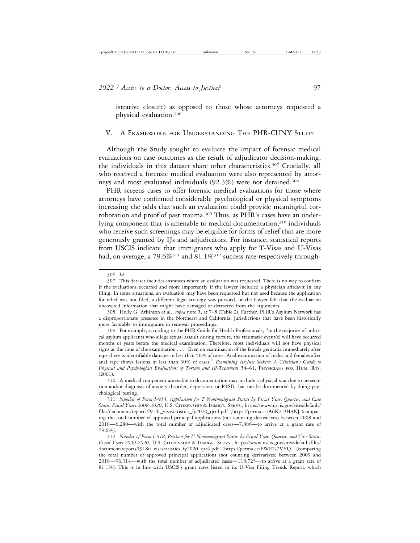istrative closure) as opposed to those whose attorneys requested a physical evaluation.306

## V. A FRAMEWORK FOR UNDERSTANDING THE PHR-CUNY STUDY

Although the Study sought to evaluate the impact of forensic medical evaluations on case outcomes as the result of adjudicator decision-making, the individuals in this dataset share other characteristics.307 Crucially, all who received a forensic medical evaluation were also represented by attorneys and most evaluated individuals (92.3%) were not detained.<sup>308</sup>

PHR screens cases to offer forensic medical evaluations for those where attorneys have confirmed considerable psychological or physical symptoms increasing the odds that such an evaluation could provide meaningful corroboration and proof of past trauma.<sup>309</sup> Thus, as PHR's cases have an underlying component that is amenable to medical documentation,<sup>310</sup> individuals who receive such screenings may be eligible for forms of relief that are more generously granted by IJs and adjudicators. For instance, statistical reports from USCIS indicate that immigrants who apply for T-Visas and U-Visas had, on average, a 79.6%<sup>311</sup> and 81.1%<sup>312</sup> success rate respectively through-

308. Holly G. Atkinson et al., *supra* note 5, at 7–8 (Table 2). Further, PHR's Asylum Network has a disproportionate presence in the Northeast and California, jurisdictions that have been historically more favorable to immigrants in removal proceedings.

309. For example, according to the PHR Guide for Health Professionals, "in the majority of political asylum applicants who allege sexual assault during torture, the traumatic event(s) will have occurred months or years before the medical examination. Therefore, most individuals will not have physical signs at the time of the examination . . . . Even on examination of the female genitalia immediately after rape there is identifiable damage in less than 50% of cases. Anal examination of males and females after anal rape shows lesions in less than 30% of cases." *Examining Asylum Seekers: A Clinician's Guide to Physical and Psychological Evaluations of Torture and Ill-Treatment* 54–61, PHYSICIANS FOR HUM. RTS. (2001).

310. A medical component amenable to documentation may include a physical scar due to persecution and/or diagnosis of anxiety disorder, depression, or PTSD that can be documented by doing psychological testing.

311. *Number of Form I-914, Application for T Nonimmigrant Status by Fiscal Year, Quarter, and Case Status Fiscal Years 2008-2020*, U.S. CITIZENSHIP & IMMIGR. SERVS., https://www.uscis.gov/sites/default/ files/document/reports/I914t\_visastatistics\_fy2020\_qtr4.pdf [https://perma.cc/A6K2-9H3K] (comparing the total number of approved principal applications (not counting derivatives) between 2008 and 2018—6,280—with the total number of adjudicated cases—7,886—to arrive at a grant rate of 79.6%).

312. *Number of Form I-918, Petition for U Nonimmigrant Status by Fiscal Year, Quarter, and Case Status Fiscal Years 2009-2020*, U.S. CITIZENSHIP & IMMIGR. SERVS., https://www.uscis.gov/sites/default/files/ document/reports/I918u\_visastatistics\_fy2020\_qtr4.pdf [https://perma.cc/EWE7-7VYQ] (comparing the total number of approved principal applications (not counting derivatives) between 2009 and 2018—96,314—with the total number of adjudicated cases—118,723—to arrive at a grant rate of 81.1%). This is in line with USCIS's grant rates listed in its U-Visa Filing Trends Report, which

<sup>306.</sup> *Id.*

<sup>307.</sup> This dataset includes instances where an evaluation was requested. There is no way to confirm if the evaluations occurred and more importantly if the lawyer included a physician affidavit in any filing. In some situations, an evaluation may have been requested but not used because the application for relief was not filed, a different legal strategy was pursued, or the lawyer felt that the evaluation uncovered information that might have damaged or detracted from the arguments.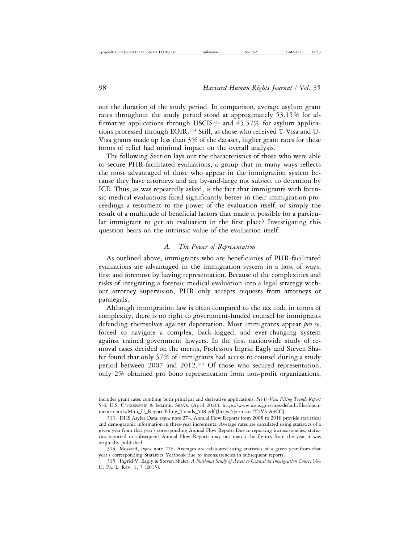out the duration of the study period. In comparison, average asylum grant rates throughout the study period stood at approximately 53.15% for affirmative applications through USCIS<sup>313</sup> and  $45.57\%$  for asylum applications processed through EOIR.314 Still, as those who received T-Visa and U-Visa grants made up less than 3% of the dataset, higher grant rates for these forms of relief had minimal impact on the overall analysis.

The following Section lays out the characteristics of those who were able to secure PHR-facilitated evaluations, a group that in many ways reflects the most advantaged of those who appear in the immigration system because they have attorneys and are by-and-large not subject to detention by ICE. Thus, as was repeatedly asked, is the fact that immigrants with forensic medical evaluations fared significantly better in their immigration proceedings a testament to the power of the evaluation itself, or simply the result of a multitude of beneficial factors that made it possible for a particular immigrant to get an evaluation in the first place? Investigating this question bears on the intrinsic value of the evaluation itself.

# *A. The Power of Representation*

As outlined above, immigrants who are beneficiaries of PHR-facilitated evaluations are advantaged in the immigration system in a host of ways, first and foremost by having representation. Because of the complexities and risks of integrating a forensic medical evaluation into a legal strategy without attorney supervision, PHR only accepts requests from attorneys or paralegals.

Although immigration law is often compared to the tax code in terms of complexity, there is no right to government-funded counsel for immigrants defending themselves against deportation. Most immigrants appear *pro se*, forced to navigate a complex, back-logged, and ever-changing system against trained government lawyers. In the first nationwide study of removal cases decided on the merits, Professors Ingrid Eagly and Steven Shafer found that only 37% of immigrants had access to counsel during a study period between 2007 and 2012.315 Of those who secured representation, only 2% obtained pro bono representation from non-profit organizations,

includes grant rates combing both principal and derivative applications. *See U-Visa Filing Trends Report* 5-6, U.S. CITIZENSHIP & IMMIGR. SERVS. (April 2020), https://www.uscis.gov/sites/default/files/document/reports/Mini\_U\_Report-Filing\_Trends\_508.pdf [https://perma.cc/Y2V3-A3CC].

<sup>313.</sup> DHS Asylee Data, *supra* note 274. Annual Flow Reports from 2008 to 2018 provide statistical and demographic information in three-year increments. Average rates are calculated using statistics of a given year from that year's corresponding Annual Flow Report. Due to reporting inconsistencies, statistics reported in subsequent Annual Flow Reports may not match the figures from the year it was originally published.

<sup>314.</sup> Mossaad, *supra* note 276. Averages are calculated using statistics of a given year from that year's corresponding Statistics Yearbook due to inconsistencies in subsequent reports.

<sup>315.</sup> Ingrid V. Eagly & Steven Shafer, *A National Study of Access to Counsel in Immigration Court*, 164 U. PA. L. REV. 1, 7 (2015).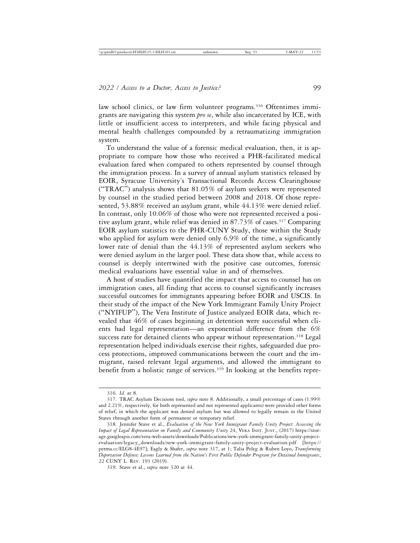law school clinics, or law firm volunteer programs.<sup>316</sup> Oftentimes immigrants are navigating this system *pro se*, while also incarcerated by ICE, with little or insufficient access to interpreters, and while facing physical and mental health challenges compounded by a retraumatizing immigration system.

To understand the value of a forensic medical evaluation, then, it is appropriate to compare how those who received a PHR-facilitated medical evaluation fared when compared to others represented by counsel through the immigration process. In a survey of annual asylum statistics released by EOIR, Syracuse University's Transactional Records Access Clearinghouse ("TRAC") analysis shows that  $81.05\%$  of asylum seekers were represented by counsel in the studied period between 2008 and 2018. Of those represented, 53.88% received an asylum grant, while 44.13% were denied relief. In contrast, only 10.06% of those who were not represented received a positive asylum grant, while relief was denied in 87.73% of cases.317 Comparing EOIR asylum statistics to the PHR-CUNY Study, those within the Study who applied for asylum were denied only 6.9% of the time, a significantly lower rate of denial than the 44.13% of represented asylum seekers who were denied asylum in the larger pool. These data show that, while access to counsel is deeply intertwined with the positive case outcomes, forensic medical evaluations have essential value in and of themselves.

A host of studies have quantified the impact that access to counsel has on immigration cases, all finding that access to counsel significantly increases successful outcomes for immigrants appearing before EOIR and USCIS. In their study of the impact of the New York Immigrant Family Unity Project ("NYIFUP"), The Vera Institute of Justice analyzed EOIR data, which revealed that 46% of cases beginning in detention were successful when clients had legal representation—an exponential difference from the 6% success rate for detained clients who appear without representation.<sup>318</sup> Legal representation helped individuals exercise their rights, safeguarded due process protections, improved communications between the court and the immigrant, raised relevant legal arguments, and allowed the immigrant to benefit from a holistic range of services.<sup>319</sup> In looking at the benefits repre-

<sup>316.</sup> *Id.* at 8.

<sup>317.</sup> TRAC Asylum Decisions tool, *supra* note 8. Additionally, a small percentage of cases (1.99% and 2.21%, respectively, for both represented and not represented applicants) were provided other forms of relief, in which the applicant was denied asylum but was allowed to legally remain in the United States through another form of permanent or temporary relief.

<sup>318.</sup> Jennifer Stave et al., *Evaluation of the New York Immigrant Family Unity Project: Assessing the Impact of Legal Representation on Family and Community Unity* 24, VERA INST. JUST., (2017) https://storage.googleapis.com/vera-web-assets/downloads/Publications/new-york-immigrant-family-unity-projectevaluation/legacy\_downloads/new-york-immigrant-family-unity-project-evaluation.pdf [https:// perma.cc/ELG8-4E97]; Eagly & Shafer, *supra* note 317, at 1; Talia Peleg & Ruben Loyo, *Transforming Deportation Defense: Lessons Learned from the Nation's First Public Defender Program for Detained Immigrants*, 22 CUNY L. REV. 193 (2019).

<sup>319.</sup> Stave et al., *supra* note 320 at 44.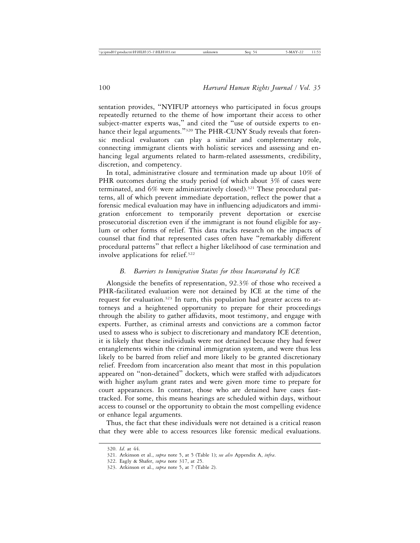sentation provides, "NYIFUP attorneys who participated in focus groups repeatedly returned to the theme of how important their access to other subject-matter experts was," and cited the "use of outside experts to enhance their legal arguments."<sup>320</sup> The PHR-CUNY Study reveals that forensic medical evaluators can play a similar and complementary role, connecting immigrant clients with holistic services and assessing and enhancing legal arguments related to harm-related assessments, credibility, discretion, and competency.

In total, administrative closure and termination made up about 10% of PHR outcomes during the study period (of which about 3% of cases were terminated, and 6% were administratively closed).<sup>321</sup> These procedural patterns, all of which prevent immediate deportation, reflect the power that a forensic medical evaluation may have in influencing adjudicators and immigration enforcement to temporarily prevent deportation or exercise prosecutorial discretion even if the immigrant is not found eligible for asylum or other forms of relief. This data tracks research on the impacts of counsel that find that represented cases often have "remarkably different procedural patterns" that reflect a higher likelihood of case termination and involve applications for relief.322

## *B. Barriers to Immigration Status for those Incarcerated by ICE*

Alongside the benefits of representation, 92.3% of those who received a PHR-facilitated evaluation were not detained by ICE at the time of the request for evaluation.323 In turn, this population had greater access to attorneys and a heightened opportunity to prepare for their proceedings through the ability to gather affidavits, moot testimony, and engage with experts. Further, as criminal arrests and convictions are a common factor used to assess who is subject to discretionary and mandatory ICE detention, it is likely that these individuals were not detained because they had fewer entanglements within the criminal immigration system, and were thus less likely to be barred from relief and more likely to be granted discretionary relief. Freedom from incarceration also meant that most in this population appeared on "non-detained" dockets, which were staffed with adjudicators with higher asylum grant rates and were given more time to prepare for court appearances. In contrast, those who are detained have cases fasttracked. For some, this means hearings are scheduled within days, without access to counsel or the opportunity to obtain the most compelling evidence or enhance legal arguments.

Thus, the fact that these individuals were not detained is a critical reason that they were able to access resources like forensic medical evaluations.

<sup>320.</sup> *Id*. at 44.

<sup>321.</sup> Atkinson et al., *supra* note 5, at 5 (Table 1); *see also* Appendix A, *infra*.

<sup>322.</sup> Eagly & Shafer, *supra* note 317, at 25.

<sup>323.</sup> Atkinson et al., *supra* note 5, at 7 (Table 2).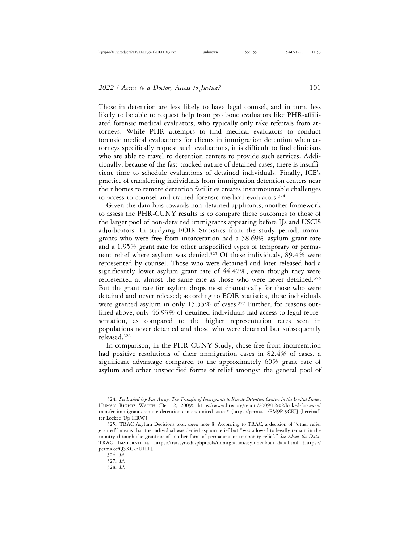Those in detention are less likely to have legal counsel, and in turn, less likely to be able to request help from pro bono evaluators like PHR-affiliated forensic medical evaluators, who typically only take referrals from attorneys. While PHR attempts to find medical evaluators to conduct forensic medical evaluations for clients in immigration detention when attorneys specifically request such evaluations, it is difficult to find clinicians who are able to travel to detention centers to provide such services. Additionally, because of the fast-tracked nature of detained cases, there is insufficient time to schedule evaluations of detained individuals. Finally, ICE's practice of transferring individuals from immigration detention centers near their homes to remote detention facilities creates insurmountable challenges to access to counsel and trained forensic medical evaluators.<sup>324</sup>

Given the data bias towards non-detained applicants, another framework to assess the PHR-CUNY results is to compare these outcomes to those of the larger pool of non-detained immigrants appearing before IJs and USCIS adjudicators. In studying EOIR Statistics from the study period, immigrants who were free from incarceration had a 58.69% asylum grant rate and a 1.95% grant rate for other unspecified types of temporary or permanent relief where asylum was denied.325 Of these individuals, 89.4% were represented by counsel. Those who were detained and later released had a significantly lower asylum grant rate of  $44.42\%$ , even though they were represented at almost the same rate as those who were never detained.326 But the grant rate for asylum drops most dramatically for those who were detained and never released; according to EOIR statistics, these individuals were granted asylum in only 15.55% of cases.<sup>327</sup> Further, for reasons outlined above, only 46.93% of detained individuals had access to legal representation, as compared to the higher representation rates seen in populations never detained and those who were detained but subsequently released.328

In comparison, in the PHR-CUNY Study, those free from incarceration had positive resolutions of their immigration cases in 82.4% of cases, a significant advantage compared to the approximately 60% grant rate of asylum and other unspecified forms of relief amongst the general pool of

<sup>324.</sup> *See Locked Up Far Away: The Transfer of Immigrants to Remote Detention Centers in the United States*, HUMAN RIGHTS WATCH (Dec. 2, 2009), https://www.hrw.org/report/2009/12/02/locked-far-away/ transfer-immigrants-remote-detention-centers-united-states# [https://perma.cc/EM9P-9CEJ] [hereinafter Locked Up HRW].

<sup>325.</sup> TRAC Asylum Decisions tool, *supra* note 8. According to TRAC, a decision of "other relief granted" means that the individual was denied asylum relief but "was allowed to legally remain in the country through the granting of another form of permanent or temporary relief." *See About the Data*, TRAC IMMIGRATION, https://trac.syr.edu/phptools/immigration/asylum/about\_data.html [https:// perma.cc/Q5KC-EUHT].

<sup>326.</sup> *Id.*

<sup>327.</sup> *Id.*

<sup>328.</sup> *Id.*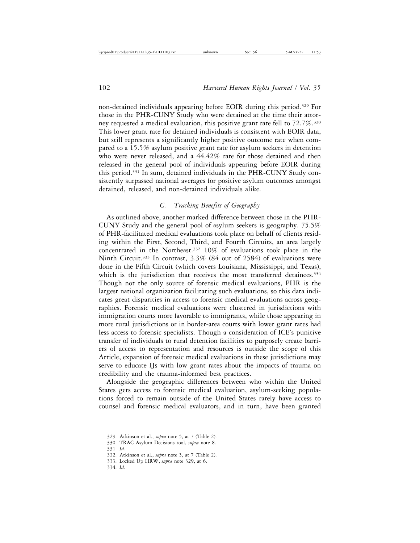non-detained individuals appearing before EOIR during this period.329 For those in the PHR-CUNY Study who were detained at the time their attorney requested a medical evaluation, this positive grant rate fell to 72.7%.330 This lower grant rate for detained individuals is consistent with EOIR data, but still represents a significantly higher positive outcome rate when compared to a 15.5% asylum positive grant rate for asylum seekers in detention who were never released, and a 44.42% rate for those detained and then released in the general pool of individuals appearing before EOIR during this period.331 In sum, detained individuals in the PHR-CUNY Study consistently surpassed national averages for positive asylum outcomes amongst detained, released, and non-detained individuals alike.

# *C. Tracking Benefits of Geography*

As outlined above, another marked difference between those in the PHR-CUNY Study and the general pool of asylum seekers is geography. 75.5% of PHR-facilitated medical evaluations took place on behalf of clients residing within the First, Second, Third, and Fourth Circuits, an area largely concentrated in the Northeast.332 10% of evaluations took place in the Ninth Circuit.333 In contrast, 3.3% (84 out of 2584) of evaluations were done in the Fifth Circuit (which covers Louisiana, Mississippi, and Texas), which is the jurisdiction that receives the most transferred detainees.<sup>334</sup> Though not the only source of forensic medical evaluations, PHR is the largest national organization facilitating such evaluations, so this data indicates great disparities in access to forensic medical evaluations across geographies. Forensic medical evaluations were clustered in jurisdictions with immigration courts more favorable to immigrants, while those appearing in more rural jurisdictions or in border-area courts with lower grant rates had less access to forensic specialists. Though a consideration of ICE's punitive transfer of individuals to rural detention facilities to purposely create barriers of access to representation and resources is outside the scope of this Article, expansion of forensic medical evaluations in these jurisdictions may serve to educate IJs with low grant rates about the impacts of trauma on credibility and the trauma-informed best practices.

Alongside the geographic differences between who within the United States gets access to forensic medical evaluation, asylum-seeking populations forced to remain outside of the United States rarely have access to counsel and forensic medical evaluators, and in turn, have been granted

<sup>329.</sup> Atkinson et al., *supra* note 5, at 7 (Table 2).

<sup>330.</sup> TRAC Asylum Decisions tool, *supra* note 8.

<sup>331.</sup> *Id.*

<sup>332.</sup> Atkinson et al., *supra* note 5, at 7 (Table 2).

<sup>333.</sup> Locked Up HRW, *supra* note 329, at 6.

<sup>334.</sup> *Id.*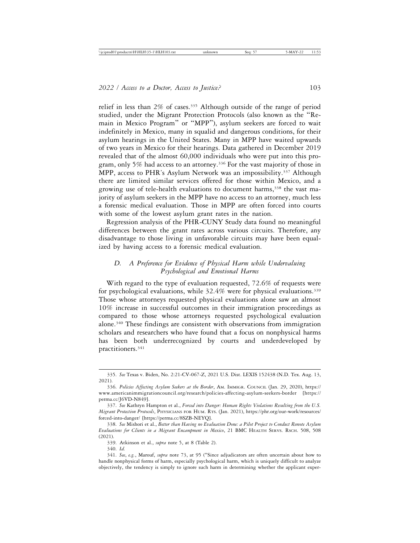relief in less than 2% of cases.335 Although outside of the range of period studied, under the Migrant Protection Protocols (also known as the "Remain in Mexico Program" or "MPP"), asylum seekers are forced to wait indefinitely in Mexico, many in squalid and dangerous conditions, for their asylum hearings in the United States. Many in MPP have waited upwards of two years in Mexico for their hearings. Data gathered in December 2019 revealed that of the almost 60,000 individuals who were put into this program, only 5% had access to an attorney.336 For the vast majority of those in MPP, access to PHR's Asylum Network was an impossibility.337 Although there are limited similar services offered for those within Mexico, and a growing use of tele-health evaluations to document harms,<sup>338</sup> the vast majority of asylum seekers in the MPP have no access to an attorney, much less a forensic medical evaluation. Those in MPP are often forced into courts with some of the lowest asylum grant rates in the nation.

Regression analysis of the PHR-CUNY Study data found no meaningful differences between the grant rates across various circuits. Therefore, any disadvantage to those living in unfavorable circuits may have been equalized by having access to a forensic medical evaluation.

# *D. A Preference for Evidence of Physical Harm while Undervaluing Psychological and Emotional Harms*

With regard to the type of evaluation requested, 72.6% of requests were for psychological evaluations, while  $32.4\%$  were for physical evaluations.<sup>339</sup> Those whose attorneys requested physical evaluations alone saw an almost 10% increase in successful outcomes in their immigration proceedings as compared to those whose attorneys requested psychological evaluation alone.340 These findings are consistent with observations from immigration scholars and researchers who have found that a focus on nonphysical harms has been both underrecognized by courts and underdeveloped by practitioners.341

<sup>335.</sup> *See* Texas v. Biden, No. 2:21-CV-067-Z, 2021 U.S. Dist. LEXIS 152438 (N.D. Tex. Aug. 13, 2021).

<sup>336.</sup> *Policies Affecting Asylum Seekers at the Border*, AM. IMMIGR. COUNCIL (Jan. 29, 2020), https:// www.americanimmigrationcouncil.org/research/policies-affecting-asylum-seekers-border [https:// perma.cc/J6VD-N849].

<sup>337.</sup> *See* Kathryn Hampton et al., *Forced into Danger: Human Rights Violations Resulting from the U.S. Migrant Protection Protocols*, PHYSICIANS FOR HUM. RTS. (Jan. 2021), https://phr.org/our-work/resources/ forced-into-danger/ [https://perma.cc/8SZB-NEYQ].

<sup>338.</sup> *See* Mishori et al., *Better than Having no Evaluation Done: a Pilot Project to Conduct Remote Asylum Evaluations for Clients in a Migrant Encampment in Mexico*, 21 BMC HEALTH SERVS. RSCH. 508, 508 (2021).

<sup>339.</sup> Atkinson et al., *supra* note 5, at 8 (Table 2).

<sup>340.</sup> *Id.*

<sup>341.</sup> *See*, *e.g.*, Marouf, *supra* note 73, at 95 ("Since adjudicators are often uncertain about how to handle nonphysical forms of harm, especially psychological harm, which is uniquely difficult to analyze objectively, the tendency is simply to ignore such harm in determining whether the applicant exper-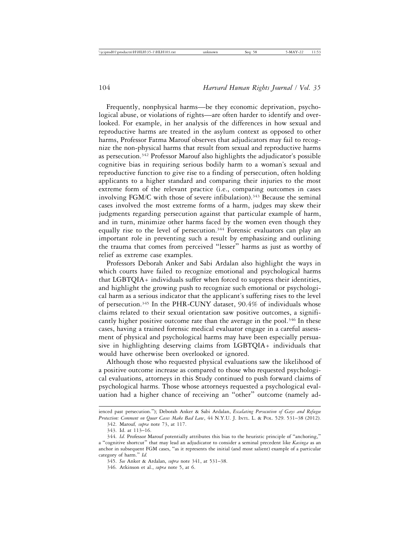Frequently, nonphysical harms—be they economic deprivation, psychological abuse, or violations of rights—are often harder to identify and overlooked. For example, in her analysis of the differences in how sexual and reproductive harms are treated in the asylum context as opposed to other harms, Professor Fatma Marouf observes that adjudicators may fail to recognize the non-physical harms that result from sexual and reproductive harms as persecution.342 Professor Marouf also highlights the adjudicator's possible cognitive bias in requiring serious bodily harm to a woman's sexual and reproductive function to give rise to a finding of persecution, often holding applicants to a higher standard and comparing their injuries to the most extreme form of the relevant practice (i.e., comparing outcomes in cases involving FGM/C with those of severe infibulation).<sup>343</sup> Because the seminal cases involved the most extreme forms of a harm, judges may skew their judgments regarding persecution against that particular example of harm, and in turn, minimize other harms faced by the women even though they equally rise to the level of persecution.<sup>344</sup> Forensic evaluators can play an important role in preventing such a result by emphasizing and outlining the trauma that comes from perceived "lesser" harms as just as worthy of relief as extreme case examples.

Professors Deborah Anker and Sabi Ardalan also highlight the ways in which courts have failed to recognize emotional and psychological harms that LGBTQIA+ individuals suffer when forced to suppress their identities, and highlight the growing push to recognize such emotional or psychological harm as a serious indicator that the applicant's suffering rises to the level of persecution.345 In the PHR-CUNY dataset, 90.4% of individuals whose claims related to their sexual orientation saw positive outcomes, a significantly higher positive outcome rate than the average in the pool.<sup>346</sup> In these cases, having a trained forensic medical evaluator engage in a careful assessment of physical and psychological harms may have been especially persuasive in highlighting deserving claims from LGBTQIA+ individuals that would have otherwise been overlooked or ignored.

Although those who requested physical evaluations saw the likelihood of a positive outcome increase as compared to those who requested psychological evaluations, attorneys in this Study continued to push forward claims of psychological harms. Those whose attorneys requested a psychological evaluation had a higher chance of receiving an "other" outcome (namely ad-

ienced past persecution."); Deborah Anker & Sabi Ardalan, *Escalating Persecution of Gays and Refugee Protection: Comment on Queer Cases Make Bad Law*, 44 N.Y.U. J. INTL. L. & POL. 529. 531–38 (2012).

<sup>342.</sup> Marouf*, supra* note 73, at 117.

<sup>343.</sup> Id. at 113–16.

<sup>344.</sup> *Id.* Professor Marouf potentially attributes this bias to the heuristic principle of "anchoring," a "cognitive shortcut" that may lead an adjudicator to consider a seminal precedent like *Kasinga* as an anchor in subsequent FGM cases, "as it represents the initial (and most salient) example of a particular category of harm." *Id.*

<sup>345.</sup> *See* Anker & Ardalan, *supra* note 341, at 531–38.

<sup>346.</sup> Atkinson et al., *supra* note 5, at 6.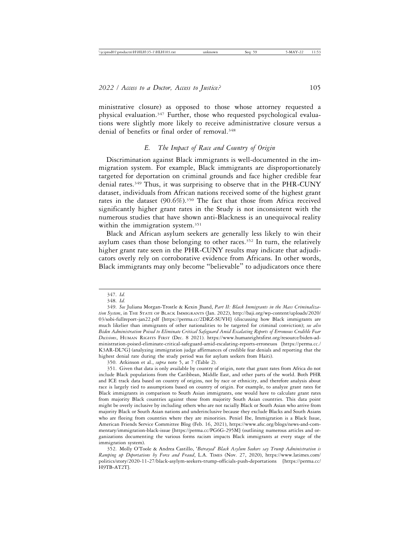ministrative closure) as opposed to those whose attorney requested a physical evaluation.347 Further, those who requested psychological evaluations were slightly more likely to receive administrative closure versus a denial of benefits or final order of removal.<sup>348</sup>

# *E. The Impact of Race and Country of Origin*

Discrimination against Black immigrants is well-documented in the immigration system. For example, Black immigrants are disproportionately targeted for deportation on criminal grounds and face higher credible fear denial rates.<sup>349</sup> Thus, it was surprising to observe that in the PHR-CUNY dataset, individuals from African nations received some of the highest grant rates in the dataset (90.6%).350 The fact that those from Africa received significantly higher grant rates in the Study is not inconsistent with the numerous studies that have shown anti-Blackness is an unequivocal reality within the immigration system.<sup>351</sup>

Black and African asylum seekers are generally less likely to win their asylum cases than those belonging to other races.<sup>352</sup> In turn, the relatively higher grant rate seen in the PHR-CUNY results may indicate that adjudicators overly rely on corroborative evidence from Africans. In other words, Black immigrants may only become "believable" to adjudicators once there

<sup>347.</sup> *Id.*

<sup>348.</sup> *Id.*

<sup>349.</sup> *See* Juliana Morgan-Trostle & Kexin Jhand, *Part II: Black Immigrants in the Mass Criminalization System*, in THE STATE OF BLACK IMMIGRANTS (Jan. 2022), http://baji.org/wp-content/uploads/2020/ 03/sobi-fullreport-jan22.pdf [https://perma.cc/2DRZ-SUVH] (discussing how Black immigrants are much likelier than immigrants of other nationalities to be targeted for criminal conviction); *see also Biden Administration Poised to Eliminate Critical Safeguard Amid Escalating Reports of Erroneous Credible Fear Decisions*, HUMAN RIGHTS FIRST (Dec. 8 2021). https://www.humanrightsfirst.org/resource/biden-administration-poised-eliminate-critical-safeguard-amid-escalating-reports-erroneuos [https://perma.cc./ K3AR-DL7G] (analyzing immigration judge affirmances of credible fear denials and reporting that the highest denial rate during the study period was for asylum seekers from Haiti).

<sup>350.</sup> Atkinson et al., *supra* note 5, at 7 (Table 2).

<sup>351.</sup> Given that data is only available by country of origin, note that grant rates from Africa do not include Black populations from the Caribbean, Middle East, and other parts of the world. Both PHR and ICE track data based on country of origins, not by race or ethnicity, and therefore analysis about race is largely tied to assumptions based on country of origin. For example, to analyze grant rates for Black immigrants in comparison to South Asian immigrants, one would have to calculate grant rates from majority Black countries against those from majority South Asian countries. This data point might be overly inclusive by including others who are not racially Black or South Asian who arrive from majority Black or South Asian nations and underinclusive because they exclude Blacks and South Asians who are fleeing from countries where they are minorities. Peniel Ibe, Immigration is a Black Issue, American Friends Service Committee Blog (Feb. 16, 2021), https://www.afsc.org/blogs/news-and-commentary/immigration-black-issue [https://perma.cc/PG6G-295M] (outlining numerous articles and organizations documenting the various forms racism impacts Black immigrants at every stage of the immigration system).

<sup>352.</sup> Molly O'Toole & Andrea Castillo, '*Betrayed' Black Asylum Seekers say Trump Administration is Ramping up Deportations by Force and Fraud*, L.A. TIMES (Nov. 27, 2020), https://www.latimes.com/ politics/story/2020-11-27/black-asylym-seekers-trump-officials-push-deportations [https://perma.cc/ H9TB-AT2T].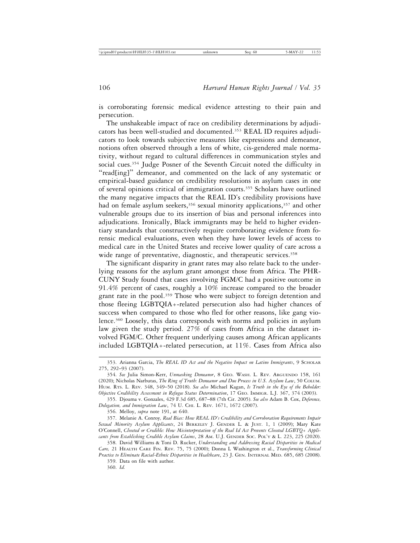is corroborating forensic medical evidence attesting to their pain and persecution.

The unshakeable impact of race on credibility determinations by adjudicators has been well-studied and documented.353 REAL ID requires adjudicators to look towards subjective measures like expressions and demeanor, notions often observed through a lens of white, cis-gendered male normativity, without regard to cultural differences in communication styles and social cues.<sup>354</sup> Judge Posner of the Seventh Circuit noted the difficulty in "read[ing]" demeanor, and commented on the lack of any systematic or empirical-based guidance on credibility resolutions in asylum cases in one of several opinions critical of immigration courts.355 Scholars have outlined the many negative impacts that the REAL ID's credibility provisions have had on female asylum seekers,<sup>356</sup> sexual minority applications,<sup>357</sup> and other vulnerable groups due to its insertion of bias and personal inferences into adjudications. Ironically, Black immigrants may be held to higher evidentiary standards that constructively require corroborating evidence from forensic medical evaluations, even when they have lower levels of access to medical care in the United States and receive lower quality of care across a wide range of preventative, diagnostic, and therapeutic services.<sup>358</sup>

The significant disparity in grant rates may also relate back to the underlying reasons for the asylum grant amongst those from Africa. The PHR-CUNY Study found that cases involving FGM/C had a positive outcome in 91.4% percent of cases, roughly a 10% increase compared to the broader grant rate in the pool.<sup>359</sup> Those who were subject to foreign detention and those fleeing LGBTQIA+-related persecution also had higher chances of success when compared to those who fled for other reasons, like gang violence.360 Loosely, this data corresponds with norms and policies in asylum law given the study period. 27% of cases from Africa in the dataset involved FGM/C. Other frequent underlying causes among African applicants included LGBTQIA+-related persecution, at 11%. Cases from Africa also

356. Melloy, *supra* note 191, at 640.

<sup>353.</sup> Arianna Garcia, *The REAL ID Act and the Negative Impact on Latino Immigrants*, 9 SCHOLAR 275, 292–93 (2007).

<sup>354.</sup> *See* Julia Simon-Kerr, *Unmasking Demeanor*, 8 GEO. WASH. L. REV. ARGUENDO 158, 161 (2020); Nicholas Narbutas, *The Ring of Truth: Demeanor and Due Process in U.S. Asylum Law*, 50 COLUM. HUM. RTS. L. REV. 348, 349–50 (2018). *See also* Michael Kagan, *Is Truth in the Eye of the Beholder: Objective Credibility Assessment in Refugee Status Determination*, 17 GEO. IMMIGR. L.J. 367, 374 (2003).

<sup>355.</sup> Djouma v. Gonzales, 429 F.3d 685, 687–88 (7th Cir. 2005). *See also* Adam B. Cox, *Deference, Delegation, and Immigration Law*, 74 U. CHI. L. REV. 1671, 1672 (2007).

<sup>357.</sup> Melanie A. Conroy*, Real Bias: How REAL ID's Credibility and Corroboration Requirements Impair Sexual Minority Asylum Applicants*, 24 BERKELEY J. GENDER L. & JUST. 1, 1 (2009); Mary Kate O'Connell, *Closeted or Credible: How Misinterpretation of the Real Id Act Prevents Closeted LGBTQ+ Applicants from Establishing Credible Asylum Claims*, 28 AM. U.J. GENDER SOC. POL'Y & L. 223, 225 (2020).

<sup>358.</sup> David Williams & Toni D. Rucker, *Understanding and Addressing Racial Disparities in Medical Care,* 21 HEALTH CARE FIN. REV. 75, 75 (2000); Donna L Washington et al., *Transforming Clinical*

*Practice to Eliminate Racial-Ethnic Disparities in Healthcare*, 23 J. GEN. INTERNAL MED. 685, 685 (2008). 359. Data on file with author.

<sup>360.</sup> *Id.*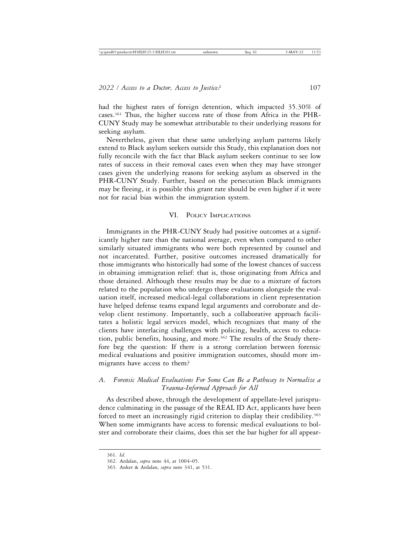had the highest rates of foreign detention, which impacted 35.30% of cases.361 Thus, the higher success rate of those from Africa in the PHR-CUNY Study may be somewhat attributable to their underlying reasons for seeking asylum.

Nevertheless, given that these same underlying asylum patterns likely extend to Black asylum seekers outside this Study, this explanation does not fully reconcile with the fact that Black asylum seekers continue to see low rates of success in their removal cases even when they may have stronger cases given the underlying reasons for seeking asylum as observed in the PHR-CUNY Study. Further, based on the persecution Black immigrants may be fleeing, it is possible this grant rate should be even higher if it were not for racial bias within the immigration system.

#### VI. POLICY IMPLICATIONS

Immigrants in the PHR-CUNY Study had positive outcomes at a significantly higher rate than the national average, even when compared to other similarly situated immigrants who were both represented by counsel and not incarcerated. Further, positive outcomes increased dramatically for those immigrants who historically had some of the lowest chances of success in obtaining immigration relief: that is, those originating from Africa and those detained. Although these results may be due to a mixture of factors related to the population who undergo these evaluations alongside the evaluation itself, increased medical-legal collaborations in client representation have helped defense teams expand legal arguments and corroborate and develop client testimony. Importantly, such a collaborative approach facilitates a holistic legal services model, which recognizes that many of the clients have interlacing challenges with policing, health, access to education, public benefits, housing, and more.<sup>362</sup> The results of the Study therefore beg the question: If there is a strong correlation between forensic medical evaluations and positive immigration outcomes, should more immigrants have access to them?

# *A. Forensic Medical Evaluations For Some Can Be a Pathway to Normalize a Trauma-Informed Approach for All*

As described above, through the development of appellate-level jurisprudence culminating in the passage of the REAL ID Act, applicants have been forced to meet an increasingly rigid criterion to display their credibility.<sup>363</sup> When some immigrants have access to forensic medical evaluations to bolster and corroborate their claims, does this set the bar higher for all appear-

<sup>361.</sup> *Id.*

<sup>362.</sup> Ardalan, *supra* note 44, at 1004–05.

<sup>363.</sup> Anker & Ardalan, *supra* note 341, at 531.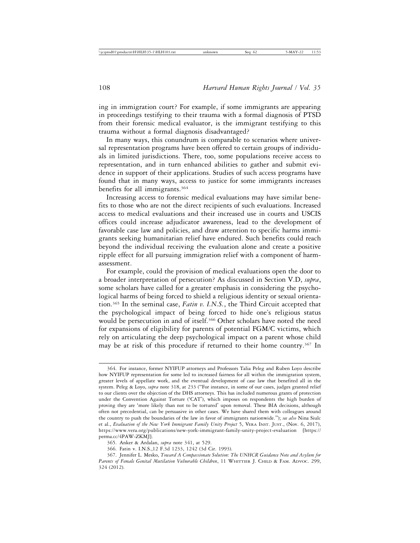ing in immigration court? For example, if some immigrants are appearing in proceedings testifying to their trauma with a formal diagnosis of PTSD from their forensic medical evaluator, is the immigrant testifying to this trauma without a formal diagnosis disadvantaged?

In many ways, this conundrum is comparable to scenarios where universal representation programs have been offered to certain groups of individuals in limited jurisdictions. There, too, some populations receive access to representation, and in turn enhanced abilities to gather and submit evidence in support of their applications. Studies of such access programs have found that in many ways, access to justice for some immigrants increases benefits for all immigrants.364

Increasing access to forensic medical evaluations may have similar benefits to those who are not the direct recipients of such evaluations. Increased access to medical evaluations and their increased use in courts and USCIS offices could increase adjudicator awareness, lead to the development of favorable case law and policies, and draw attention to specific harms immigrants seeking humanitarian relief have endured. Such benefits could reach beyond the individual receiving the evaluation alone and create a positive ripple effect for all pursuing immigration relief with a component of harmassessment.

For example, could the provision of medical evaluations open the door to a broader interpretation of persecution? As discussed in Section V.D, *supra*, some scholars have called for a greater emphasis in considering the psychological harms of being forced to shield a religious identity or sexual orientation.365 In the seminal case, *Fatin v. I.N.S.*, the Third Circuit accepted that the psychological impact of being forced to hide one's religious status would be persecution in and of itself.<sup>366</sup> Other scholars have noted the need for expansions of eligibility for parents of potential FGM/C victims, which rely on articulating the deep psychological impact on a parent whose child may be at risk of this procedure if returned to their home country.<sup>367</sup> In

<sup>364.</sup> For instance, former NYIFUP attorneys and Professors Talia Peleg and Ruben Loyo describe how NYIFUP representation for some led to increased fairness for all within the immigration system, greater levels of appellate work, and the eventual development of case law that benefited all in the system. Peleg & Loyo, *supra* note 318, at 233 ("For instance, in some of our cases, judges granted relief to our clients over the objection of the DHS attorneys. This has included numerous grants of protection under the Convention Against Torture ('CAT'), which imposes on respondents the high burden of proving they are 'more likely than not to be tortured' upon removal. These BIA decisions, although often not precedential, can be persuasive in other cases. We have shared them with colleagues around the country to push the boundaries of the law in favor of immigrants nationwide."); *see also* Nina Siulc et al., *Evaluation of the New York Immigrant Family Unity Project* 5, VERA INST. JUST., (Nov. 6, 2017), https://www.vera.org/publications/new-york-immigrant-family-unity-project-evaluation [https:// perma.cc/4PAW-ZKMJ].

<sup>365.</sup> Anker & Ardalan, *supra* note 341, at 529.

<sup>366.</sup> Fatin v. I.N.S.,12 F.3d 1233, 1242 (3d Cir. 1993).

<sup>367.</sup> Jennifer L. Mesko, *Toward A Compassionate Solution: The UNHCR Guidance Note and Asylum for Parents of Female Genital Mutilation Vulnerable Children*, 11 WHITTIER J. CHILD & FAM. ADVOC. 299, 324 (2012).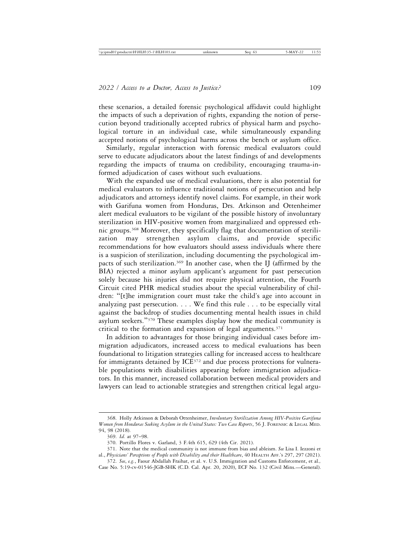these scenarios, a detailed forensic psychological affidavit could highlight the impacts of such a deprivation of rights, expanding the notion of persecution beyond traditionally accepted rubrics of physical harm and psychological torture in an individual case, while simultaneously expanding accepted notions of psychological harms across the bench or asylum office.

Similarly, regular interaction with forensic medical evaluators could serve to educate adjudicators about the latest findings of and developments regarding the impacts of trauma on credibility, encouraging trauma-informed adjudication of cases without such evaluations.

With the expanded use of medical evaluations, there is also potential for medical evaluators to influence traditional notions of persecution and help adjudicators and attorneys identify novel claims. For example, in their work with Garifuna women from Honduras, Drs. Atkinson and Ottenheimer alert medical evaluators to be vigilant of the possible history of involuntary sterilization in HIV-positive women from marginalized and oppressed ethnic groups.368 Moreover, they specifically flag that documentation of sterilization may strengthen asylum claims, and provide specific recommendations for how evaluators should assess individuals where there is a suspicion of sterilization, including documenting the psychological impacts of such sterilization.<sup>369</sup> In another case, when the IJ (affirmed by the BIA) rejected a minor asylum applicant's argument for past persecution solely because his injuries did not require physical attention, the Fourth Circuit cited PHR medical studies about the special vulnerability of children: "[t]he immigration court must take the child's age into account in analyzing past persecution. . . . We find this rule . . . to be especially vital against the backdrop of studies documenting mental health issues in child asylum seekers."370 These examples display how the medical community is critical to the formation and expansion of legal arguments. $371$ 

In addition to advantages for those bringing individual cases before immigration adjudicators, increased access to medical evaluations has been foundational to litigation strategies calling for increased access to healthcare for immigrants detained by ICE<sup>372</sup> and due process protections for vulnerable populations with disabilities appearing before immigration adjudicators. In this manner, increased collaboration between medical providers and lawyers can lead to actionable strategies and strengthen critical legal argu-

<sup>368.</sup> Holly Atkinson & Deborah Ottenheimer, *Involuntary Sterilization Among HIV-Positive Garifuna Women from Honduras Seeking Asylum in the United States: Two Case Reports*, 56 J. FORENSIC & LEGAL MED. 94, 98 (2018).

<sup>369.</sup> *Id.* at 97–98.

<sup>370.</sup> Portillo Flores v. Garland, 3 F.4th 615, 629 (4th Cir. 2021).

<sup>371.</sup> Note that the medical community is not immune from bias and ableism. *See* Lisa I. Iezzoni et al., *Physicians' Perceptions of People with Disability and their Healthcare*, 40 HEALTH AFF.'S 297, 297 (2021).

<sup>372.</sup> *See*, *e.g.*, Faour Abdallah Fraihat, et al. v. U.S. Immigration and Customs Enforcement, et al.*,* Case No. 5:19-cv-01546-JGB-SHK (C.D. Cal. Apr. 20, 2020), ECF No. 132 (Civil Mins.—General).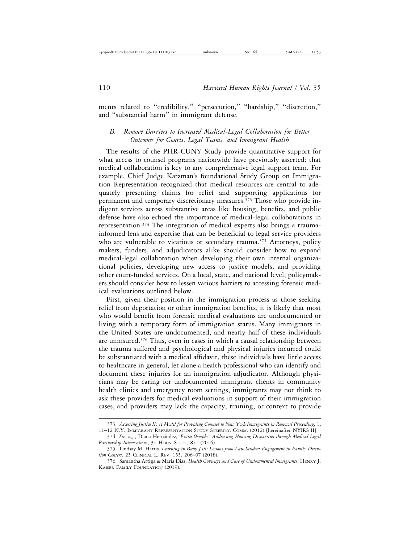ments related to "credibility," "persecution," "hardship," "discretion," and "substantial harm" in immigrant defense.

# *B. Remove Barriers to Increased Medical-Legal Collaboration for Better Outcomes for Courts, Legal Teams, and Immigrant Health*

The results of the PHR-CUNY Study provide quantitative support for what access to counsel programs nationwide have previously asserted: that medical collaboration is key to any comprehensive legal support team. For example, Chief Judge Katzman's foundational Study Group on Immigration Representation recognized that medical resources are central to adequately presenting claims for relief and supporting applications for permanent and temporary discretionary measures.<sup>373</sup> Those who provide indigent services across substantive areas like housing, benefits, and public defense have also echoed the importance of medical-legal collaborations in representation.374 The integration of medical experts also brings a traumainformed lens and expertise that can be beneficial to legal service providers who are vulnerable to vicarious or secondary trauma.<sup>375</sup> Attorneys, policy makers, funders, and adjudicators alike should consider how to expand medical-legal collaboration when developing their own internal organizational policies, developing new access to justice models, and providing other court-funded services. On a local, state, and national level, policymakers should consider how to lessen various barriers to accessing forensic medical evaluations outlined below.

First, given their position in the immigration process as those seeking relief from deportation or other immigration benefits, it is likely that most who would benefit from forensic medical evaluations are undocumented or living with a temporary form of immigration status. Many immigrants in the United States are undocumented, and nearly half of these individuals are uninsured.376 Thus, even in cases in which a causal relationship between the trauma suffered and psychological and physical injuries incurred could be substantiated with a medical affidavit, these individuals have little access to healthcare in general, let alone a health professional who can identify and document these injuries for an immigration adjudicator. Although physicians may be caring for undocumented immigrant clients in community health clinics and emergency room settings, immigrants may not think to ask these providers for medical evaluations in support of their immigration cases, and providers may lack the capacity, training, or context to provide

<sup>373.</sup> *Accessing Justice II: A Model for Providing Counsel to New York Immigrants in Removal Proceeding*, 1, 11–12 N.Y. IMMIGRANT REPRESENTATION STUDY STEERING COMM. (2012) [hereinafter NYIRS II].

<sup>374.</sup> *See*, *e.g.*, Diana Hern´andez, "*Extra Oomph:" Addressing Housing Disparities through Medical Legal Partnership Interventions*, 31 HOUS. STUD., 871 (2016).

<sup>375.</sup> Lindsay M. Harris, *Learning in Baby Jail: Lessons from Law Student Engagement in Family Detention Centers*, 25 CLINICAL L. REV. 155, 206–07 (2018).

<sup>376.</sup> Samantha Artiga & Maria Diaz*, Health Coverage and Care of Undocumented Immigrants*, HENRY J. KAISER FAMILY FOUNDATION (2019).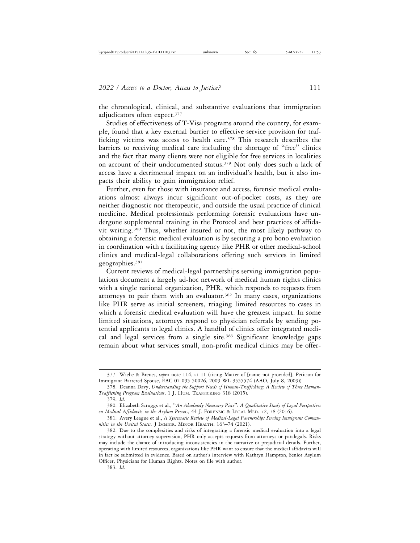the chronological, clinical, and substantive evaluations that immigration adjudicators often expect.<sup>377</sup>

Studies of effectiveness of T-Visa programs around the country, for example, found that a key external barrier to effective service provision for trafficking victims was access to health care.<sup>378</sup> This research describes the barriers to receiving medical care including the shortage of "free" clinics and the fact that many clients were not eligible for free services in localities on account of their undocumented status.<sup>379</sup> Not only does such a lack of access have a detrimental impact on an individual's health, but it also impacts their ability to gain immigration relief.

Further, even for those with insurance and access, forensic medical evaluations almost always incur significant out-of-pocket costs, as they are neither diagnostic nor therapeutic, and outside the usual practice of clinical medicine. Medical professionals performing forensic evaluations have undergone supplemental training in the Protocol and best practices of affidavit writing.380 Thus, whether insured or not, the most likely pathway to obtaining a forensic medical evaluation is by securing a pro bono evaluation in coordination with a facilitating agency like PHR or other medical-school clinics and medical-legal collaborations offering such services in limited geographies.<sup>381</sup>

Current reviews of medical-legal partnerships serving immigration populations document a largely ad-hoc network of medical human rights clinics with a single national organization, PHR, which responds to requests from attorneys to pair them with an evaluator.<sup>382</sup> In many cases, organizations like PHR serve as initial screeners, triaging limited resources to cases in which a forensic medical evaluation will have the greatest impact. In some limited situations, attorneys respond to physician referrals by sending potential applicants to legal clinics. A handful of clinics offer integrated medical and legal services from a single site.<sup>383</sup> Significant knowledge gaps remain about what services small, non-profit medical clinics may be offer-

<sup>377.</sup> Wiebe & Brenes, *supra* note 114, at 11 (citing Matter of [name not provided], Petition for Immigrant Battered Spouse, EAC 07 095 50026, 2009 WL 3555574 (AAO, July 8, 2009)).

<sup>378.</sup> Deanna Davy, *Understanding the Support Needs of Human-Trafficking: A Review of Three Human-Trafficking Program Evaluations*, 1 J. HUM. TRAFFICKING 318 (2015).

<sup>379.</sup> *Id.*

<sup>380.</sup> Elizabeth Scruggs et al., "*An Absolutely Necessary Piece*"*: A Qualitative Study of Legal Perspectives on Medical Affidavits in the Asylum Process*, 44 J. FORENSIC & LEGAL MED. 72, 78 (2016).

<sup>381.</sup> Avery League et al., *A Systematic Review of Medical-Legal Partnerships Serving Immigrant Communities in the United States.* J IMMIGR. MINOR HEALTH. 163–74 (2021).

<sup>382.</sup> Due to the complexities and risks of integrating a forensic medical evaluation into a legal strategy without attorney supervision, PHR only accepts requests from attorneys or paralegals. Risks may include the chance of introducing inconsistencies in the narrative or prejudicial details. Further, operating with limited resources, organizations like PHR want to ensure that the medical affidavits will in fact be submitted in evidence. Based on author's interview with Kathryn Hampton, Senior Asylum Officer, Physicians for Human Rights. Notes on file with author.

<sup>383.</sup> *Id.*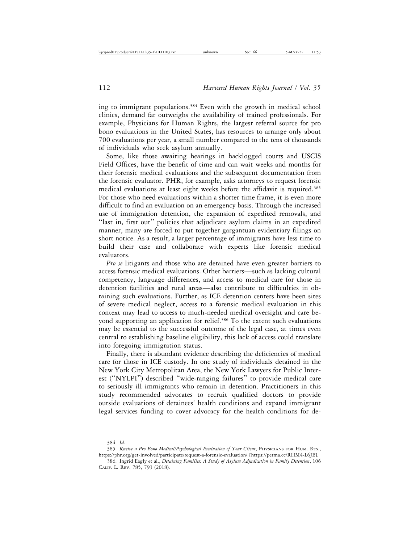ing to immigrant populations.384 Even with the growth in medical school clinics, demand far outweighs the availability of trained professionals. For example, Physicians for Human Rights, the largest referral source for pro bono evaluations in the United States, has resources to arrange only about 700 evaluations per year, a small number compared to the tens of thousands of individuals who seek asylum annually.

Some, like those awaiting hearings in backlogged courts and USCIS Field Offices, have the benefit of time and can wait weeks and months for their forensic medical evaluations and the subsequent documentation from the forensic evaluator. PHR, for example, asks attorneys to request forensic medical evaluations at least eight weeks before the affidavit is required.385 For those who need evaluations within a shorter time frame, it is even more difficult to find an evaluation on an emergency basis. Through the increased use of immigration detention, the expansion of expedited removals, and "last in, first out" policies that adjudicate asylum claims in an expedited manner, many are forced to put together gargantuan evidentiary filings on short notice. As a result, a larger percentage of immigrants have less time to build their case and collaborate with experts like forensic medical evaluators.

*Pro se* litigants and those who are detained have even greater barriers to access forensic medical evaluations. Other barriers—such as lacking cultural competency, language differences, and access to medical care for those in detention facilities and rural areas—also contribute to difficulties in obtaining such evaluations. Further, as ICE detention centers have been sites of severe medical neglect, access to a forensic medical evaluation in this context may lead to access to much-needed medical oversight and care beyond supporting an application for relief.<sup>386</sup> To the extent such evaluations may be essential to the successful outcome of the legal case, at times even central to establishing baseline eligibility, this lack of access could translate into foregoing immigration status.

Finally, there is abundant evidence describing the deficiencies of medical care for those in ICE custody. In one study of individuals detained in the New York City Metropolitan Area, the New York Lawyers for Public Interest ("NYLPI") described "wide-ranging failures" to provide medical care to seriously ill immigrants who remain in detention. Practitioners in this study recommended advocates to recruit qualified doctors to provide outside evaluations of detainees' health conditions and expand immigrant legal services funding to cover advocacy for the health conditions for de-

<sup>384.</sup> *Id.*

<sup>385.</sup> *Receive a Pro Bono Medical/Psychological Evaluation of Your Client*, PHYSICIANS FOR HUM. RTS., https://phr.org/get-involved/participate/request-a-forensic-evaluation/ [https://perma.cc/RHM4-L6JE].

<sup>386.</sup> Ingrid Eagly et al., *Detaining Families: A Study of Asylum Adjudication in Family Detention*, 106 CALIF. L. REV. 785, 793 (2018).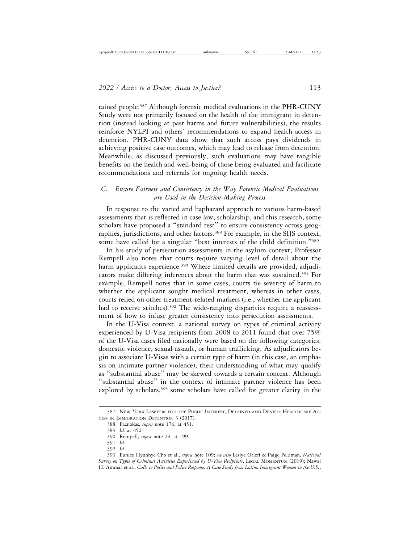tained people.387 Although forensic medical evaluations in the PHR-CUNY Study were not primarily focused on the health of the immigrant in detention (instead looking at past harms and future vulnerabilities), the results reinforce NYLPI and others' recommendations to expand health access in detention. PHR-CUNY data show that such access pays dividends in achieving positive case outcomes, which may lead to release from detention. Meanwhile, as discussed previously, such evaluations may have tangible benefits on the health and well-being of those being evaluated and facilitate recommendations and referrals for ongoing health needs.

# *C. Ensure Fairness and Consistency in the Way Forensic Medical Evaluations are Used in the Decision-Making Process*

In response to the varied and haphazard approach to various harm-based assessments that is reflected in case law, scholarship, and this research, some scholars have proposed a "standard test" to ensure consistency across geographies, jurisdictions, and other factors.<sup>388</sup> For example, in the SIJS context, some have called for a singular "best interests of the child definition."<sup>389</sup>

In his study of persecution assessments in the asylum context, Professor Rempell also notes that courts require varying level of detail about the harm applicants experience.<sup>390</sup> Where limited details are provided, adjudicators make differing inferences about the harm that was sustained.<sup>391</sup> For example, Rempell notes that in some cases, courts tie severity of harm to whether the applicant sought medical treatment, whereas in other cases, courts relied on other treatment-related markers (i.e., whether the applicant had to receive stitches).<sup>392</sup> The wide-ranging disparities require a reassessment of how to infuse greater consistency into persecution assessments.

In the U-Visa context, a national survey on types of criminal activity experienced by U-Visa recipients from 2008 to 2011 found that over 75% of the U-Visa cases filed nationally were based on the following categories: domestic violence, sexual assault, or human trafficking. As adjudicators begin to associate U-Visas with a certain type of harm (in this case, an emphasis on intimate partner violence), their understanding of what may qualify as "substantial abuse" may be skewed towards a certain context. Although "substantial abuse" in the context of intimate partner violence has been explored by scholars,<sup>393</sup> some scholars have called for greater clarity in the

<sup>387.</sup> NEW YORK LAWYERS FOR THE PUBLIC INTEREST, DETAINED AND DENIED: HEALTHCARE AC-CESS IN IMMIGRATION DETENTION 3 (2017).

<sup>388.</sup> Paznokas, *supra* note 176, at 451.

<sup>389.</sup> *Id.* at 452.

<sup>390.</sup> Rempell, *supra* note 23, at 199.

<sup>391.</sup> *Id.*

<sup>392.</sup> *Id.*

<sup>393.</sup> Eunice Hyunhye Cho et al., *supra* note 109; *see also* Leslye Orloff & Paige Feldman, *National Survey on Types of Criminal Activities Experienced by U-Visa Recipients*, LEGAL MOMENTUM (2019); Nawal H. Ammar et al., *Calls to Police and Police Response: A Case Study from Latina Immigrant Women in the U.S.*,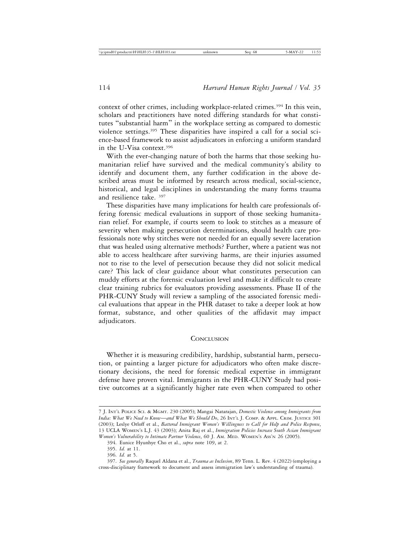context of other crimes, including workplace-related crimes.<sup>394</sup> In this vein, scholars and practitioners have noted differing standards for what constitutes "substantial harm" in the workplace setting as compared to domestic violence settings.395 These disparities have inspired a call for a social science-based framework to assist adjudicators in enforcing a uniform standard in the U-Visa context.396

With the ever-changing nature of both the harms that those seeking humanitarian relief have survived and the medical community's ability to identify and document them, any further codification in the above described areas must be informed by research across medical, social-science, historical, and legal disciplines in understanding the many forms trauma and resilience take. 397

These disparities have many implications for health care professionals offering forensic medical evaluations in support of those seeking humanitarian relief. For example, if courts seem to look to stitches as a measure of severity when making persecution determinations, should health care professionals note why stitches were not needed for an equally severe laceration that was healed using alternative methods? Further, where a patient was not able to access healthcare after surviving harms, are their injuries assumed not to rise to the level of persecution because they did not solicit medical care? This lack of clear guidance about what constitutes persecution can muddy efforts at the forensic evaluation level and make it difficult to create clear training rubrics for evaluators providing assessments. Phase II of the PHR-CUNY Study will review a sampling of the associated forensic medical evaluations that appear in the PHR dataset to take a deeper look at how format, substance, and other qualities of the affidavit may impact adjudicators.

#### **CONCLUSION**

Whether it is measuring credibility, hardship, substantial harm, persecution, or painting a larger picture for adjudicators who often make discretionary decisions, the need for forensic medical expertise in immigrant defense have proven vital. Immigrants in the PHR-CUNY Study had positive outcomes at a significantly higher rate even when compared to other

<sup>7</sup> J. INT'L POLICE SCI. & MGMT. 230 (2005); Mangai Natarajan, *Domestic Violence among Immigrants from India: What We Need to Know*—*and What We Should Do*, 26 INT'L J. COMP. & APPL. CRIM. JUSTICE 301 (2003); Leslye Orloff et al., *Battered Immigrant Women's Willingness to Call for Help and Police Response*, 13 UCLA WOMEN'S L.J. 43 (2003); Anita Raj et al., *Immigration Policies Increase South Asian Immigrant Women's Vulnerability to Intimate Partner Violence*, 60 J. AM. MED. WOMEN'S ASS'N 26 (2005).

<sup>394.</sup> Eunice Hyunhye Cho et al., *supra* note 109, at 2.

<sup>395.</sup> *Id.* at 11.

<sup>396.</sup> *Id.* at 5.

<sup>397.</sup> *See generally* Raquel Aldana et al., *Trauma as Inclusion*, 89 Tenn. L. Rev. 4 (2022) (employing a cross-disciplinary framework to document and assess immigration law's understanding of trauma).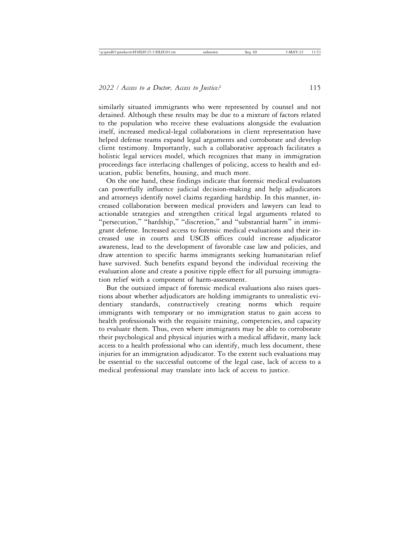similarly situated immigrants who were represented by counsel and not detained. Although these results may be due to a mixture of factors related to the population who receive these evaluations alongside the evaluation itself, increased medical-legal collaborations in client representation have helped defense teams expand legal arguments and corroborate and develop client testimony. Importantly, such a collaborative approach facilitates a holistic legal services model, which recognizes that many in immigration proceedings face interlacing challenges of policing, access to health and education, public benefits, housing, and much more.

On the one hand, these findings indicate that forensic medical evaluators can powerfully influence judicial decision-making and help adjudicators and attorneys identify novel claims regarding hardship. In this manner, increased collaboration between medical providers and lawyers can lead to actionable strategies and strengthen critical legal arguments related to "persecution," "hardship," "discretion," and "substantial harm" in immigrant defense. Increased access to forensic medical evaluations and their increased use in courts and USCIS offices could increase adjudicator awareness, lead to the development of favorable case law and policies, and draw attention to specific harms immigrants seeking humanitarian relief have survived. Such benefits expand beyond the individual receiving the evaluation alone and create a positive ripple effect for all pursuing immigration relief with a component of harm-assessment.

But the outsized impact of forensic medical evaluations also raises questions about whether adjudicators are holding immigrants to unrealistic evidentiary standards, constructively creating norms which require immigrants with temporary or no immigration status to gain access to health professionals with the requisite training, competencies, and capacity to evaluate them. Thus, even where immigrants may be able to corroborate their psychological and physical injuries with a medical affidavit, many lack access to a health professional who can identify, much less document, these injuries for an immigration adjudicator. To the extent such evaluations may be essential to the successful outcome of the legal case, lack of access to a medical professional may translate into lack of access to justice.